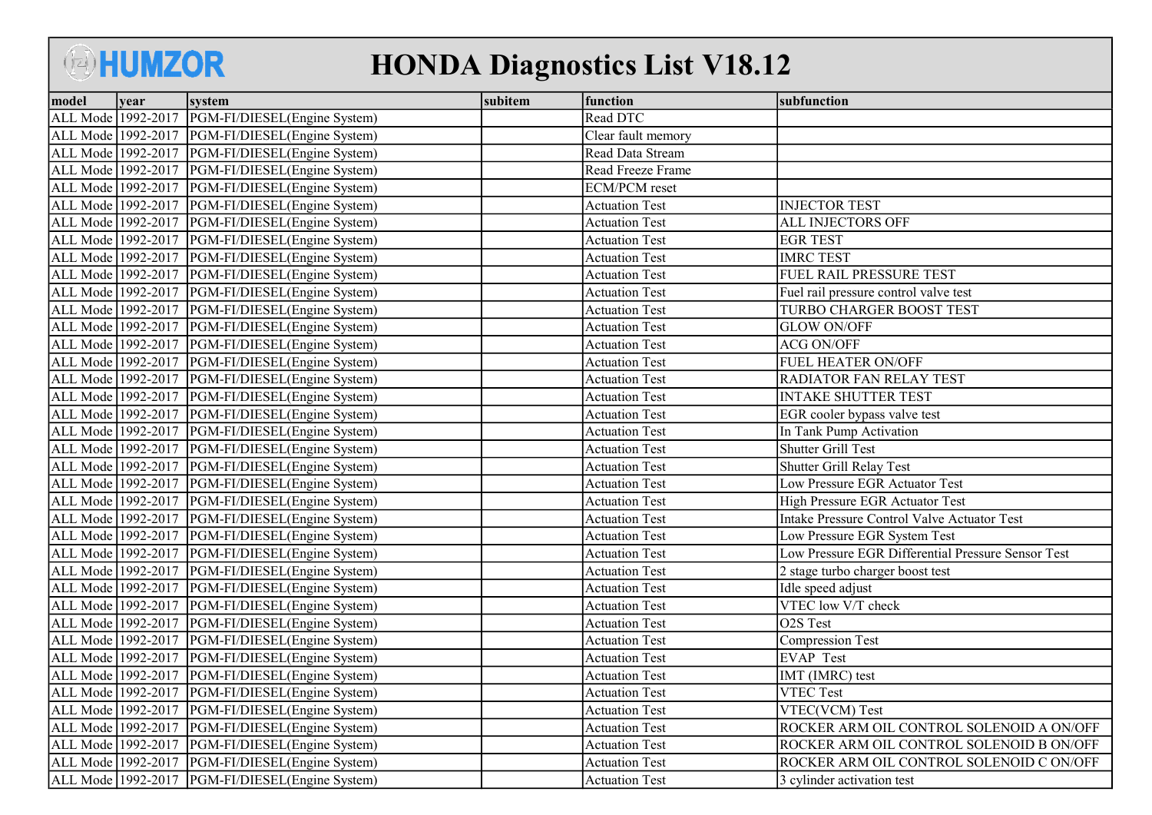## **BHUMZOR**

## HONDA Diagnostics List V18.12

| model              | vear | system                                             | subitem | function              | subfunction                                        |
|--------------------|------|----------------------------------------------------|---------|-----------------------|----------------------------------------------------|
| ALL Mode 1992-2017 |      | PGM-FI/DIESEL(Engine System)                       |         | Read DTC              |                                                    |
| ALL Mode 1992-2017 |      | PGM-FI/DIESEL(Engine System)                       |         | Clear fault memory    |                                                    |
| ALL Mode 1992-2017 |      | PGM-FI/DIESEL(Engine System)                       |         | Read Data Stream      |                                                    |
| ALL Mode 1992-2017 |      | PGM-FI/DIESEL(Engine System)                       |         | Read Freeze Frame     |                                                    |
| ALL Mode 1992-2017 |      | PGM-FI/DIESEL(Engine System)                       |         | <b>ECM/PCM</b> reset  |                                                    |
| ALL Mode 1992-2017 |      | PGM-FI/DIESEL(Engine System)                       |         | <b>Actuation Test</b> | <b>INJECTOR TEST</b>                               |
| ALL Mode 1992-2017 |      | PGM-FI/DIESEL(Engine System)                       |         | <b>Actuation Test</b> | ALL INJECTORS OFF                                  |
| ALL Mode 1992-2017 |      | PGM-FI/DIESEL(Engine System)                       |         | <b>Actuation Test</b> | <b>EGR TEST</b>                                    |
| ALL Mode 1992-2017 |      | PGM-FI/DIESEL(Engine System)                       |         | <b>Actuation Test</b> | <b>IMRC TEST</b>                                   |
| ALL Mode 1992-2017 |      | PGM-FI/DIESEL(Engine System)                       |         | <b>Actuation Test</b> | FUEL RAIL PRESSURE TEST                            |
| ALL Mode 1992-2017 |      | PGM-FI/DIESEL(Engine System)                       |         | <b>Actuation Test</b> | Fuel rail pressure control valve test              |
| ALL Mode 1992-2017 |      | PGM-FI/DIESEL(Engine System)                       |         | <b>Actuation Test</b> | TURBO CHARGER BOOST TEST                           |
| ALL Mode 1992-2017 |      | PGM-FI/DIESEL(Engine System)                       |         | <b>Actuation Test</b> | <b>GLOW ON/OFF</b>                                 |
| ALL Mode 1992-2017 |      | PGM-FI/DIESEL(Engine System)                       |         | <b>Actuation Test</b> | <b>ACG ON/OFF</b>                                  |
| ALL Mode 1992-2017 |      | PGM-FI/DIESEL(Engine System)                       |         | <b>Actuation Test</b> | FUEL HEATER ON/OFF                                 |
| ALL Mode 1992-2017 |      | PGM-FI/DIESEL(Engine System)                       |         | <b>Actuation Test</b> | RADIATOR FAN RELAY TEST                            |
| ALL Mode 1992-2017 |      | PGM-FI/DIESEL(Engine System)                       |         | <b>Actuation Test</b> | <b>INTAKE SHUTTER TEST</b>                         |
| ALL Mode 1992-2017 |      | PGM-FI/DIESEL(Engine System)                       |         | <b>Actuation Test</b> | EGR cooler bypass valve test                       |
| ALL Mode 1992-2017 |      | PGM-FI/DIESEL(Engine System)                       |         | <b>Actuation Test</b> | In Tank Pump Activation                            |
| ALL Mode 1992-2017 |      | PGM-FI/DIESEL(Engine System)                       |         | <b>Actuation Test</b> | <b>Shutter Grill Test</b>                          |
| ALL Mode 1992-2017 |      | PGM-FI/DIESEL(Engine System)                       |         | <b>Actuation Test</b> | <b>Shutter Grill Relay Test</b>                    |
| ALL Mode 1992-2017 |      | PGM-FI/DIESEL(Engine System)                       |         | <b>Actuation Test</b> | Low Pressure EGR Actuator Test                     |
| ALL Mode 1992-2017 |      | PGM-FI/DIESEL(Engine System)                       |         | <b>Actuation Test</b> | <b>High Pressure EGR Actuator Test</b>             |
| ALL Mode 1992-2017 |      | PGM-FI/DIESEL(Engine System)                       |         | <b>Actuation Test</b> | Intake Pressure Control Valve Actuator Test        |
| ALL Mode 1992-2017 |      | PGM-FI/DIESEL(Engine System)                       |         | <b>Actuation Test</b> | Low Pressure EGR System Test                       |
| ALL Mode 1992-2017 |      | PGM-FI/DIESEL(Engine System)                       |         | <b>Actuation Test</b> | Low Pressure EGR Differential Pressure Sensor Test |
| ALL Mode 1992-2017 |      | PGM-FI/DIESEL(Engine System)                       |         | <b>Actuation Test</b> | 2 stage turbo charger boost test                   |
| ALL Mode 1992-2017 |      | PGM-FI/DIESEL(Engine System)                       |         | <b>Actuation Test</b> | Idle speed adjust                                  |
| ALL Mode 1992-2017 |      | PGM-FI/DIESEL(Engine System)                       |         | <b>Actuation Test</b> | VTEC low V/T check                                 |
| ALL Mode 1992-2017 |      | PGM-FI/DIESEL(Engine System)                       |         | <b>Actuation Test</b> | O2S Test                                           |
| ALL Mode 1992-2017 |      | PGM-FI/DIESEL(Engine System)                       |         | <b>Actuation Test</b> | <b>Compression Test</b>                            |
| ALL Mode 1992-2017 |      | PGM-FI/DIESEL(Engine System)                       |         | <b>Actuation Test</b> | <b>EVAP Test</b>                                   |
| ALL Mode 1992-2017 |      | PGM-FI/DIESEL(Engine System)                       |         | <b>Actuation Test</b> | IMT (IMRC) test                                    |
| ALL Mode 1992-2017 |      | PGM-FI/DIESEL(Engine System)                       |         | <b>Actuation Test</b> | <b>VTEC Test</b>                                   |
| ALL Mode 1992-2017 |      | PGM-FI/DIESEL(Engine System)                       |         | <b>Actuation Test</b> | VTEC(VCM) Test                                     |
| ALL Mode 1992-2017 |      | PGM-FI/DIESEL(Engine System)                       |         | <b>Actuation Test</b> | ROCKER ARM OIL CONTROL SOLENOID A ON/OFF           |
| ALL Mode 1992-2017 |      | PGM-FI/DIESEL(Engine System)                       |         | <b>Actuation Test</b> | ROCKER ARM OIL CONTROL SOLENOID B ON/OFF           |
| ALL Mode 1992-2017 |      | PGM-FI/DIESEL(Engine System)                       |         | <b>Actuation Test</b> | ROCKER ARM OIL CONTROL SOLENOID C ON/OFF           |
|                    |      | ALL Mode 1992-2017   PGM-FI/DIESEL (Engine System) |         | <b>Actuation Test</b> | 3 cylinder activation test                         |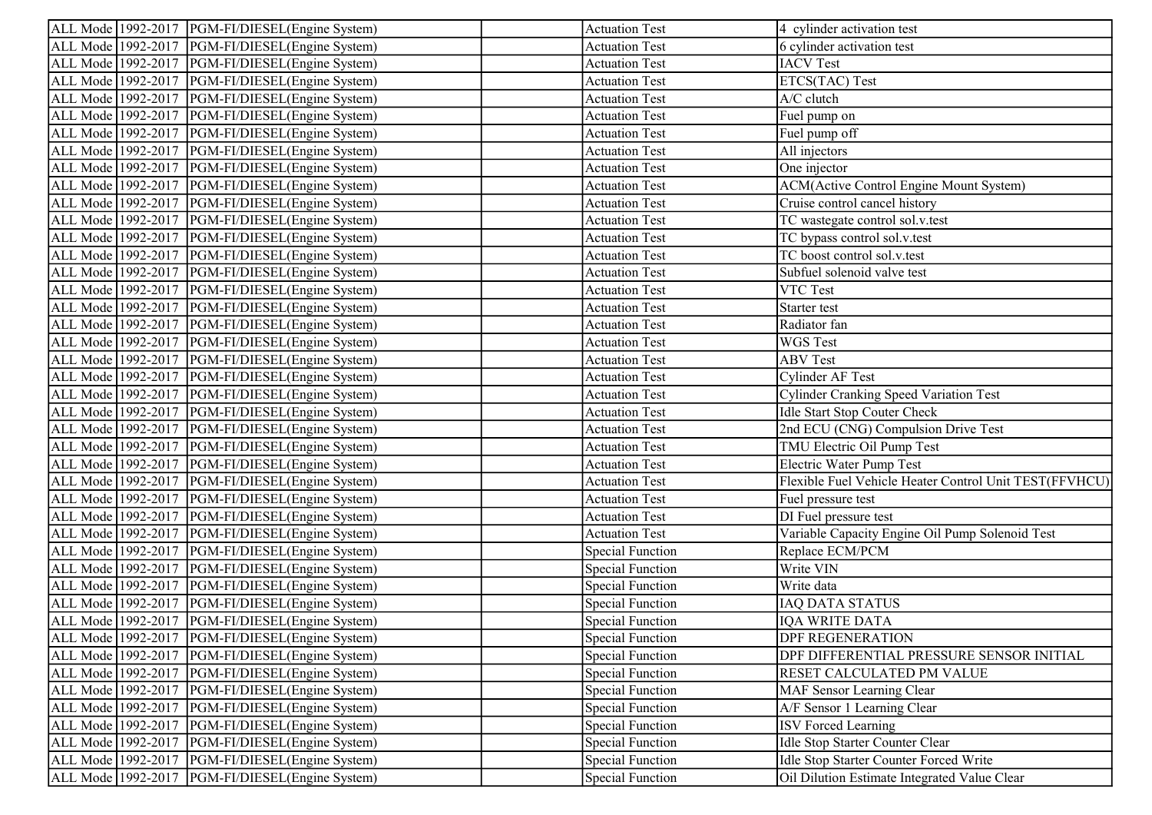|                    | ALL Mode 1992-2017   PGM-FI/DIESEL (Engine System) | <b>Actuation Test</b>   | 4 cylinder activation test                             |
|--------------------|----------------------------------------------------|-------------------------|--------------------------------------------------------|
|                    | ALL Mode 1992-2017   PGM-FI/DIESEL (Engine System) | <b>Actuation Test</b>   | 6 cylinder activation test                             |
|                    | ALL Mode 1992-2017   PGM-FI/DIESEL (Engine System) | <b>Actuation Test</b>   | <b>IACV</b> Test                                       |
|                    | ALL Mode 1992-2017   PGM-FI/DIESEL (Engine System) | <b>Actuation Test</b>   | ETCS(TAC) Test                                         |
|                    | ALL Mode 1992-2017   PGM-FI/DIESEL (Engine System) | <b>Actuation Test</b>   | A/C clutch                                             |
|                    | ALL Mode 1992-2017   PGM-FI/DIESEL (Engine System) | <b>Actuation Test</b>   | Fuel pump on                                           |
|                    | ALL Mode 1992-2017   PGM-FI/DIESEL (Engine System) | <b>Actuation Test</b>   | Fuel pump off                                          |
|                    | ALL Mode 1992-2017   PGM-FI/DIESEL (Engine System) | <b>Actuation Test</b>   | All injectors                                          |
|                    | ALL Mode 1992-2017   PGM-FI/DIESEL (Engine System) | <b>Actuation Test</b>   | One injector                                           |
|                    | ALL Mode 1992-2017   PGM-FI/DIESEL (Engine System) | <b>Actuation Test</b>   | <b>ACM</b> (Active Control Engine Mount System)        |
|                    | ALL Mode 1992-2017   PGM-FI/DIESEL (Engine System) | <b>Actuation Test</b>   | Cruise control cancel history                          |
|                    | ALL Mode 1992-2017   PGM-FI/DIESEL (Engine System) | <b>Actuation Test</b>   | TC wastegate control sol.v.test                        |
| ALL Mode 1992-2017 | PGM-FI/DIESEL(Engine System)                       | <b>Actuation Test</b>   | TC bypass control sol.v.test                           |
|                    | ALL Mode 1992-2017   PGM-FI/DIESEL (Engine System) | <b>Actuation Test</b>   | TC boost control sol.v.test                            |
|                    | ALL Mode 1992-2017  PGM-FI/DIESEL(Engine System)   | <b>Actuation Test</b>   | Subfuel solenoid valve test                            |
|                    | ALL Mode 1992-2017   PGM-FI/DIESEL (Engine System) | <b>Actuation Test</b>   | VTC Test                                               |
|                    | ALL Mode 1992-2017   PGM-FI/DIESEL (Engine System) | <b>Actuation Test</b>   | Starter test                                           |
|                    | ALL Mode 1992-2017   PGM-FI/DIESEL (Engine System) | <b>Actuation Test</b>   | Radiator fan                                           |
|                    | ALL Mode 1992-2017   PGM-FI/DIESEL (Engine System) | <b>Actuation Test</b>   | <b>WGS</b> Test                                        |
|                    | ALL Mode 1992-2017   PGM-FI/DIESEL (Engine System) | <b>Actuation Test</b>   | <b>ABV Test</b>                                        |
|                    | ALL Mode 1992-2017   PGM-FI/DIESEL (Engine System) | <b>Actuation Test</b>   | <b>Cylinder AF Test</b>                                |
|                    | ALL Mode 1992-2017   PGM-FI/DIESEL (Engine System) | <b>Actuation Test</b>   | <b>Cylinder Cranking Speed Variation Test</b>          |
|                    | ALL Mode 1992-2017  PGM-FI/DIESEL(Engine System)   | <b>Actuation Test</b>   | <b>Idle Start Stop Couter Check</b>                    |
|                    | ALL Mode 1992-2017   PGM-FI/DIESEL (Engine System) | <b>Actuation Test</b>   | 2nd ECU (CNG) Compulsion Drive Test                    |
|                    | ALL Mode 1992-2017   PGM-FI/DIESEL (Engine System) | <b>Actuation Test</b>   | TMU Electric Oil Pump Test                             |
|                    | ALL Mode 1992-2017   PGM-FI/DIESEL (Engine System) | <b>Actuation Test</b>   | Electric Water Pump Test                               |
|                    | ALL Mode 1992-2017   PGM-FI/DIESEL (Engine System) | <b>Actuation Test</b>   | Flexible Fuel Vehicle Heater Control Unit TEST(FFVHCU) |
|                    | ALL Mode 1992-2017   PGM-FI/DIESEL (Engine System) | <b>Actuation Test</b>   | Fuel pressure test                                     |
| ALL Mode 1992-2017 | PGM-FI/DIESEL(Engine System)                       | <b>Actuation Test</b>   | DI Fuel pressure test                                  |
|                    | ALL Mode 1992-2017   PGM-FI/DIESEL (Engine System) | <b>Actuation Test</b>   | Variable Capacity Engine Oil Pump Solenoid Test        |
|                    | ALL Mode 1992-2017   PGM-FI/DIESEL (Engine System) | <b>Special Function</b> | Replace ECM/PCM                                        |
|                    | ALL Mode 1992-2017   PGM-FI/DIESEL (Engine System) | <b>Special Function</b> | Write VIN                                              |
|                    | ALL Mode 1992-2017   PGM-FI/DIESEL (Engine System) | <b>Special Function</b> | Write data                                             |
|                    | ALL Mode 1992-2017   PGM-FI/DIESEL (Engine System) | <b>Special Function</b> | <b>IAQ DATA STATUS</b>                                 |
|                    | ALL Mode 1992-2017  PGM-FI/DIESEL(Engine System)   | <b>Special Function</b> | IQA WRITE DATA                                         |
|                    | ALL Mode 1992-2017 PGM-FI/DIESEL(Engine System)    | Special Function        | <b>DPF REGENERATION</b>                                |
|                    | ALL Mode 1992-2017   PGM-FI/DIESEL (Engine System) | <b>Special Function</b> | DPF DIFFERENTIAL PRESSURE SENSOR INITIAL               |
| ALL Mode 1992-2017 | PGM-FI/DIESEL(Engine System)                       | <b>Special Function</b> | RESET CALCULATED PM VALUE                              |
| ALL Mode 1992-2017 | PGM-FI/DIESEL(Engine System)                       | <b>Special Function</b> | MAF Sensor Learning Clear                              |
| ALL Mode 1992-2017 | PGM-FI/DIESEL(Engine System)                       | <b>Special Function</b> | A/F Sensor 1 Learning Clear                            |
| ALL Mode 1992-2017 | PGM-FI/DIESEL(Engine System)                       | <b>Special Function</b> | <b>ISV Forced Learning</b>                             |
| ALL Mode 1992-2017 | PGM-FI/DIESEL(Engine System)                       | <b>Special Function</b> | Idle Stop Starter Counter Clear                        |
| ALL Mode 1992-2017 | PGM-FI/DIESEL(Engine System)                       | Special Function        | Idle Stop Starter Counter Forced Write                 |
| ALL Mode 1992-2017 | PGM-FI/DIESEL(Engine System)                       | <b>Special Function</b> | Oil Dilution Estimate Integrated Value Clear           |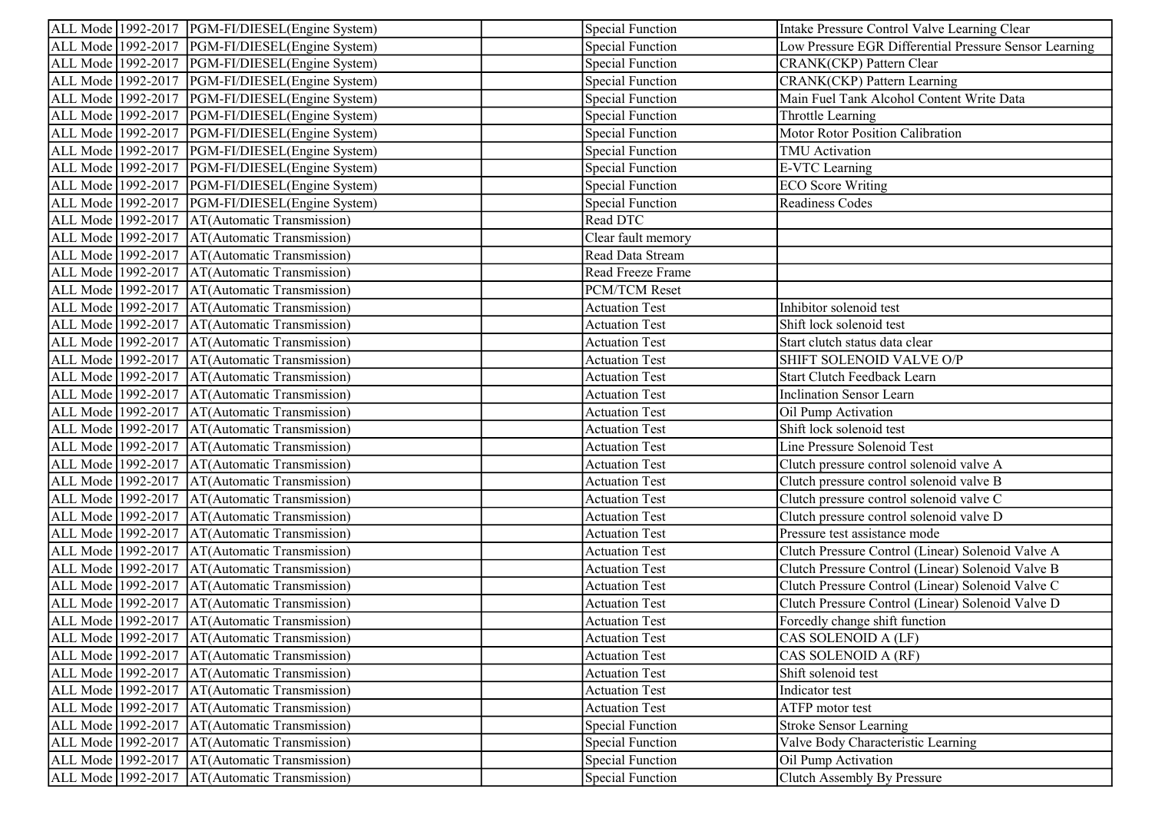| ALL Mode 1992-2017   PGM-FI/DIESEL (Engine System)   | <b>Special Function</b> | Intake Pressure Control Valve Learning Clear           |
|------------------------------------------------------|-------------------------|--------------------------------------------------------|
| ALL Mode 1992-2017  PGM-FI/DIESEL(Engine System)     | <b>Special Function</b> | Low Pressure EGR Differential Pressure Sensor Learning |
| ALL Mode 1992-2017   PGM-FI/DIESEL (Engine System)   | <b>Special Function</b> | CRANK(CKP) Pattern Clear                               |
| ALL Mode 1992-2017  PGM-FI/DIESEL(Engine System)     | <b>Special Function</b> | CRANK(CKP) Pattern Learning                            |
| ALL Mode 1992-2017   PGM-FI/DIESEL (Engine System)   | <b>Special Function</b> | Main Fuel Tank Alcohol Content Write Data              |
| ALL Mode 1992-2017   PGM-FI/DIESEL (Engine System)   | <b>Special Function</b> | Throttle Learning                                      |
| ALL Mode 1992-2017   PGM-FI/DIESEL (Engine System)   | <b>Special Function</b> | Motor Rotor Position Calibration                       |
| ALL Mode 1992-2017   PGM-FI/DIESEL (Engine System)   | <b>Special Function</b> | TMU Activation                                         |
| ALL Mode 1992-2017   PGM-FI/DIESEL (Engine System)   | <b>Special Function</b> | <b>E-VTC</b> Learning                                  |
| ALL Mode 1992-2017   PGM-FI/DIESEL (Engine System)   | <b>Special Function</b> | <b>ECO</b> Score Writing                               |
| ALL Mode   1992-2017   PGM-FI/DIESEL (Engine System) | <b>Special Function</b> | Readiness Codes                                        |
| ALL Mode 1992-2017<br>AT(Automatic Transmission)     | Read DTC                |                                                        |
| ALL Mode 1992-2017<br>AT(Automatic Transmission)     | Clear fault memory      |                                                        |
| ALL Mode 1992-2017<br>AT(Automatic Transmission)     | Read Data Stream        |                                                        |
| ALL Mode 1992-2017<br>AT(Automatic Transmission)     | Read Freeze Frame       |                                                        |
| ALL Mode 1992-2017<br>AT(Automatic Transmission)     | PCM/TCM Reset           |                                                        |
| ALL Mode 1992-2017<br>AT(Automatic Transmission)     | <b>Actuation Test</b>   | Inhibitor solenoid test                                |
| ALL Mode 1992-2017<br>AT(Automatic Transmission)     | <b>Actuation Test</b>   | Shift lock solenoid test                               |
| ALL Mode 1992-2017<br>AT(Automatic Transmission)     | <b>Actuation Test</b>   | Start clutch status data clear                         |
| ALL Mode 1992-2017<br>AT(Automatic Transmission)     | <b>Actuation Test</b>   | SHIFT SOLENOID VALVE O/P                               |
| ALL Mode 1992-2017<br>AT(Automatic Transmission)     | <b>Actuation Test</b>   | <b>Start Clutch Feedback Learn</b>                     |
| ALL Mode 1992-2017<br>AT(Automatic Transmission)     | <b>Actuation Test</b>   | <b>Inclination Sensor Learn</b>                        |
| ALL Mode 1992-2017<br>AT(Automatic Transmission)     | <b>Actuation Test</b>   | Oil Pump Activation                                    |
| ALL Mode 1992-2017<br>AT(Automatic Transmission)     | <b>Actuation Test</b>   | Shift lock solenoid test                               |
| ALL Mode 1992-2017<br>AT(Automatic Transmission)     | <b>Actuation Test</b>   | Line Pressure Solenoid Test                            |
| ALL Mode 1992-2017<br>AT(Automatic Transmission)     | <b>Actuation Test</b>   | Clutch pressure control solenoid valve A               |
| ALL Mode 1992-2017<br>AT(Automatic Transmission)     | <b>Actuation Test</b>   | Clutch pressure control solenoid valve B               |
| ALL Mode 1992-2017<br>AT(Automatic Transmission)     | <b>Actuation Test</b>   | Clutch pressure control solenoid valve C               |
| ALL Mode 1992-2017<br>AT(Automatic Transmission)     | <b>Actuation Test</b>   | Clutch pressure control solenoid valve D               |
| ALL Mode 1992-2017<br>AT(Automatic Transmission)     | <b>Actuation Test</b>   | Pressure test assistance mode                          |
| ALL Mode 1992-2017<br>AT(Automatic Transmission)     | <b>Actuation Test</b>   | Clutch Pressure Control (Linear) Solenoid Valve A      |
| ALL Mode 1992-2017<br>AT(Automatic Transmission)     | <b>Actuation Test</b>   | Clutch Pressure Control (Linear) Solenoid Valve B      |
| AT(Automatic Transmission)<br>ALL Mode 1992-2017     | <b>Actuation Test</b>   | Clutch Pressure Control (Linear) Solenoid Valve C      |
| ALL Mode 1992-2017<br>AT(Automatic Transmission)     | <b>Actuation Test</b>   | Clutch Pressure Control (Linear) Solenoid Valve D      |
| AT(Automatic Transmission)<br>ALL Mode 1992-2017     | <b>Actuation Test</b>   | Forcedly change shift function                         |
| ALL Mode 1992-2017 AT(Automatic Transmission)        | <b>Actuation Test</b>   | CAS SOLENOID A (LF)                                    |
| ALL Mode 1992-2017<br>AT(Automatic Transmission)     | <b>Actuation Test</b>   | CAS SOLENOID A (RF)                                    |
| ALL Mode 1992-2017<br>AT(Automatic Transmission)     | <b>Actuation Test</b>   | Shift solenoid test                                    |
| ALL Mode 1992-2017<br>AT(Automatic Transmission)     | <b>Actuation Test</b>   | Indicator test                                         |
| ALL Mode 1992-2017<br>AT(Automatic Transmission)     | <b>Actuation Test</b>   | ATFP motor test                                        |
| ALL Mode 1992-2017<br>AT(Automatic Transmission)     | <b>Special Function</b> | <b>Stroke Sensor Learning</b>                          |
| ALL Mode 1992-2017<br>AT(Automatic Transmission)     | <b>Special Function</b> | Valve Body Characteristic Learning                     |
| ALL Mode 1992-2017<br>AT(Automatic Transmission)     | <b>Special Function</b> | Oil Pump Activation                                    |
| ALL Mode 1992-2017<br>AT(Automatic Transmission)     | <b>Special Function</b> | Clutch Assembly By Pressure                            |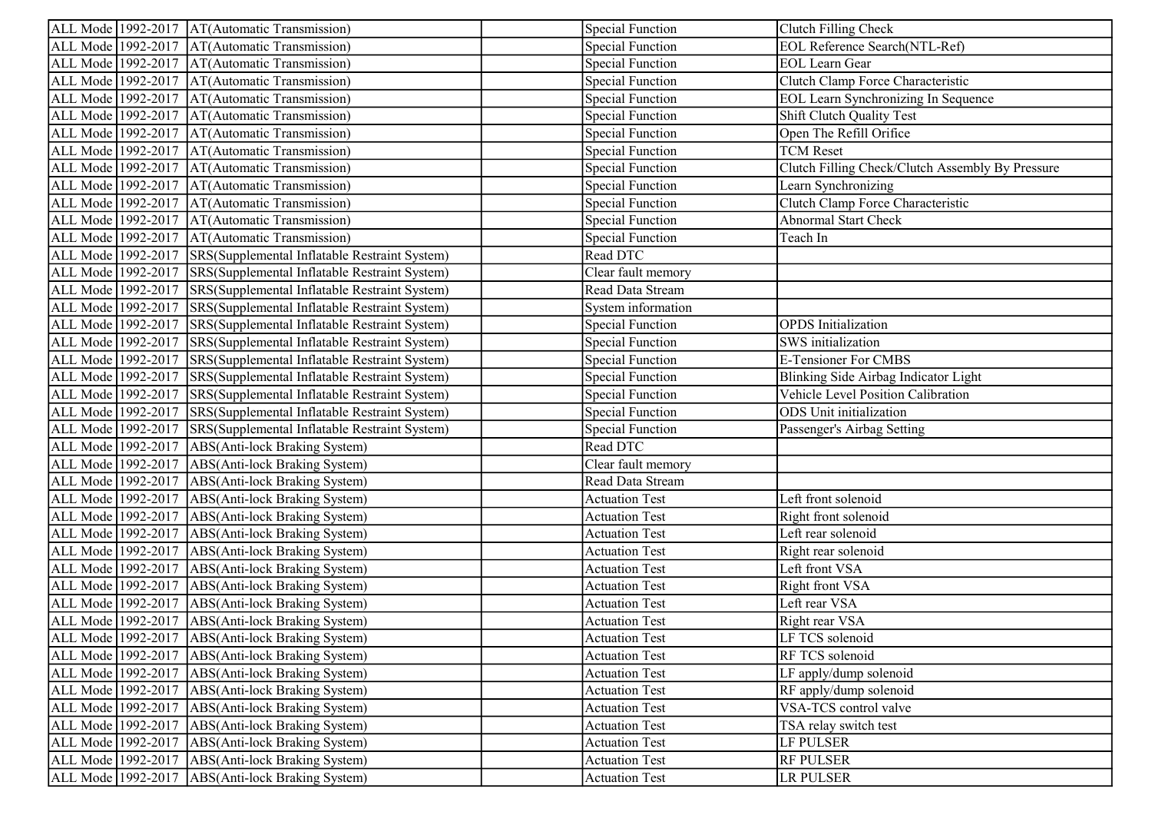| ALL Mode 1992-2017   AT(Automatic Transmission)                   |                                               | <b>Special Function</b> | Clutch Filling Check                             |
|-------------------------------------------------------------------|-----------------------------------------------|-------------------------|--------------------------------------------------|
| ALL Mode 1992-2017   AT(Automatic Transmission)                   |                                               | <b>Special Function</b> | <b>EOL Reference Search(NTL-Ref)</b>             |
| ALL Mode 1992-2017   AT(Automatic Transmission)                   |                                               | <b>Special Function</b> | <b>EOL</b> Learn Gear                            |
| ALL Mode 1992-2017   AT(Automatic Transmission)                   |                                               | <b>Special Function</b> | Clutch Clamp Force Characteristic                |
| ALL Mode 1992-2017 AT(Automatic Transmission)                     |                                               | <b>Special Function</b> | <b>EOL Learn Synchronizing In Sequence</b>       |
| ALL Mode 1992-2017   AT(Automatic Transmission)                   |                                               | <b>Special Function</b> | Shift Clutch Quality Test                        |
| AT(Automatic Transmission)<br>ALL Mode 1992-2017                  |                                               | <b>Special Function</b> | Open The Refill Orifice                          |
| AT(Automatic Transmission)<br>ALL Mode 1992-2017                  |                                               | <b>Special Function</b> | <b>TCM</b> Reset                                 |
| AT(Automatic Transmission)<br>ALL Mode 1992-2017                  |                                               | <b>Special Function</b> | Clutch Filling Check/Clutch Assembly By Pressure |
| ALL Mode 1992-2017<br>AT(Automatic Transmission)                  |                                               | <b>Special Function</b> | Learn Synchronizing                              |
| ALL Mode 1992-2017<br>AT(Automatic Transmission)                  |                                               | <b>Special Function</b> | Clutch Clamp Force Characteristic                |
| ALL Mode 1992-2017   AT(Automatic Transmission)                   |                                               | <b>Special Function</b> | Abnormal Start Check                             |
| ALL Mode 1992-2017   AT(Automatic Transmission)                   |                                               | <b>Special Function</b> | Teach In                                         |
| ALL Mode 1992-2017 SRS (Supplemental Inflatable Restraint System) |                                               | Read DTC                |                                                  |
| ALL Mode 1992-2017                                                | SRS(Supplemental Inflatable Restraint System) | Clear fault memory      |                                                  |
| ALL Mode 1992-2017 SRS (Supplemental Inflatable Restraint System) |                                               | Read Data Stream        |                                                  |
| ALL Mode 1992-2017 SRS(Supplemental Inflatable Restraint System)  |                                               | System information      |                                                  |
| ALL Mode 1992-2017 SRS(Supplemental Inflatable Restraint System)  |                                               | <b>Special Function</b> | <b>OPDS</b> Initialization                       |
| ALL Mode 1992-2017                                                | SRS(Supplemental Inflatable Restraint System) | <b>Special Function</b> | <b>SWS</b> initialization                        |
| ALL Mode 1992-2017 SRS (Supplemental Inflatable Restraint System) |                                               | <b>Special Function</b> | <b>E-Tensioner For CMBS</b>                      |
| ALL Mode 1992-2017 SRS(Supplemental Inflatable Restraint System)  |                                               | <b>Special Function</b> | Blinking Side Airbag Indicator Light             |
| ALL Mode 1992-2017 SRS (Supplemental Inflatable Restraint System) |                                               | <b>Special Function</b> | Vehicle Level Position Calibration               |
| ALL Mode 1992-2017                                                | SRS(Supplemental Inflatable Restraint System) | <b>Special Function</b> | ODS Unit initialization                          |
| ALL Mode 1992-2017                                                | SRS(Supplemental Inflatable Restraint System) | <b>Special Function</b> | Passenger's Airbag Setting                       |
| ALL Mode   1992-2017   ABS(Anti-lock Braking System)              |                                               | Read DTC                |                                                  |
| ALL Mode 1992-2017<br>ABS(Anti-lock Braking System)               |                                               | Clear fault memory      |                                                  |
| ALL Mode 1992-2017<br>ABS(Anti-lock Braking System)               |                                               | Read Data Stream        |                                                  |
| ALL Mode 1992-2017<br>ABS(Anti-lock Braking System)               |                                               | <b>Actuation Test</b>   | Left front solenoid                              |
| ALL Mode 1992-2017   ABS (Anti-lock Braking System)               |                                               | <b>Actuation Test</b>   | Right front solenoid                             |
| ALL Mode 1992-2017<br>ABS(Anti-lock Braking System)               |                                               | <b>Actuation Test</b>   | Left rear solenoid                               |
| ALL Mode 1992-2017<br>ABS(Anti-lock Braking System)               |                                               | <b>Actuation Test</b>   | Right rear solenoid                              |
| ALL Mode 1992-2017<br>ABS(Anti-lock Braking System)               |                                               | <b>Actuation Test</b>   | Left front VSA                                   |
| ALL Mode 1992-2017   ABS (Anti-lock Braking System)               |                                               | <b>Actuation Test</b>   | Right front VSA                                  |
| ALL Mode 1992-2017<br>ABS(Anti-lock Braking System)               |                                               | <b>Actuation Test</b>   | Left rear VSA                                    |
| ALL Mode 1992-2017   ABS(Anti-lock Braking System)                |                                               | <b>Actuation Test</b>   | Right rear VSA                                   |
| ALL Mode 1992-2017   ABS (Anti-lock Braking System)               |                                               | <b>Actuation Test</b>   | LF TCS solenoid                                  |
| ALL Mode 1992-2017<br>ABS(Anti-lock Braking System)               |                                               | <b>Actuation Test</b>   | RF TCS solenoid                                  |
| ALL Mode 1992-2017   ABS(Anti-lock Braking System)                |                                               | <b>Actuation Test</b>   | LF apply/dump solenoid                           |
| ALL Mode 1992-2017<br>ABS(Anti-lock Braking System)               |                                               | <b>Actuation Test</b>   | RF apply/dump solenoid                           |
| ALL Mode 1992-2017<br>ABS(Anti-lock Braking System)               |                                               | <b>Actuation Test</b>   | VSA-TCS control valve                            |
| ALL Mode 1992-2017<br>ABS(Anti-lock Braking System)               |                                               | <b>Actuation Test</b>   | TSA relay switch test                            |
| ALL Mode 1992-2017<br>ABS(Anti-lock Braking System)               |                                               | <b>Actuation Test</b>   | LF PULSER                                        |
| ALL Mode 1992-2017<br>ABS(Anti-lock Braking System)               |                                               | <b>Actuation Test</b>   | <b>RF PULSER</b>                                 |
| ALL Mode 1992-2017   ABS (Anti-lock Braking System)               |                                               | <b>Actuation Test</b>   | <b>LR PULSER</b>                                 |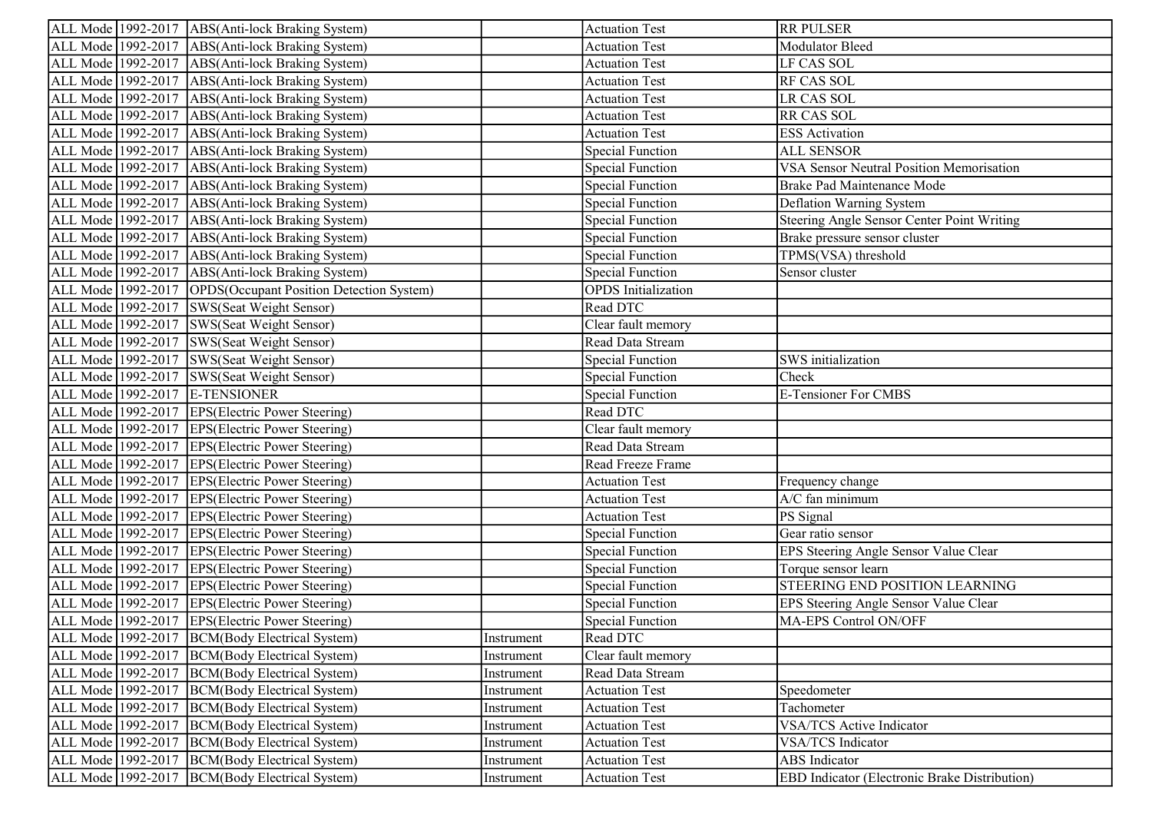| ALL Mode 1992-2017   ABS (Anti-lock Braking System)            |            | <b>Actuation Test</b>      | <b>RR PULSER</b>                                     |
|----------------------------------------------------------------|------------|----------------------------|------------------------------------------------------|
| ALL Mode 1992-2017   ABS (Anti-lock Braking System)            |            | <b>Actuation Test</b>      | Modulator Bleed                                      |
| ALL Mode 1992-2017   ABS(Anti-lock Braking System)             |            | <b>Actuation Test</b>      | LF CAS SOL                                           |
| ALL Mode 1992-2017   ABS (Anti-lock Braking System)            |            | <b>Actuation Test</b>      | <b>RF CAS SOL</b>                                    |
| ALL Mode 1992-2017   ABS(Anti-lock Braking System)             |            | <b>Actuation Test</b>      | LR CAS SOL                                           |
| ALL Mode 1992-2017   ABS (Anti-lock Braking System)            |            | <b>Actuation Test</b>      | <b>RR CAS SOL</b>                                    |
| ALL Mode 1992-2017   ABS(Anti-lock Braking System)             |            | <b>Actuation Test</b>      | <b>ESS</b> Activation                                |
| ALL Mode 1992-2017   ABS (Anti-lock Braking System)            |            | <b>Special Function</b>    | <b>ALL SENSOR</b>                                    |
| ALL Mode   1992-2017   ABS(Anti-lock Braking System)           |            | <b>Special Function</b>    | VSA Sensor Neutral Position Memorisation             |
| ALL Mode 1992-2017<br>ABS(Anti-lock Braking System)            |            | <b>Special Function</b>    | <b>Brake Pad Maintenance Mode</b>                    |
| ALL Mode 1992-2017<br>ABS(Anti-lock Braking System)            |            | <b>Special Function</b>    | Deflation Warning System                             |
| ALL Mode 1992-2017   ABS (Anti-lock Braking System)            |            | <b>Special Function</b>    | Steering Angle Sensor Center Point Writing           |
| ALL Mode 1992-2017   ABS (Anti-lock Braking System)            |            | <b>Special Function</b>    | Brake pressure sensor cluster                        |
| ALL Mode 1992-2017   ABS (Anti-lock Braking System)            |            | <b>Special Function</b>    | TPMS(VSA) threshold                                  |
| ALL Mode 1992-2017   ABS (Anti-lock Braking System)            |            | <b>Special Function</b>    | Sensor cluster                                       |
| ALL Mode 1992-2017   OPDS (Occupant Position Detection System) |            | <b>OPDS</b> Initialization |                                                      |
| ALL Mode 1992-2017 SWS(Seat Weight Sensor)                     |            | Read DTC                   |                                                      |
| ALL Mode 1992-2017 SWS(Seat Weight Sensor)                     |            | Clear fault memory         |                                                      |
| ALL Mode 1992-2017 SWS(Seat Weight Sensor)                     |            | Read Data Stream           |                                                      |
| ALL Mode 1992-2017 SWS(Seat Weight Sensor)                     |            | <b>Special Function</b>    | SWS initialization                                   |
| ALL Mode 1992-2017 SWS(Seat Weight Sensor)                     |            | <b>Special Function</b>    | Check                                                |
| ALL Mode 1992-2017 E-TENSIONER                                 |            | <b>Special Function</b>    | <b>E-Tensioner For CMBS</b>                          |
| ALL Mode 1992-2017 EPS(Electric Power Steering)                |            | Read DTC                   |                                                      |
| ALL Mode 1992-2017 EPS (Electric Power Steering)               |            | Clear fault memory         |                                                      |
| ALL Mode 1992-2017 EPS (Electric Power Steering)               |            | Read Data Stream           |                                                      |
| ALL Mode 1992-2017 EPS(Electric Power Steering)                |            | Read Freeze Frame          |                                                      |
| ALL Mode 1992-2017 EPS (Electric Power Steering)               |            | <b>Actuation Test</b>      | Frequency change                                     |
| ALL Mode 1992-2017<br><b>EPS</b> (Electric Power Steering)     |            | <b>Actuation Test</b>      | A/C fan minimum                                      |
| ALL Mode 1992-2017 EPS(Electric Power Steering)                |            | <b>Actuation Test</b>      | PS Signal                                            |
| ALL Mode 1992-2017 EPS (Electric Power Steering)               |            | <b>Special Function</b>    | Gear ratio sensor                                    |
| ALL Mode 1992-2017 EPS (Electric Power Steering)               |            | <b>Special Function</b>    | EPS Steering Angle Sensor Value Clear                |
| ALL Mode 1992-2017 EPS (Electric Power Steering)               |            | <b>Special Function</b>    | Torque sensor learn                                  |
| ALL Mode 1992-2017 EPS(Electric Power Steering)                |            | <b>Special Function</b>    | STEERING END POSITION LEARNING                       |
| ALL Mode 1992-2017 EPS (Electric Power Steering)               |            | <b>Special Function</b>    | EPS Steering Angle Sensor Value Clear                |
| ALL Mode   1992-2017   EPS(Electric Power Steering)            |            | <b>Special Function</b>    | MA-EPS Control ON/OFF                                |
| ALL Mode 1992-2017 BCM(Body Electrical System)                 | Instrument | Read DTC                   |                                                      |
| ALL Mode 1992-2017  BCM(Body Electrical System)                | Instrument | Clear fault memory         |                                                      |
| ALL Mode 1992-2017 BCM(Body Electrical System)                 | Instrument | Read Data Stream           |                                                      |
| ALL Mode 1992-2017<br>BCM(Body Electrical System)              | Instrument | <b>Actuation Test</b>      | Speedometer                                          |
| ALL Mode 1992-2017<br>BCM(Body Electrical System)              | Instrument | <b>Actuation Test</b>      | Tachometer                                           |
| ALL Mode 1992-2017 BCM(Body Electrical System)                 | Instrument | <b>Actuation Test</b>      | <b>VSA/TCS Active Indicator</b>                      |
| ALL Mode 1992-2017  BCM(Body Electrical System)                | Instrument | <b>Actuation Test</b>      | <b>VSA/TCS</b> Indicator                             |
| ALL Mode 1992-2017   BCM(Body Electrical System)               | Instrument | <b>Actuation Test</b>      | ABS Indicator                                        |
| ALL Mode 1992-2017  BCM(Body Electrical System)                | Instrument | <b>Actuation Test</b>      | <b>EBD</b> Indicator (Electronic Brake Distribution) |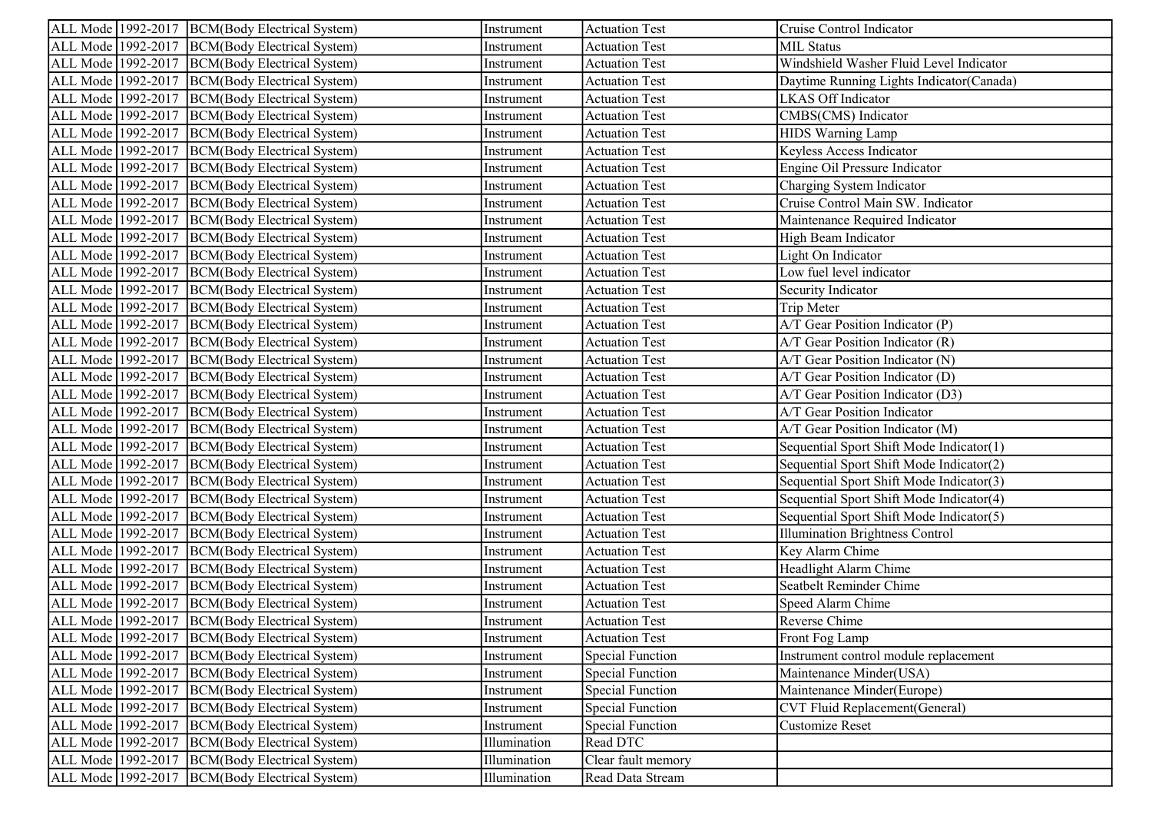| ALL Mode 1992-2017 BCM(Body Electrical System)     | Instrument   | <b>Actuation Test</b>   | Cruise Control Indicator                 |
|----------------------------------------------------|--------------|-------------------------|------------------------------------------|
| ALL Mode   1992-2017   BCM(Body Electrical System) | Instrument   | <b>Actuation Test</b>   | <b>MIL Status</b>                        |
| ALL Mode 1992-2017  BCM(Body Electrical System)    | Instrument   | <b>Actuation Test</b>   | Windshield Washer Fluid Level Indicator  |
| ALL Mode 1992-2017 BCM(Body Electrical System)     | Instrument   | <b>Actuation Test</b>   | Daytime Running Lights Indicator(Canada) |
| ALL Mode 1992-2017 BCM(Body Electrical System)     | Instrument   | <b>Actuation Test</b>   | LKAS Off Indicator                       |
| ALL Mode 1992-2017  BCM(Body Electrical System)    | Instrument   | <b>Actuation Test</b>   | CMBS(CMS) Indicator                      |
| ALL Mode 1992-2017  BCM(Body Electrical System)    | Instrument   | <b>Actuation Test</b>   | HIDS Warning Lamp                        |
| ALL Mode 1992-2017  BCM(Body Electrical System)    | Instrument   | <b>Actuation Test</b>   | Keyless Access Indicator                 |
| ALL Mode 1992-2017 BCM(Body Electrical System)     | Instrument   | <b>Actuation Test</b>   | Engine Oil Pressure Indicator            |
| ALL Mode 1992-2017<br>BCM(Body Electrical System)  | Instrument   | <b>Actuation Test</b>   | Charging System Indicator                |
| ALL Mode 1992-2017<br>BCM(Body Electrical System)  | Instrument   | <b>Actuation Test</b>   | Cruise Control Main SW. Indicator        |
| ALL Mode 1992-2017  BCM(Body Electrical System)    | Instrument   | <b>Actuation Test</b>   | Maintenance Required Indicator           |
| ALL Mode 1992-2017<br>BCM(Body Electrical System)  | Instrument   | <b>Actuation Test</b>   | High Beam Indicator                      |
| ALL Mode 1992-2017<br>BCM(Body Electrical System)  | Instrument   | <b>Actuation Test</b>   | Light On Indicator                       |
| ALL Mode 1992-2017<br>BCM(Body Electrical System)  | Instrument   | <b>Actuation Test</b>   | Low fuel level indicator                 |
| ALL Mode 1992-2017 BCM(Body Electrical System)     | Instrument   | <b>Actuation Test</b>   | Security Indicator                       |
| ALL Mode 1992-2017 BCM(Body Electrical System)     | Instrument   | <b>Actuation Test</b>   | Trip Meter                               |
| ALL Mode 1992-2017<br>BCM(Body Electrical System)  | Instrument   | <b>Actuation Test</b>   | A/T Gear Position Indicator (P)          |
| ALL Mode 1992-2017<br>BCM(Body Electrical System)  | Instrument   | <b>Actuation Test</b>   | A/T Gear Position Indicator (R)          |
| ALL Mode 1992-2017  BCM(Body Electrical System)    | Instrument   | <b>Actuation Test</b>   | A/T Gear Position Indicator (N)          |
| ALL Mode 1992-2017 BCM(Body Electrical System)     | Instrument   | <b>Actuation Test</b>   | A/T Gear Position Indicator (D)          |
| ALL Mode 1992-2017  BCM(Body Electrical System)    | Instrument   | <b>Actuation Test</b>   | A/T Gear Position Indicator (D3)         |
| ALL Mode 1992-2017  BCM(Body Electrical System)    | Instrument   | <b>Actuation Test</b>   | A/T Gear Position Indicator              |
| ALL Mode   1992-2017   BCM(Body Electrical System) | Instrument   | <b>Actuation Test</b>   | A/T Gear Position Indicator (M)          |
| ALL Mode 1992-2017 BCM(Body Electrical System)     | Instrument   | <b>Actuation Test</b>   | Sequential Sport Shift Mode Indicator(1) |
| ALL Mode 1992-2017 BCM(Body Electrical System)     | Instrument   | <b>Actuation Test</b>   | Sequential Sport Shift Mode Indicator(2) |
| ALL Mode 1992-2017<br>BCM(Body Electrical System)  | Instrument   | <b>Actuation Test</b>   | Sequential Sport Shift Mode Indicator(3) |
| ALL Mode 1992-2017<br>BCM(Body Electrical System)  | Instrument   | <b>Actuation Test</b>   | Sequential Sport Shift Mode Indicator(4) |
| ALL Mode 1992-2017  BCM(Body Electrical System)    | Instrument   | <b>Actuation Test</b>   | Sequential Sport Shift Mode Indicator(5) |
| ALL Mode 1992-2017<br>BCM(Body Electrical System)  | Instrument   | <b>Actuation Test</b>   | <b>Illumination Brightness Control</b>   |
| ALL Mode 1992-2017<br>BCM(Body Electrical System)  | Instrument   | <b>Actuation Test</b>   | Key Alarm Chime                          |
| ALL Mode 1992-2017<br>BCM(Body Electrical System)  | Instrument   | <b>Actuation Test</b>   | Headlight Alarm Chime                    |
| ALL Mode 1992-2017 BCM(Body Electrical System)     | Instrument   | <b>Actuation Test</b>   | Seatbelt Reminder Chime                  |
| ALL Mode 1992-2017  BCM(Body Electrical System)    | Instrument   | <b>Actuation Test</b>   | Speed Alarm Chime                        |
| ALL Mode 1992-2017 BCM(Body Electrical System)     | Instrument   | <b>Actuation Test</b>   | Reverse Chime                            |
| ALL Mode 1992-2017 BCM(Body Electrical System)     | Instrument   | <b>Actuation Test</b>   | Front Fog Lamp                           |
| ALL Mode 1992-2017<br>BCM(Body Electrical System)  | Instrument   | <b>Special Function</b> | Instrument control module replacement    |
| ALL Mode 1992-2017<br>BCM(Body Electrical System)  | Instrument   | <b>Special Function</b> | Maintenance Minder(USA)                  |
| ALL Mode 1992-2017<br>BCM(Body Electrical System)  | Instrument   | <b>Special Function</b> | Maintenance Minder(Europe)               |
| ALL Mode 1992-2017<br>BCM(Body Electrical System)  | Instrument   | <b>Special Function</b> | CVT Fluid Replacement (General)          |
| ALL Mode 1992-2017<br>BCM(Body Electrical System)  | Instrument   | <b>Special Function</b> | Customize Reset                          |
| ALL Mode 1992-2017<br>BCM(Body Electrical System)  | Illumination | Read DTC                |                                          |
| ALL Mode 1992-2017<br>BCM(Body Electrical System)  | Illumination | Clear fault memory      |                                          |
| ALL Mode 1992-2017<br>BCM(Body Electrical System)  | Illumination | Read Data Stream        |                                          |
|                                                    |              |                         |                                          |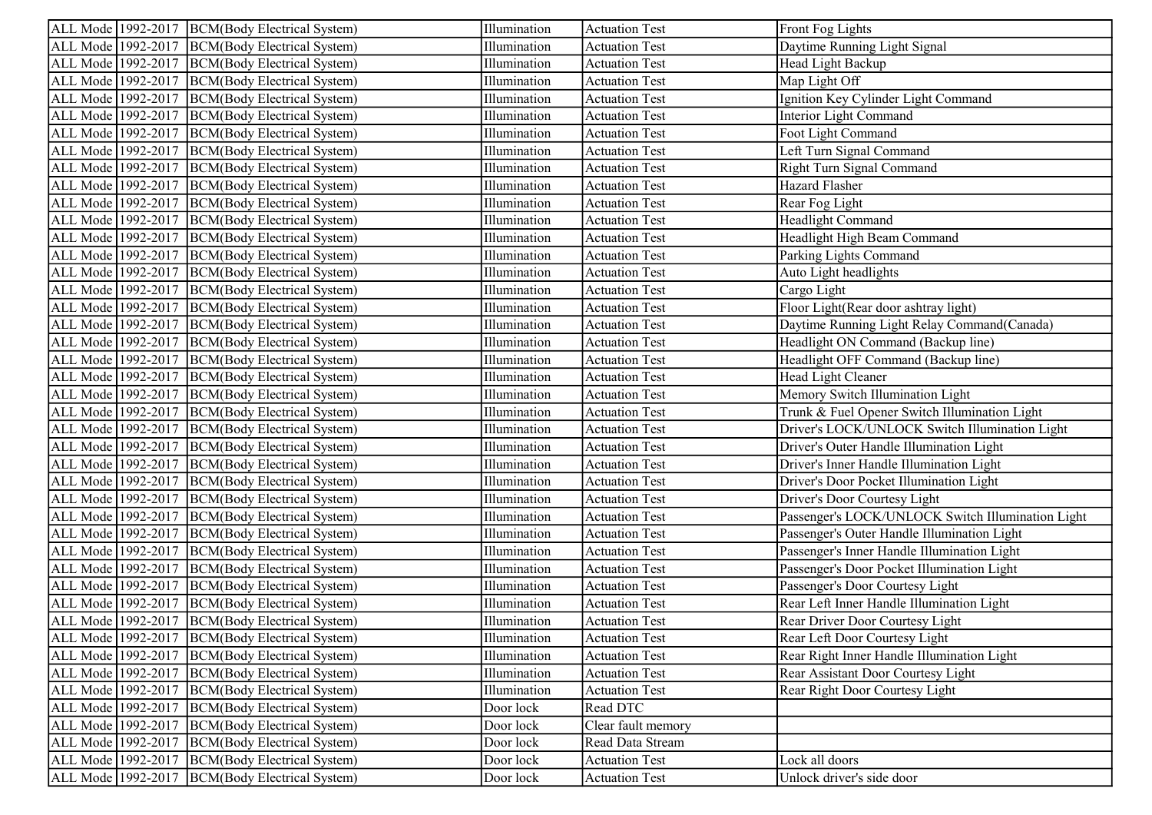| ALL Mode 1992-2017 BCM(Body Electrical System)    | Illumination | <b>Actuation Test</b> | Front Fog Lights                                  |
|---------------------------------------------------|--------------|-----------------------|---------------------------------------------------|
| ALL Mode 1992-2017<br>BCM(Body Electrical System) | Illumination | <b>Actuation Test</b> | Daytime Running Light Signal                      |
| ALL Mode 1992-2017 BCM(Body Electrical System)    | Illumination | <b>Actuation Test</b> | Head Light Backup                                 |
| ALL Mode 1992-2017 BCM(Body Electrical System)    | Illumination | <b>Actuation Test</b> | Map Light Off                                     |
| ALL Mode 1992-2017<br>BCM(Body Electrical System) | Illumination | <b>Actuation Test</b> | Ignition Key Cylinder Light Command               |
| ALL Mode 1992-2017<br>BCM(Body Electrical System) | Illumination | <b>Actuation Test</b> | Interior Light Command                            |
| ALL Mode 1992-2017  BCM(Body Electrical System)   | Illumination | <b>Actuation Test</b> | Foot Light Command                                |
| ALL Mode 1992-2017 BCM(Body Electrical System)    | Illumination | <b>Actuation Test</b> | Left Turn Signal Command                          |
| ALL Mode 1992-2017<br>BCM(Body Electrical System) | Illumination | <b>Actuation Test</b> | Right Turn Signal Command                         |
| ALL Mode 1992-2017<br>BCM(Body Electrical System) | Illumination | <b>Actuation Test</b> | Hazard Flasher                                    |
| ALL Mode 1992-2017 BCM(Body Electrical System)    | Illumination | <b>Actuation Test</b> | Rear Fog Light                                    |
| ALL Mode 1992-2017 BCM(Body Electrical System)    | Illumination | <b>Actuation Test</b> | Headlight Command                                 |
| ALL Mode 1992-2017<br>BCM(Body Electrical System) | Illumination | <b>Actuation Test</b> | Headlight High Beam Command                       |
| ALL Mode 1992-2017<br>BCM(Body Electrical System) | Illumination | <b>Actuation Test</b> | Parking Lights Command                            |
| ALL Mode 1992-2017<br>BCM(Body Electrical System) | Illumination | <b>Actuation Test</b> | Auto Light headlights                             |
| ALL Mode 1992-2017 BCM(Body Electrical System)    | Illumination | <b>Actuation Test</b> | Cargo Light                                       |
| ALL Mode 1992-2017   BCM(Body Electrical System)  | Illumination | <b>Actuation Test</b> | Floor Light(Rear door ashtray light)              |
| ALL Mode 1992-2017<br>BCM(Body Electrical System) | Illumination | <b>Actuation Test</b> | Daytime Running Light Relay Command(Canada)       |
| ALL Mode 1992-2017<br>BCM(Body Electrical System) | Illumination | <b>Actuation Test</b> | Headlight ON Command (Backup line)                |
| ALL Mode 1992-2017 BCM(Body Electrical System)    | Illumination | <b>Actuation Test</b> | Headlight OFF Command (Backup line)               |
| ALL Mode 1992-2017<br>BCM(Body Electrical System) | Illumination | <b>Actuation Test</b> | Head Light Cleaner                                |
| ALL Mode 1992-2017<br>BCM(Body Electrical System) | Illumination | <b>Actuation Test</b> | Memory Switch Illumination Light                  |
| ALL Mode 1992-2017<br>BCM(Body Electrical System) | Illumination | <b>Actuation Test</b> | Trunk & Fuel Opener Switch Illumination Light     |
| ALL Mode 1992-2017 BCM(Body Electrical System)    | Illumination | <b>Actuation Test</b> | Driver's LOCK/UNLOCK Switch Illumination Light    |
| ALL Mode 1992-2017<br>BCM(Body Electrical System) | Illumination | <b>Actuation Test</b> | Driver's Outer Handle Illumination Light          |
| ALL Mode 1992-2017<br>BCM(Body Electrical System) | Illumination | <b>Actuation Test</b> | Driver's Inner Handle Illumination Light          |
| ALL Mode 1992-2017<br>BCM(Body Electrical System) | Illumination | <b>Actuation Test</b> | Driver's Door Pocket Illumination Light           |
| ALL Mode 1992-2017<br>BCM(Body Electrical System) | Illumination | <b>Actuation Test</b> | Driver's Door Courtesy Light                      |
| ALL Mode 1992-2017<br>BCM(Body Electrical System) | Illumination | <b>Actuation Test</b> | Passenger's LOCK/UNLOCK Switch Illumination Light |
| ALL Mode 1992-2017<br>BCM(Body Electrical System) | Illumination | <b>Actuation Test</b> | Passenger's Outer Handle Illumination Light       |
| ALL Mode 1992-2017<br>BCM(Body Electrical System) | Illumination | <b>Actuation Test</b> | Passenger's Inner Handle Illumination Light       |
| ALL Mode 1992-2017<br>BCM(Body Electrical System) | Illumination | <b>Actuation Test</b> | Passenger's Door Pocket Illumination Light        |
| ALL Mode 1992-2017<br>BCM(Body Electrical System) | Illumination | <b>Actuation Test</b> | Passenger's Door Courtesy Light                   |
| ALL Mode 1992-2017<br>BCM(Body Electrical System) | Illumination | <b>Actuation Test</b> | Rear Left Inner Handle Illumination Light         |
| ALL Mode 1992-2017<br>BCM(Body Electrical System) | Illumination | <b>Actuation Test</b> | Rear Driver Door Courtesy Light                   |
| ALL Mode 1992-2017 BCM(Body Electrical System)    | Illumination | <b>Actuation Test</b> | Rear Left Door Courtesy Light                     |
| ALL Mode 1992-2017<br>BCM(Body Electrical System) | Illumination | <b>Actuation Test</b> | Rear Right Inner Handle Illumination Light        |
| ALL Mode 1992-2017<br>BCM(Body Electrical System) | Illumination | <b>Actuation Test</b> | Rear Assistant Door Courtesy Light                |
| ALL Mode 1992-2017<br>BCM(Body Electrical System) | Illumination | <b>Actuation Test</b> | Rear Right Door Courtesy Light                    |
| ALL Mode 1992-2017<br>BCM(Body Electrical System) | Door lock    | Read DTC              |                                                   |
| ALL Mode 1992-2017<br>BCM(Body Electrical System) | Door lock    | Clear fault memory    |                                                   |
| ALL Mode 1992-2017<br>BCM(Body Electrical System) | Door lock    | Read Data Stream      |                                                   |
| ALL Mode 1992-2017<br>BCM(Body Electrical System) | Door lock    | <b>Actuation Test</b> | Lock all doors                                    |
| ALL Mode 1992-2017<br>BCM(Body Electrical System) | Door lock    | <b>Actuation Test</b> | Unlock driver's side door                         |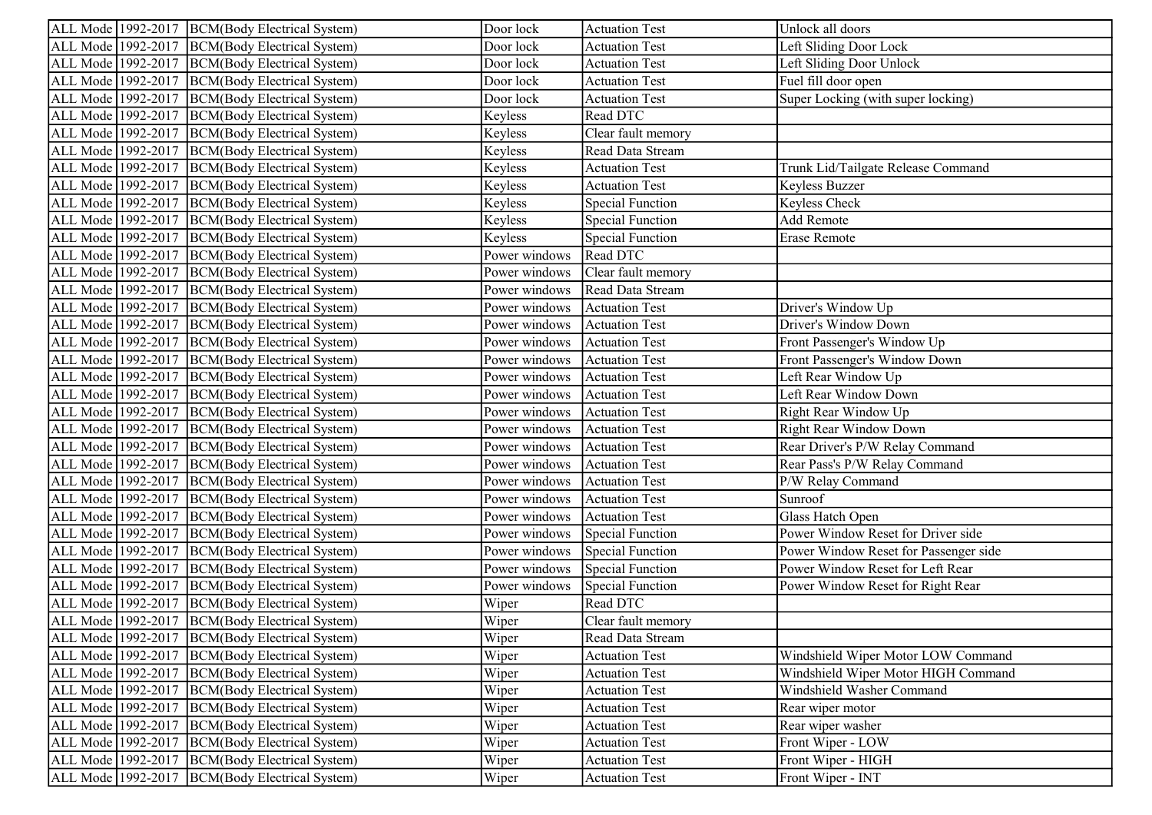| ALL Mode 1992-2017 BCM(Body Electrical System)     | Door lock     | <b>Actuation Test</b>   | Unlock all doors                      |
|----------------------------------------------------|---------------|-------------------------|---------------------------------------|
| ALL Mode 1992-2017 BCM(Body Electrical System)     | Door lock     | <b>Actuation Test</b>   | Left Sliding Door Lock                |
| ALL Mode 1992-2017 BCM(Body Electrical System)     | Door lock     | <b>Actuation Test</b>   | Left Sliding Door Unlock              |
| ALL Mode 1992-2017 BCM(Body Electrical System)     | Door lock     | <b>Actuation Test</b>   | Fuel fill door open                   |
| ALL Mode 1992-2017 BCM(Body Electrical System)     | Door lock     | <b>Actuation Test</b>   | Super Locking (with super locking)    |
| ALL Mode 1992-2017 BCM(Body Electrical System)     | Keyless       | Read DTC                |                                       |
| ALL Mode 1992-2017 BCM(Body Electrical System)     | Keyless       | Clear fault memory      |                                       |
| ALL Mode 1992-2017 BCM(Body Electrical System)     | Keyless       | Read Data Stream        |                                       |
| ALL Mode 1992-2017 BCM(Body Electrical System)     | Keyless       | <b>Actuation Test</b>   | Trunk Lid/Tailgate Release Command    |
| ALL Mode 1992-2017  BCM(Body Electrical System)    | Keyless       | <b>Actuation Test</b>   | Keyless Buzzer                        |
| ALL Mode 1992-2017 BCM(Body Electrical System)     | Keyless       | <b>Special Function</b> | Keyless Check                         |
| ALL Mode 1992-2017 BCM(Body Electrical System)     | Keyless       | <b>Special Function</b> | Add Remote                            |
| ALL Mode 1992-2017  BCM(Body Electrical System)    | Keyless       | <b>Special Function</b> | Erase Remote                          |
| ALL Mode 1992-2017 BCM(Body Electrical System)     | Power windows | Read DTC                |                                       |
| ALL Mode 1992-2017 BCM(Body Electrical System)     | Power windows | Clear fault memory      |                                       |
| ALL Mode 1992-2017 BCM(Body Electrical System)     | Power windows | Read Data Stream        |                                       |
| ALL Mode 1992-2017 BCM(Body Electrical System)     | Power windows | <b>Actuation Test</b>   | Driver's Window Up                    |
| ALL Mode 1992-2017 BCM(Body Electrical System)     | Power windows | <b>Actuation Test</b>   | Driver's Window Down                  |
| ALL Mode 1992-2017  BCM(Body Electrical System)    | Power windows | <b>Actuation Test</b>   | Front Passenger's Window Up           |
| ALL Mode 1992-2017 BCM(Body Electrical System)     | Power windows | <b>Actuation Test</b>   | Front Passenger's Window Down         |
| ALL Mode 1992-2017 BCM(Body Electrical System)     | Power windows | <b>Actuation Test</b>   | Left Rear Window Up                   |
| ALL Mode 1992-2017 BCM(Body Electrical System)     | Power windows | <b>Actuation Test</b>   | Left Rear Window Down                 |
| ALL Mode 1992-2017 BCM(Body Electrical System)     | Power windows | <b>Actuation Test</b>   | Right Rear Window Up                  |
| ALL Mode 1992-2017 BCM(Body Electrical System)     | Power windows | <b>Actuation Test</b>   | Right Rear Window Down                |
| ALL Mode 1992-2017 BCM(Body Electrical System)     | Power windows | <b>Actuation Test</b>   | Rear Driver's P/W Relay Command       |
| ALL Mode 1992-2017 BCM(Body Electrical System)     | Power windows | <b>Actuation Test</b>   | Rear Pass's P/W Relay Command         |
| ALL Mode   1992-2017   BCM(Body Electrical System) | Power windows | <b>Actuation Test</b>   | P/W Relay Command                     |
| ALL Mode 1992-2017 BCM(Body Electrical System)     | Power windows | <b>Actuation Test</b>   | Sunroof                               |
| ALL Mode 1992-2017 BCM(Body Electrical System)     | Power windows | <b>Actuation Test</b>   | Glass Hatch Open                      |
| ALL Mode 1992-2017 BCM(Body Electrical System)     | Power windows | Special Function        | Power Window Reset for Driver side    |
| ALL Mode 1992-2017 BCM(Body Electrical System)     | Power windows | Special Function        | Power Window Reset for Passenger side |
| ALL Mode 1992-2017 BCM(Body Electrical System)     | Power windows | Special Function        | Power Window Reset for Left Rear      |
| ALL Mode 1992-2017 BCM(Body Electrical System)     | Power windows | Special Function        | Power Window Reset for Right Rear     |
| ALL Mode   1992-2017   BCM(Body Electrical System) | Wiper         | Read DTC                |                                       |
| ALL Mode 1992-2017 BCM(Body Electrical System)     | Wiper         | Clear fault memory      |                                       |
| ALL Mode 1992-2017 BCM(Body Electrical System)     | Wiper         | Read Data Stream        |                                       |
| ALL Mode 1992-2017  BCM(Body Electrical System)    | Wiper         | <b>Actuation Test</b>   | Windshield Wiper Motor LOW Command    |
| ALL Mode 1992-2017<br>BCM(Body Electrical System)  | Wiper         | <b>Actuation Test</b>   | Windshield Wiper Motor HIGH Command   |
| ALL Mode 1992-2017<br>BCM(Body Electrical System)  | Wiper         | <b>Actuation Test</b>   | Windshield Washer Command             |
| ALL Mode 1992-2017<br>BCM(Body Electrical System)  | Wiper         | <b>Actuation Test</b>   | Rear wiper motor                      |
| ALL Mode 1992-2017 BCM(Body Electrical System)     | Wiper         | <b>Actuation Test</b>   | Rear wiper washer                     |
| ALL Mode 1992-2017  BCM(Body Electrical System)    | Wiper         | <b>Actuation Test</b>   | Front Wiper - LOW                     |
| ALL Mode 1992-2017<br>BCM(Body Electrical System)  | Wiper         | <b>Actuation Test</b>   | Front Wiper - HIGH                    |
| ALL Mode 1992-2017<br>BCM(Body Electrical System)  | Wiper         | <b>Actuation Test</b>   | Front Wiper - INT                     |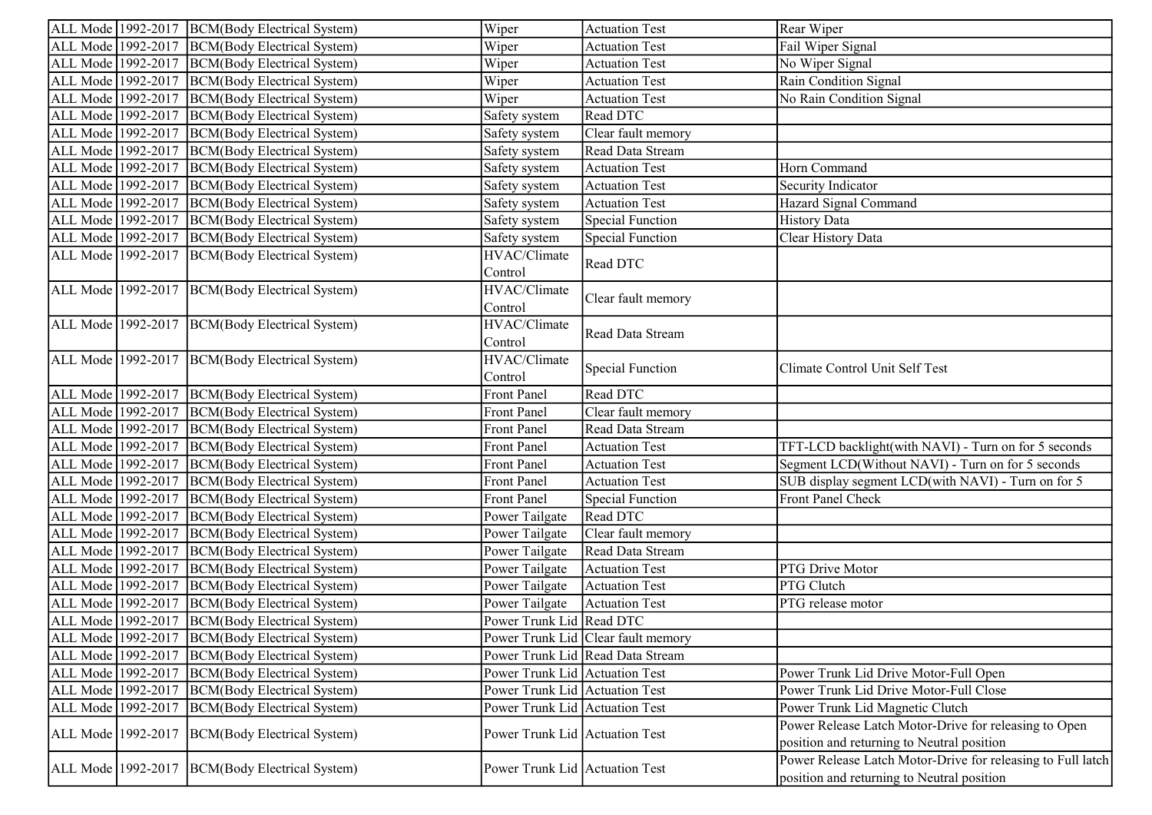|                    | ALL Mode 1992-2017 BCM(Body Electrical System)     | Wiper                          | <b>Actuation Test</b>              | Rear Wiper                                                  |
|--------------------|----------------------------------------------------|--------------------------------|------------------------------------|-------------------------------------------------------------|
|                    | ALL Mode 1992-2017   BCM(Body Electrical System)   | Wiper                          | <b>Actuation Test</b>              | Fail Wiper Signal                                           |
|                    | ALL Mode 1992-2017  BCM(Body Electrical System)    | Wiper                          | <b>Actuation Test</b>              | No Wiper Signal                                             |
|                    | ALL Mode 1992-2017 BCM(Body Electrical System)     | Wiper                          | <b>Actuation Test</b>              | Rain Condition Signal                                       |
| ALL Mode 1992-2017 | BCM(Body Electrical System)                        | Wiper                          | <b>Actuation Test</b>              | No Rain Condition Signal                                    |
|                    | ALL Mode 1992-2017   BCM(Body Electrical System)   | Safety system                  | Read DTC                           |                                                             |
|                    | ALL Mode 1992-2017 BCM(Body Electrical System)     | Safety system                  | Clear fault memory                 |                                                             |
|                    | ALL Mode 1992-2017   BCM(Body Electrical System)   | Safety system                  | Read Data Stream                   |                                                             |
| ALL Mode 1992-2017 | BCM(Body Electrical System)                        | Safety system                  | <b>Actuation Test</b>              | Horn Command                                                |
| ALL Mode 1992-2017 | BCM(Body Electrical System)                        | Safety system                  | <b>Actuation Test</b>              | Security Indicator                                          |
| ALL Mode 1992-2017 | BCM(Body Electrical System)                        | Safety system                  | <b>Actuation Test</b>              | Hazard Signal Command                                       |
|                    | ALL Mode 1992-2017 BCM(Body Electrical System)     | Safety system                  | <b>Special Function</b>            | <b>History Data</b>                                         |
|                    | ALL Mode 1992-2017  BCM(Body Electrical System)    | Safety system                  | <b>Special Function</b>            | Clear History Data                                          |
|                    | ALL Mode 1992-2017 BCM(Body Electrical System)     | HVAC/Climate                   | Read DTC                           |                                                             |
|                    |                                                    | Control                        |                                    |                                                             |
|                    | ALL Mode 1992-2017 BCM(Body Electrical System)     | HVAC/Climate                   |                                    |                                                             |
|                    |                                                    | Control                        | Clear fault memory                 |                                                             |
|                    | ALL Mode 1992-2017 BCM(Body Electrical System)     | HVAC/Climate                   |                                    |                                                             |
|                    |                                                    | Control                        | Read Data Stream                   |                                                             |
|                    | ALL Mode 1992-2017 BCM(Body Electrical System)     | HVAC/Climate                   |                                    |                                                             |
|                    |                                                    | Control                        | <b>Special Function</b>            | Climate Control Unit Self Test                              |
|                    | ALL Mode 1992-2017 BCM(Body Electrical System)     | <b>Front Panel</b>             | Read DTC                           |                                                             |
|                    | ALL Mode 1992-2017  BCM(Body Electrical System)    | <b>Front Panel</b>             | Clear fault memory                 |                                                             |
|                    | ALL Mode 1992-2017 BCM(Body Electrical System)     | Front Panel                    | Read Data Stream                   |                                                             |
|                    | ALL Mode 1992-2017 BCM(Body Electrical System)     | Front Panel                    | <b>Actuation Test</b>              | TFT-LCD backlight(with NAVI) - Turn on for 5 seconds        |
|                    | ALL Mode 1992-2017   BCM(Body Electrical System)   | Front Panel                    | <b>Actuation Test</b>              | Segment LCD(Without NAVI) - Turn on for 5 seconds           |
| ALL Mode 1992-2017 | BCM(Body Electrical System)                        | <b>Front Panel</b>             | <b>Actuation Test</b>              | SUB display segment LCD(with NAVI) - Turn on for 5          |
| ALL Mode 1992-2017 | BCM(Body Electrical System)                        | <b>Front Panel</b>             | <b>Special Function</b>            | Front Panel Check                                           |
|                    | ALL Mode 1992-2017 BCM(Body Electrical System)     | Power Tailgate                 | Read DTC                           |                                                             |
| ALL Mode 1992-2017 | BCM(Body Electrical System)                        | Power Tailgate                 | Clear fault memory                 |                                                             |
| ALL Mode 1992-2017 | BCM(Body Electrical System)                        | Power Tailgate                 | Read Data Stream                   |                                                             |
| ALL Mode 1992-2017 | BCM(Body Electrical System)                        | Power Tailgate                 | <b>Actuation Test</b>              | PTG Drive Motor                                             |
|                    | ALL Mode 1992-2017   BCM(Body Electrical System)   | Power Tailgate                 | <b>Actuation Test</b>              | PTG Clutch                                                  |
| ALL Mode 1992-2017 | BCM(Body Electrical System)                        | Power Tailgate                 | <b>Actuation Test</b>              | PTG release motor                                           |
|                    | ALL Mode 1992-2017  BCM(Body Electrical System)    | Power Trunk Lid Read DTC       |                                    |                                                             |
|                    | ALL Mode   1992-2017   BCM(Body Electrical System) |                                | Power Trunk Lid Clear fault memory |                                                             |
| ALL Mode 1992-2017 | BCM(Body Electrical System)                        |                                | Power Trunk Lid Read Data Stream   |                                                             |
| ALL Mode 1992-2017 | BCM(Body Electrical System)                        | Power Trunk Lid Actuation Test |                                    | Power Trunk Lid Drive Motor-Full Open                       |
| ALL Mode 1992-2017 | BCM(Body Electrical System)                        | Power Trunk Lid Actuation Test |                                    | Power Trunk Lid Drive Motor-Full Close                      |
| ALL Mode 1992-2017 | BCM(Body Electrical System)                        | Power Trunk Lid Actuation Test |                                    | Power Trunk Lid Magnetic Clutch                             |
|                    |                                                    |                                |                                    | Power Release Latch Motor-Drive for releasing to Open       |
|                    | ALL Mode 1992-2017 BCM(Body Electrical System)     | Power Trunk Lid Actuation Test |                                    | position and returning to Neutral position                  |
|                    |                                                    |                                |                                    | Power Release Latch Motor-Drive for releasing to Full latch |
| ALL Mode 1992-2017 | BCM(Body Electrical System)                        | Power Trunk Lid Actuation Test |                                    | position and returning to Neutral position                  |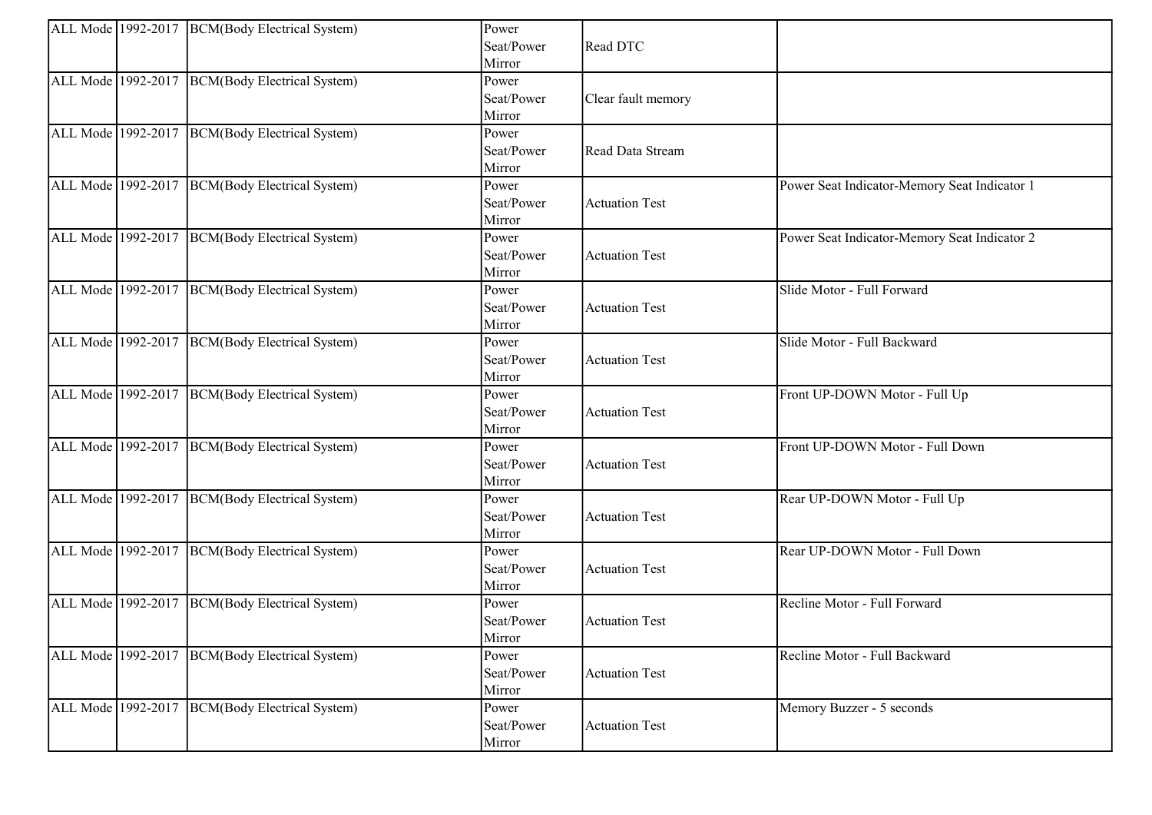| Seat/Power<br>Read DTC<br>Mirror<br>ALL Mode 1992-2017 BCM(Body Electrical System)<br>Power<br>Seat/Power<br>Clear fault memory<br>Mirror<br>ALL Mode 1992-2017 BCM(Body Electrical System)<br>Power<br>Seat/Power<br>Read Data Stream<br>Mirror<br>ALL Mode 1992-2017 BCM(Body Electrical System)<br>Power Seat Indicator-Memory Seat Indicator 1<br>Power<br>Seat/Power<br><b>Actuation Test</b><br>Mirror<br>ALL Mode 1992-2017 BCM(Body Electrical System)<br>Power Seat Indicator-Memory Seat Indicator 2<br>Power<br>Seat/Power<br><b>Actuation Test</b><br>Mirror<br>ALL Mode 1992-2017 BCM(Body Electrical System)<br>Slide Motor - Full Forward<br>Power<br>Seat/Power<br><b>Actuation Test</b><br>Mirror<br><b>BCM</b> (Body Electrical System)<br>ALL Mode 1992-2017<br>Slide Motor - Full Backward<br>Power<br>Seat/Power<br><b>Actuation Test</b><br>Mirror<br>ALL Mode 1992-2017  BCM(Body Electrical System)<br>Front UP-DOWN Motor - Full Up<br>Power<br>Seat/Power<br><b>Actuation Test</b><br>Mirror<br>ALL Mode 1992-2017 BCM(Body Electrical System)<br>Front UP-DOWN Motor - Full Down<br>Power<br>Seat/Power<br><b>Actuation Test</b><br>Mirror<br>ALL Mode 1992-2017 BCM(Body Electrical System)<br>Rear UP-DOWN Motor - Full Up<br>Power<br>Seat/Power<br><b>Actuation Test</b><br>Mirror<br>ALL Mode 1992-2017 BCM(Body Electrical System)<br>Rear UP-DOWN Motor - Full Down<br>Power<br>Seat/Power<br><b>Actuation Test</b><br>Mirror<br>ALL Mode 1992-2017 BCM(Body Electrical System)<br>Recline Motor - Full Forward<br>Power<br>Seat/Power<br><b>Actuation Test</b><br>Mirror<br>ALL Mode 1992-2017 BCM(Body Electrical System)<br>Recline Motor - Full Backward<br>Power<br>Seat/Power<br><b>Actuation Test</b><br>Mirror<br>ALL Mode 1992-2017 BCM(Body Electrical System)<br>Power<br>Memory Buzzer - 5 seconds<br>Seat/Power<br><b>Actuation Test</b> |  | ALL Mode 1992-2017 BCM(Body Electrical System) | Power  |  |
|-----------------------------------------------------------------------------------------------------------------------------------------------------------------------------------------------------------------------------------------------------------------------------------------------------------------------------------------------------------------------------------------------------------------------------------------------------------------------------------------------------------------------------------------------------------------------------------------------------------------------------------------------------------------------------------------------------------------------------------------------------------------------------------------------------------------------------------------------------------------------------------------------------------------------------------------------------------------------------------------------------------------------------------------------------------------------------------------------------------------------------------------------------------------------------------------------------------------------------------------------------------------------------------------------------------------------------------------------------------------------------------------------------------------------------------------------------------------------------------------------------------------------------------------------------------------------------------------------------------------------------------------------------------------------------------------------------------------------------------------------------------------------------------------------------------------------------------------------------------------------------------------|--|------------------------------------------------|--------|--|
|                                                                                                                                                                                                                                                                                                                                                                                                                                                                                                                                                                                                                                                                                                                                                                                                                                                                                                                                                                                                                                                                                                                                                                                                                                                                                                                                                                                                                                                                                                                                                                                                                                                                                                                                                                                                                                                                                         |  |                                                |        |  |
|                                                                                                                                                                                                                                                                                                                                                                                                                                                                                                                                                                                                                                                                                                                                                                                                                                                                                                                                                                                                                                                                                                                                                                                                                                                                                                                                                                                                                                                                                                                                                                                                                                                                                                                                                                                                                                                                                         |  |                                                |        |  |
|                                                                                                                                                                                                                                                                                                                                                                                                                                                                                                                                                                                                                                                                                                                                                                                                                                                                                                                                                                                                                                                                                                                                                                                                                                                                                                                                                                                                                                                                                                                                                                                                                                                                                                                                                                                                                                                                                         |  |                                                |        |  |
|                                                                                                                                                                                                                                                                                                                                                                                                                                                                                                                                                                                                                                                                                                                                                                                                                                                                                                                                                                                                                                                                                                                                                                                                                                                                                                                                                                                                                                                                                                                                                                                                                                                                                                                                                                                                                                                                                         |  |                                                |        |  |
|                                                                                                                                                                                                                                                                                                                                                                                                                                                                                                                                                                                                                                                                                                                                                                                                                                                                                                                                                                                                                                                                                                                                                                                                                                                                                                                                                                                                                                                                                                                                                                                                                                                                                                                                                                                                                                                                                         |  |                                                |        |  |
|                                                                                                                                                                                                                                                                                                                                                                                                                                                                                                                                                                                                                                                                                                                                                                                                                                                                                                                                                                                                                                                                                                                                                                                                                                                                                                                                                                                                                                                                                                                                                                                                                                                                                                                                                                                                                                                                                         |  |                                                |        |  |
|                                                                                                                                                                                                                                                                                                                                                                                                                                                                                                                                                                                                                                                                                                                                                                                                                                                                                                                                                                                                                                                                                                                                                                                                                                                                                                                                                                                                                                                                                                                                                                                                                                                                                                                                                                                                                                                                                         |  |                                                |        |  |
|                                                                                                                                                                                                                                                                                                                                                                                                                                                                                                                                                                                                                                                                                                                                                                                                                                                                                                                                                                                                                                                                                                                                                                                                                                                                                                                                                                                                                                                                                                                                                                                                                                                                                                                                                                                                                                                                                         |  |                                                |        |  |
|                                                                                                                                                                                                                                                                                                                                                                                                                                                                                                                                                                                                                                                                                                                                                                                                                                                                                                                                                                                                                                                                                                                                                                                                                                                                                                                                                                                                                                                                                                                                                                                                                                                                                                                                                                                                                                                                                         |  |                                                |        |  |
|                                                                                                                                                                                                                                                                                                                                                                                                                                                                                                                                                                                                                                                                                                                                                                                                                                                                                                                                                                                                                                                                                                                                                                                                                                                                                                                                                                                                                                                                                                                                                                                                                                                                                                                                                                                                                                                                                         |  |                                                |        |  |
|                                                                                                                                                                                                                                                                                                                                                                                                                                                                                                                                                                                                                                                                                                                                                                                                                                                                                                                                                                                                                                                                                                                                                                                                                                                                                                                                                                                                                                                                                                                                                                                                                                                                                                                                                                                                                                                                                         |  |                                                |        |  |
|                                                                                                                                                                                                                                                                                                                                                                                                                                                                                                                                                                                                                                                                                                                                                                                                                                                                                                                                                                                                                                                                                                                                                                                                                                                                                                                                                                                                                                                                                                                                                                                                                                                                                                                                                                                                                                                                                         |  |                                                |        |  |
|                                                                                                                                                                                                                                                                                                                                                                                                                                                                                                                                                                                                                                                                                                                                                                                                                                                                                                                                                                                                                                                                                                                                                                                                                                                                                                                                                                                                                                                                                                                                                                                                                                                                                                                                                                                                                                                                                         |  |                                                |        |  |
|                                                                                                                                                                                                                                                                                                                                                                                                                                                                                                                                                                                                                                                                                                                                                                                                                                                                                                                                                                                                                                                                                                                                                                                                                                                                                                                                                                                                                                                                                                                                                                                                                                                                                                                                                                                                                                                                                         |  |                                                |        |  |
|                                                                                                                                                                                                                                                                                                                                                                                                                                                                                                                                                                                                                                                                                                                                                                                                                                                                                                                                                                                                                                                                                                                                                                                                                                                                                                                                                                                                                                                                                                                                                                                                                                                                                                                                                                                                                                                                                         |  |                                                |        |  |
|                                                                                                                                                                                                                                                                                                                                                                                                                                                                                                                                                                                                                                                                                                                                                                                                                                                                                                                                                                                                                                                                                                                                                                                                                                                                                                                                                                                                                                                                                                                                                                                                                                                                                                                                                                                                                                                                                         |  |                                                |        |  |
|                                                                                                                                                                                                                                                                                                                                                                                                                                                                                                                                                                                                                                                                                                                                                                                                                                                                                                                                                                                                                                                                                                                                                                                                                                                                                                                                                                                                                                                                                                                                                                                                                                                                                                                                                                                                                                                                                         |  |                                                |        |  |
|                                                                                                                                                                                                                                                                                                                                                                                                                                                                                                                                                                                                                                                                                                                                                                                                                                                                                                                                                                                                                                                                                                                                                                                                                                                                                                                                                                                                                                                                                                                                                                                                                                                                                                                                                                                                                                                                                         |  |                                                |        |  |
|                                                                                                                                                                                                                                                                                                                                                                                                                                                                                                                                                                                                                                                                                                                                                                                                                                                                                                                                                                                                                                                                                                                                                                                                                                                                                                                                                                                                                                                                                                                                                                                                                                                                                                                                                                                                                                                                                         |  |                                                |        |  |
|                                                                                                                                                                                                                                                                                                                                                                                                                                                                                                                                                                                                                                                                                                                                                                                                                                                                                                                                                                                                                                                                                                                                                                                                                                                                                                                                                                                                                                                                                                                                                                                                                                                                                                                                                                                                                                                                                         |  |                                                |        |  |
|                                                                                                                                                                                                                                                                                                                                                                                                                                                                                                                                                                                                                                                                                                                                                                                                                                                                                                                                                                                                                                                                                                                                                                                                                                                                                                                                                                                                                                                                                                                                                                                                                                                                                                                                                                                                                                                                                         |  |                                                |        |  |
|                                                                                                                                                                                                                                                                                                                                                                                                                                                                                                                                                                                                                                                                                                                                                                                                                                                                                                                                                                                                                                                                                                                                                                                                                                                                                                                                                                                                                                                                                                                                                                                                                                                                                                                                                                                                                                                                                         |  |                                                |        |  |
|                                                                                                                                                                                                                                                                                                                                                                                                                                                                                                                                                                                                                                                                                                                                                                                                                                                                                                                                                                                                                                                                                                                                                                                                                                                                                                                                                                                                                                                                                                                                                                                                                                                                                                                                                                                                                                                                                         |  |                                                |        |  |
|                                                                                                                                                                                                                                                                                                                                                                                                                                                                                                                                                                                                                                                                                                                                                                                                                                                                                                                                                                                                                                                                                                                                                                                                                                                                                                                                                                                                                                                                                                                                                                                                                                                                                                                                                                                                                                                                                         |  |                                                |        |  |
|                                                                                                                                                                                                                                                                                                                                                                                                                                                                                                                                                                                                                                                                                                                                                                                                                                                                                                                                                                                                                                                                                                                                                                                                                                                                                                                                                                                                                                                                                                                                                                                                                                                                                                                                                                                                                                                                                         |  |                                                |        |  |
|                                                                                                                                                                                                                                                                                                                                                                                                                                                                                                                                                                                                                                                                                                                                                                                                                                                                                                                                                                                                                                                                                                                                                                                                                                                                                                                                                                                                                                                                                                                                                                                                                                                                                                                                                                                                                                                                                         |  |                                                |        |  |
|                                                                                                                                                                                                                                                                                                                                                                                                                                                                                                                                                                                                                                                                                                                                                                                                                                                                                                                                                                                                                                                                                                                                                                                                                                                                                                                                                                                                                                                                                                                                                                                                                                                                                                                                                                                                                                                                                         |  |                                                |        |  |
|                                                                                                                                                                                                                                                                                                                                                                                                                                                                                                                                                                                                                                                                                                                                                                                                                                                                                                                                                                                                                                                                                                                                                                                                                                                                                                                                                                                                                                                                                                                                                                                                                                                                                                                                                                                                                                                                                         |  |                                                |        |  |
|                                                                                                                                                                                                                                                                                                                                                                                                                                                                                                                                                                                                                                                                                                                                                                                                                                                                                                                                                                                                                                                                                                                                                                                                                                                                                                                                                                                                                                                                                                                                                                                                                                                                                                                                                                                                                                                                                         |  |                                                |        |  |
|                                                                                                                                                                                                                                                                                                                                                                                                                                                                                                                                                                                                                                                                                                                                                                                                                                                                                                                                                                                                                                                                                                                                                                                                                                                                                                                                                                                                                                                                                                                                                                                                                                                                                                                                                                                                                                                                                         |  |                                                |        |  |
|                                                                                                                                                                                                                                                                                                                                                                                                                                                                                                                                                                                                                                                                                                                                                                                                                                                                                                                                                                                                                                                                                                                                                                                                                                                                                                                                                                                                                                                                                                                                                                                                                                                                                                                                                                                                                                                                                         |  |                                                |        |  |
|                                                                                                                                                                                                                                                                                                                                                                                                                                                                                                                                                                                                                                                                                                                                                                                                                                                                                                                                                                                                                                                                                                                                                                                                                                                                                                                                                                                                                                                                                                                                                                                                                                                                                                                                                                                                                                                                                         |  |                                                |        |  |
|                                                                                                                                                                                                                                                                                                                                                                                                                                                                                                                                                                                                                                                                                                                                                                                                                                                                                                                                                                                                                                                                                                                                                                                                                                                                                                                                                                                                                                                                                                                                                                                                                                                                                                                                                                                                                                                                                         |  |                                                |        |  |
|                                                                                                                                                                                                                                                                                                                                                                                                                                                                                                                                                                                                                                                                                                                                                                                                                                                                                                                                                                                                                                                                                                                                                                                                                                                                                                                                                                                                                                                                                                                                                                                                                                                                                                                                                                                                                                                                                         |  |                                                |        |  |
|                                                                                                                                                                                                                                                                                                                                                                                                                                                                                                                                                                                                                                                                                                                                                                                                                                                                                                                                                                                                                                                                                                                                                                                                                                                                                                                                                                                                                                                                                                                                                                                                                                                                                                                                                                                                                                                                                         |  |                                                |        |  |
|                                                                                                                                                                                                                                                                                                                                                                                                                                                                                                                                                                                                                                                                                                                                                                                                                                                                                                                                                                                                                                                                                                                                                                                                                                                                                                                                                                                                                                                                                                                                                                                                                                                                                                                                                                                                                                                                                         |  |                                                |        |  |
|                                                                                                                                                                                                                                                                                                                                                                                                                                                                                                                                                                                                                                                                                                                                                                                                                                                                                                                                                                                                                                                                                                                                                                                                                                                                                                                                                                                                                                                                                                                                                                                                                                                                                                                                                                                                                                                                                         |  |                                                |        |  |
|                                                                                                                                                                                                                                                                                                                                                                                                                                                                                                                                                                                                                                                                                                                                                                                                                                                                                                                                                                                                                                                                                                                                                                                                                                                                                                                                                                                                                                                                                                                                                                                                                                                                                                                                                                                                                                                                                         |  |                                                |        |  |
|                                                                                                                                                                                                                                                                                                                                                                                                                                                                                                                                                                                                                                                                                                                                                                                                                                                                                                                                                                                                                                                                                                                                                                                                                                                                                                                                                                                                                                                                                                                                                                                                                                                                                                                                                                                                                                                                                         |  |                                                |        |  |
|                                                                                                                                                                                                                                                                                                                                                                                                                                                                                                                                                                                                                                                                                                                                                                                                                                                                                                                                                                                                                                                                                                                                                                                                                                                                                                                                                                                                                                                                                                                                                                                                                                                                                                                                                                                                                                                                                         |  |                                                |        |  |
|                                                                                                                                                                                                                                                                                                                                                                                                                                                                                                                                                                                                                                                                                                                                                                                                                                                                                                                                                                                                                                                                                                                                                                                                                                                                                                                                                                                                                                                                                                                                                                                                                                                                                                                                                                                                                                                                                         |  |                                                | Mirror |  |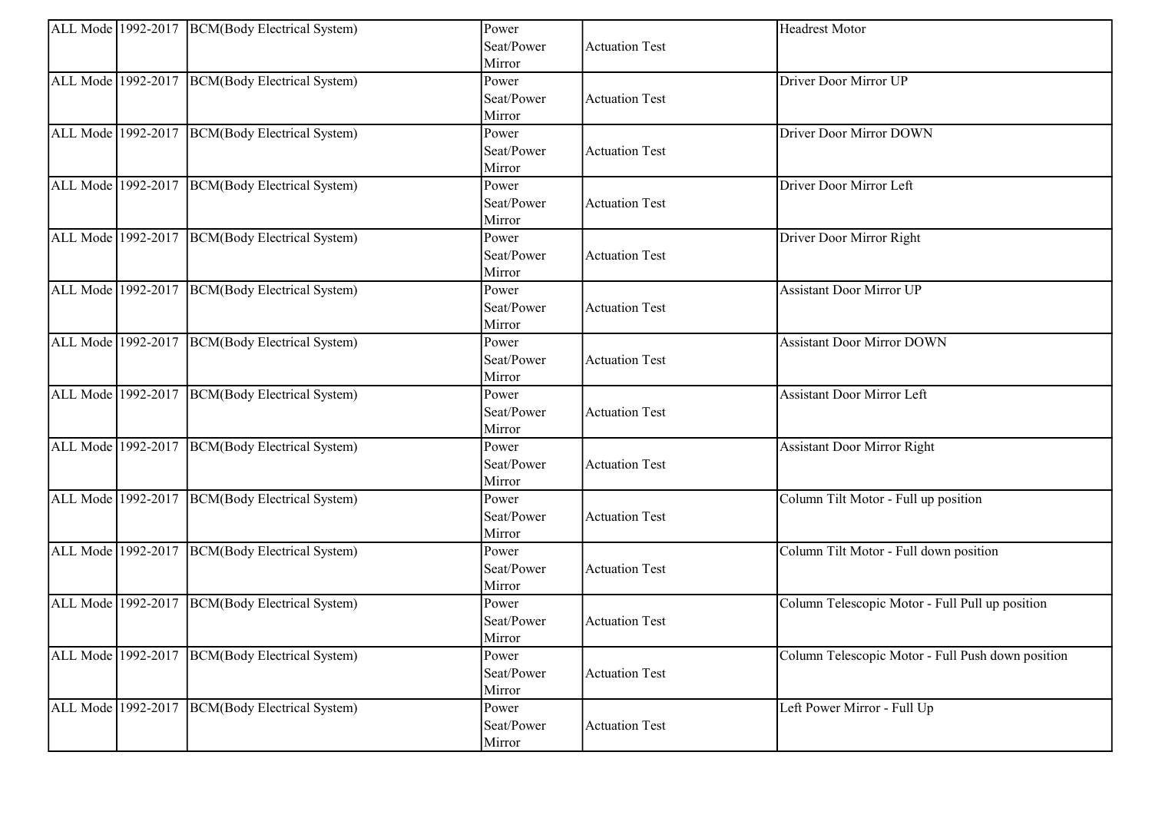|                    | ALL Mode 1992-2017 BCM(Body Electrical System) | Power      |                       | Headrest Motor                                    |
|--------------------|------------------------------------------------|------------|-----------------------|---------------------------------------------------|
|                    |                                                | Seat/Power | <b>Actuation Test</b> |                                                   |
|                    |                                                | Mirror     |                       |                                                   |
|                    | ALL Mode 1992-2017 BCM(Body Electrical System) | Power      |                       | Driver Door Mirror UP                             |
|                    |                                                | Seat/Power | <b>Actuation Test</b> |                                                   |
|                    |                                                | Mirror     |                       |                                                   |
|                    | ALL Mode 1992-2017 BCM(Body Electrical System) | Power      |                       | Driver Door Mirror DOWN                           |
|                    |                                                | Seat/Power | <b>Actuation Test</b> |                                                   |
|                    |                                                | Mirror     |                       |                                                   |
|                    | ALL Mode 1992-2017 BCM(Body Electrical System) | Power      |                       | Driver Door Mirror Left                           |
|                    |                                                | Seat/Power | <b>Actuation Test</b> |                                                   |
|                    |                                                | Mirror     |                       |                                                   |
|                    | ALL Mode 1992-2017 BCM(Body Electrical System) | Power      |                       | Driver Door Mirror Right                          |
|                    |                                                | Seat/Power | <b>Actuation Test</b> |                                                   |
|                    |                                                | Mirror     |                       |                                                   |
|                    | ALL Mode 1992-2017 BCM(Body Electrical System) | Power      |                       | <b>Assistant Door Mirror UP</b>                   |
|                    |                                                | Seat/Power | <b>Actuation Test</b> |                                                   |
|                    |                                                | Mirror     |                       |                                                   |
| ALL Mode 1992-2017 | <b>BCM</b> (Body Electrical System)            | Power      |                       | <b>Assistant Door Mirror DOWN</b>                 |
|                    |                                                | Seat/Power | <b>Actuation Test</b> |                                                   |
|                    |                                                | Mirror     |                       |                                                   |
|                    | ALL Mode 1992-2017 BCM(Body Electrical System) | Power      |                       | <b>Assistant Door Mirror Left</b>                 |
|                    |                                                | Seat/Power | <b>Actuation Test</b> |                                                   |
|                    |                                                | Mirror     |                       |                                                   |
|                    | ALL Mode 1992-2017 BCM(Body Electrical System) | Power      |                       | <b>Assistant Door Mirror Right</b>                |
|                    |                                                | Seat/Power | <b>Actuation Test</b> |                                                   |
|                    |                                                | Mirror     |                       |                                                   |
| ALL Mode 1992-2017 | BCM(Body Electrical System)                    | Power      |                       | Column Tilt Motor - Full up position              |
|                    |                                                | Seat/Power | <b>Actuation Test</b> |                                                   |
|                    |                                                | Mirror     |                       |                                                   |
|                    | ALL Mode 1992-2017 BCM(Body Electrical System) | Power      |                       | Column Tilt Motor - Full down position            |
|                    |                                                | Seat/Power | <b>Actuation Test</b> |                                                   |
|                    |                                                | Mirror     |                       |                                                   |
|                    | ALL Mode 1992-2017 BCM(Body Electrical System) | Power      |                       | Column Telescopic Motor - Full Pull up position   |
|                    |                                                | Seat/Power | <b>Actuation Test</b> |                                                   |
|                    |                                                | Mirror     |                       |                                                   |
|                    | ALL Mode 1992-2017 BCM(Body Electrical System) | Power      |                       | Column Telescopic Motor - Full Push down position |
|                    |                                                | Seat/Power | <b>Actuation Test</b> |                                                   |
|                    |                                                | Mirror     |                       |                                                   |
| ALL Mode 1992-2017 | BCM(Body Electrical System)                    | Power      |                       | Left Power Mirror - Full Up                       |
|                    |                                                | Seat/Power | <b>Actuation Test</b> |                                                   |
|                    |                                                | Mirror     |                       |                                                   |
|                    |                                                |            |                       |                                                   |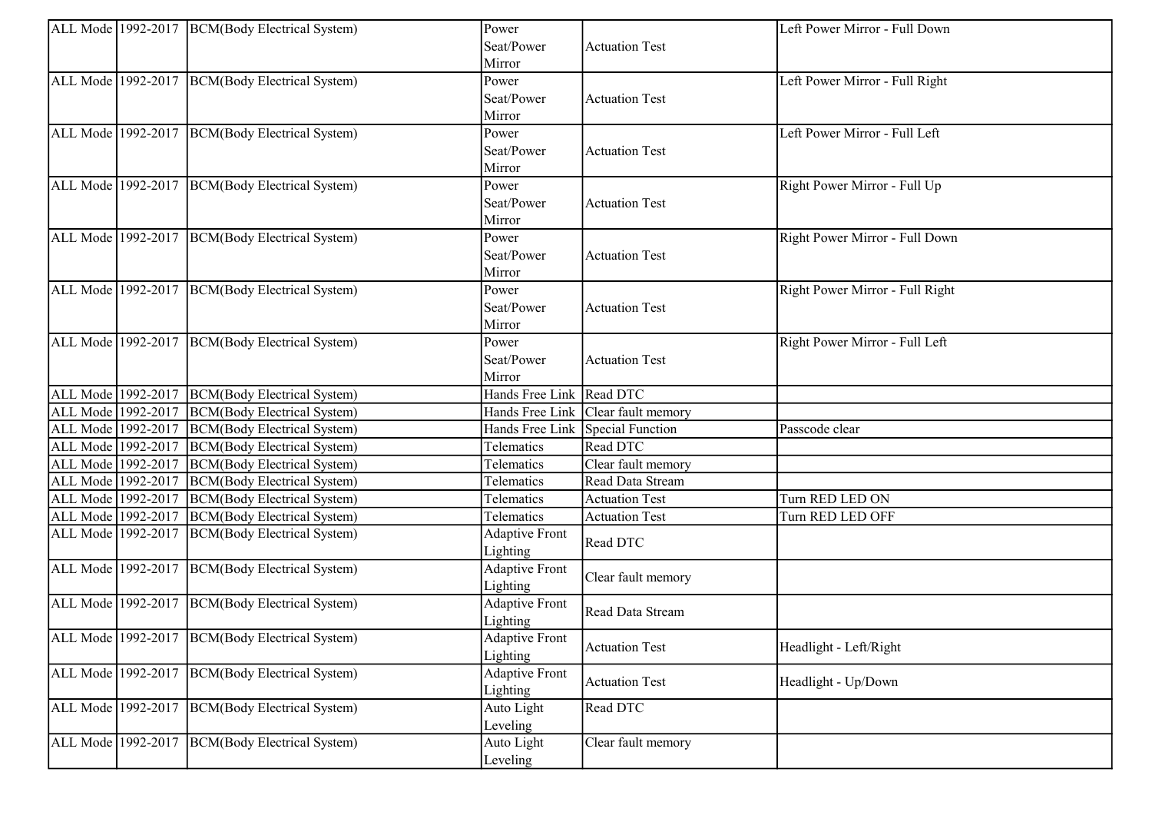|                    | ALL Mode 1992-2017 BCM(Body Electrical System) | Power                             |                                    | Left Power Mirror - Full Down   |
|--------------------|------------------------------------------------|-----------------------------------|------------------------------------|---------------------------------|
|                    |                                                | Seat/Power                        | <b>Actuation Test</b>              |                                 |
|                    |                                                | Mirror                            |                                    |                                 |
|                    | ALL Mode 1992-2017 BCM(Body Electrical System) | Power                             |                                    | Left Power Mirror - Full Right  |
|                    |                                                | Seat/Power                        | <b>Actuation Test</b>              |                                 |
|                    |                                                | Mirror                            |                                    |                                 |
|                    | ALL Mode 1992-2017 BCM(Body Electrical System) | Power                             |                                    | Left Power Mirror - Full Left   |
|                    |                                                | Seat/Power                        | <b>Actuation Test</b>              |                                 |
|                    |                                                | Mirror                            |                                    |                                 |
|                    | ALL Mode 1992-2017 BCM(Body Electrical System) | Power                             |                                    | Right Power Mirror - Full Up    |
|                    |                                                | Seat/Power                        | <b>Actuation Test</b>              |                                 |
|                    |                                                | Mirror                            |                                    |                                 |
|                    | ALL Mode 1992-2017 BCM(Body Electrical System) | Power                             |                                    | Right Power Mirror - Full Down  |
|                    |                                                | Seat/Power                        | <b>Actuation Test</b>              |                                 |
|                    |                                                | Mirror                            |                                    |                                 |
|                    | ALL Mode 1992-2017 BCM(Body Electrical System) | Power                             |                                    | Right Power Mirror - Full Right |
|                    |                                                | Seat/Power                        | <b>Actuation Test</b>              |                                 |
|                    |                                                | Mirror                            |                                    |                                 |
|                    | ALL Mode 1992-2017 BCM(Body Electrical System) | Power                             |                                    | Right Power Mirror - Full Left  |
|                    |                                                | Seat/Power                        | <b>Actuation Test</b>              |                                 |
|                    |                                                | Mirror                            |                                    |                                 |
| ALL Mode 1992-2017 | BCM(Body Electrical System)                    | Hands Free Link Read DTC          |                                    |                                 |
| ALL Mode 1992-2017 | BCM(Body Electrical System)                    |                                   | Hands Free Link Clear fault memory |                                 |
| ALL Mode 1992-2017 | BCM(Body Electrical System)                    |                                   | Hands Free Link Special Function   | Passcode clear                  |
| ALL Mode 1992-2017 | BCM(Body Electrical System)                    | Telematics                        | Read DTC                           |                                 |
| ALL Mode 1992-2017 | BCM(Body Electrical System)                    | Telematics                        | Clear fault memory                 |                                 |
| ALL Mode 1992-2017 | BCM(Body Electrical System)                    | Telematics                        | Read Data Stream                   |                                 |
| ALL Mode 1992-2017 | BCM(Body Electrical System)                    | Telematics                        | <b>Actuation Test</b>              | Turn RED LED ON                 |
| ALL Mode 1992-2017 | BCM(Body Electrical System)                    | Telematics                        | <b>Actuation Test</b>              | Turn RED LED OFF                |
| ALL Mode 1992-2017 | BCM(Body Electrical System)                    | <b>Adaptive Front</b>             |                                    |                                 |
|                    |                                                | Lighting                          | Read DTC                           |                                 |
|                    | ALL Mode 1992-2017 BCM(Body Electrical System) | <b>Adaptive Front</b>             |                                    |                                 |
|                    |                                                | Lighting                          | Clear fault memory                 |                                 |
|                    | ALL Mode 1992-2017 BCM(Body Electrical System) | <b>Adaptive Front</b>             |                                    |                                 |
|                    |                                                | Lighting                          | Read Data Stream                   |                                 |
|                    | ALL Mode 1992-2017 BCM(Body Electrical System) |                                   |                                    |                                 |
|                    |                                                | <b>Adaptive Front</b><br>Lighting | <b>Actuation Test</b>              | Headlight - Left/Right          |
| ALL Mode 1992-2017 | BCM(Body Electrical System)                    |                                   |                                    |                                 |
|                    |                                                | <b>Adaptive Front</b>             | <b>Actuation Test</b>              | Headlight - Up/Down             |
|                    |                                                | Lighting                          |                                    |                                 |
| ALL Mode 1992-2017 | BCM(Body Electrical System)                    | Auto Light                        | Read DTC                           |                                 |
|                    |                                                | Leveling                          |                                    |                                 |
| ALL Mode 1992-2017 | BCM(Body Electrical System)                    | Auto Light                        | Clear fault memory                 |                                 |
|                    |                                                | Leveling                          |                                    |                                 |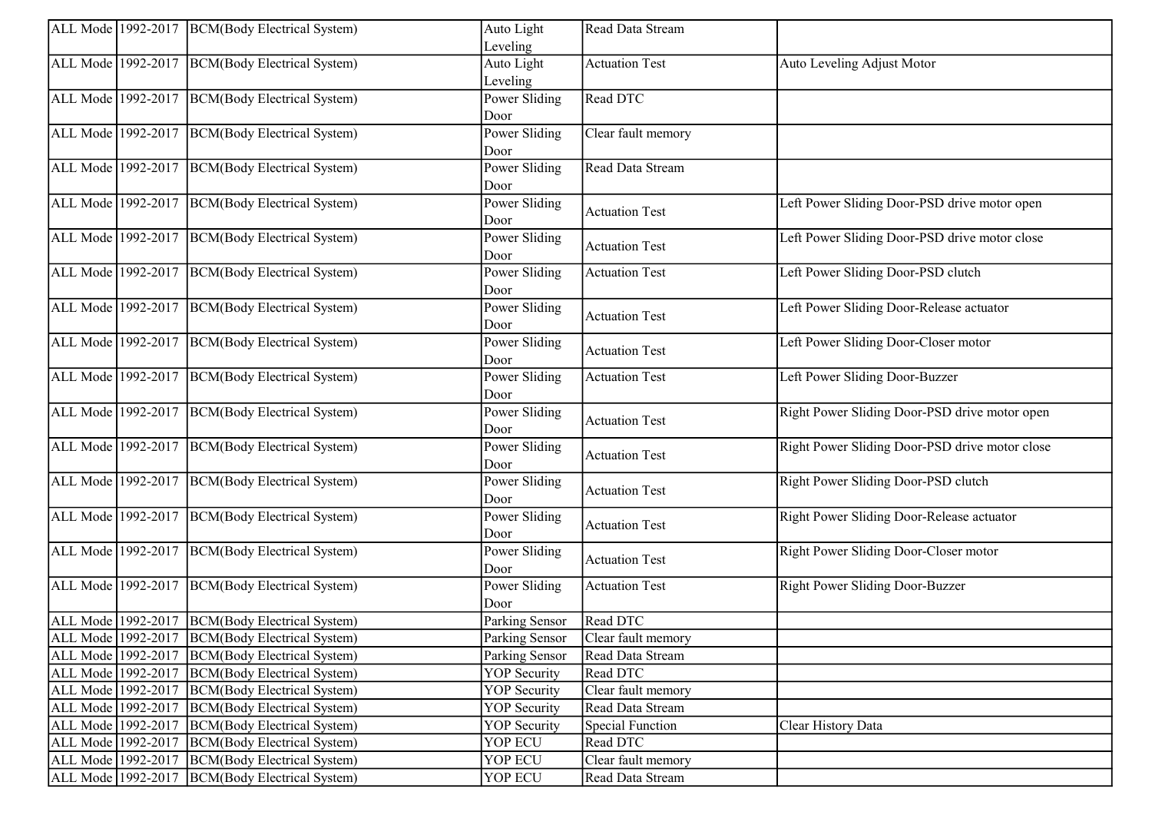|                    | ALL Mode 1992-2017 BCM(Body Electrical System)   | Auto Light          | Read Data Stream      |                                                |
|--------------------|--------------------------------------------------|---------------------|-----------------------|------------------------------------------------|
|                    |                                                  | Leveling            |                       |                                                |
|                    | ALL Mode 1992-2017 BCM(Body Electrical System)   | Auto Light          | <b>Actuation Test</b> | Auto Leveling Adjust Motor                     |
|                    |                                                  | Leveling            |                       |                                                |
| ALL Mode 1992-2017 | BCM(Body Electrical System)                      | Power Sliding       | Read DTC              |                                                |
|                    |                                                  | Door                |                       |                                                |
|                    | ALL Mode 1992-2017 BCM(Body Electrical System)   | Power Sliding       | Clear fault memory    |                                                |
|                    |                                                  | Door                |                       |                                                |
| ALL Mode 1992-2017 | BCM(Body Electrical System)                      | Power Sliding       | Read Data Stream      |                                                |
|                    |                                                  | Door                |                       |                                                |
|                    | ALL Mode 1992-2017   BCM(Body Electrical System) | Power Sliding       | <b>Actuation Test</b> | Left Power Sliding Door-PSD drive motor open   |
|                    |                                                  | Door                |                       |                                                |
|                    | ALL Mode 1992-2017 BCM(Body Electrical System)   | Power Sliding       | <b>Actuation Test</b> | Left Power Sliding Door-PSD drive motor close  |
|                    |                                                  | Door                |                       |                                                |
|                    | ALL Mode 1992-2017 BCM(Body Electrical System)   | Power Sliding       | <b>Actuation Test</b> | Left Power Sliding Door-PSD clutch             |
|                    |                                                  | Door                |                       |                                                |
|                    | ALL Mode 1992-2017 BCM(Body Electrical System)   | Power Sliding       | <b>Actuation Test</b> | Left Power Sliding Door-Release actuator       |
|                    |                                                  | Door                |                       |                                                |
| ALL Mode 1992-2017 | BCM(Body Electrical System)                      | Power Sliding       | <b>Actuation Test</b> | Left Power Sliding Door-Closer motor           |
|                    |                                                  | Door                |                       |                                                |
| ALL Mode 1992-2017 | BCM(Body Electrical System)                      | Power Sliding       | <b>Actuation Test</b> | Left Power Sliding Door-Buzzer                 |
|                    |                                                  | Door                |                       |                                                |
| ALL Mode 1992-2017 | BCM(Body Electrical System)                      | Power Sliding       | <b>Actuation Test</b> | Right Power Sliding Door-PSD drive motor open  |
|                    |                                                  | Door                |                       |                                                |
|                    | ALL Mode 1992-2017 BCM(Body Electrical System)   | Power Sliding       | <b>Actuation Test</b> | Right Power Sliding Door-PSD drive motor close |
|                    |                                                  | Door                |                       |                                                |
| ALL Mode 1992-2017 | BCM(Body Electrical System)                      | Power Sliding       | <b>Actuation Test</b> | Right Power Sliding Door-PSD clutch            |
|                    |                                                  | Door                |                       |                                                |
|                    | ALL Mode 1992-2017 BCM(Body Electrical System)   | Power Sliding       | <b>Actuation Test</b> | Right Power Sliding Door-Release actuator      |
|                    |                                                  | Door                |                       |                                                |
| ALL Mode 1992-2017 | BCM(Body Electrical System)                      | Power Sliding       | <b>Actuation Test</b> | Right Power Sliding Door-Closer motor          |
|                    |                                                  | Door                |                       |                                                |
|                    | ALL Mode 1992-2017 BCM(Body Electrical System)   | Power Sliding       | <b>Actuation Test</b> | <b>Right Power Sliding Door-Buzzer</b>         |
|                    |                                                  | Door                |                       |                                                |
|                    | ALL Mode 1992-2017   BCM(Body Electrical System) | Parking Sensor      | Read DTC              |                                                |
|                    | ALL Mode 1992-2017 BCM(Body Electrical System)   | Parking Sensor      | Clear fault memory    |                                                |
| ALL Mode 1992-2017 | BCM(Body Electrical System)                      | Parking Sensor      | Read Data Stream      |                                                |
| ALL Mode 1992-2017 | BCM(Body Electrical System)                      | <b>YOP</b> Security | Read DTC              |                                                |
| ALL Mode 1992-2017 | BCM(Body Electrical System)                      | <b>YOP</b> Security | Clear fault memory    |                                                |
| ALL Mode 1992-2017 | BCM(Body Electrical System)                      | <b>YOP</b> Security | Read Data Stream      |                                                |
| ALL Mode 1992-2017 | BCM(Body Electrical System)                      | <b>YOP</b> Security | Special Function      | Clear History Data                             |
| ALL Mode 1992-2017 | BCM(Body Electrical System)                      | YOP ECU             | Read DTC              |                                                |
| ALL Mode 1992-2017 | BCM(Body Electrical System)                      | YOP ECU             | Clear fault memory    |                                                |
| ALL Mode 1992-2017 | BCM(Body Electrical System)                      | YOP ECU             | Read Data Stream      |                                                |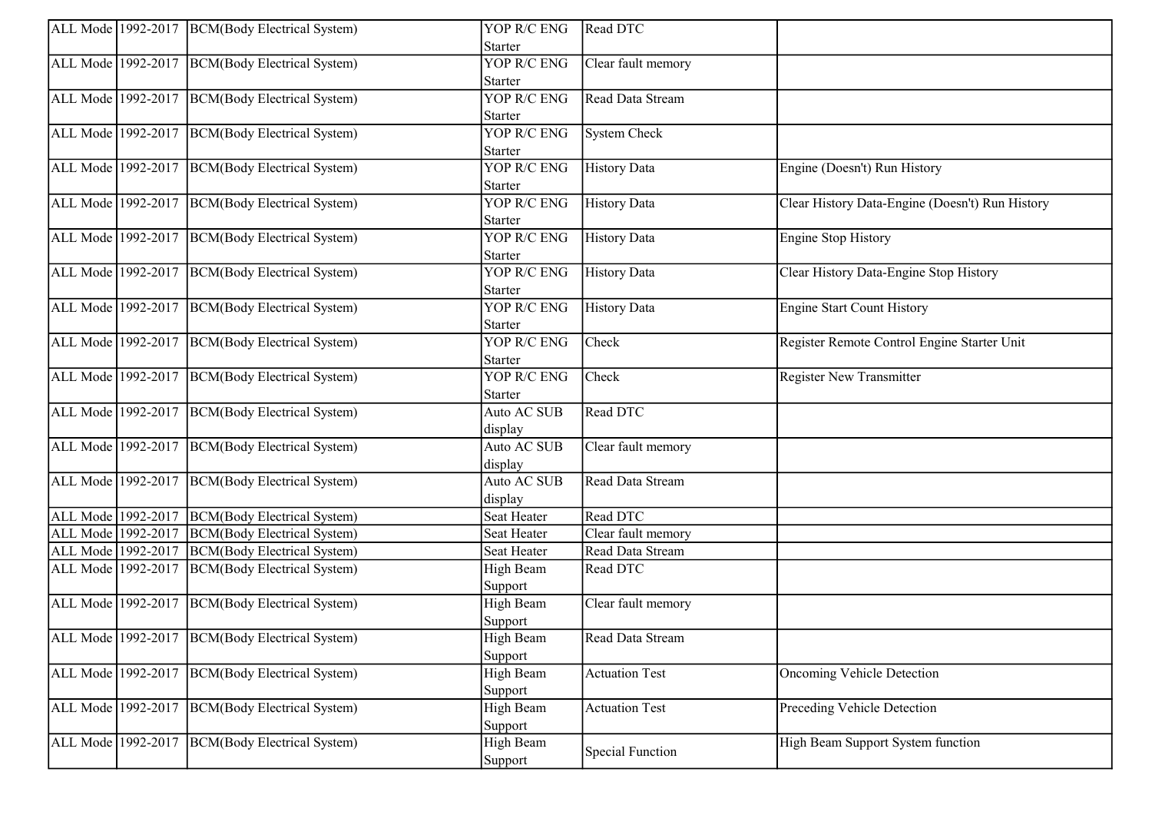|                    | ALL Mode 1992-2017 BCM(Body Electrical System)   | YOP R/C ENG        | Read DTC                |                                                 |
|--------------------|--------------------------------------------------|--------------------|-------------------------|-------------------------------------------------|
|                    |                                                  | Starter            |                         |                                                 |
|                    | ALL Mode 1992-2017 BCM(Body Electrical System)   | YOP R/C ENG        | Clear fault memory      |                                                 |
|                    |                                                  | Starter            |                         |                                                 |
|                    | ALL Mode 1992-2017 BCM(Body Electrical System)   | <b>YOP R/C ENG</b> | Read Data Stream        |                                                 |
|                    |                                                  | Starter            |                         |                                                 |
|                    | ALL Mode 1992-2017 BCM(Body Electrical System)   | YOP R/C ENG        | System Check            |                                                 |
|                    |                                                  | Starter            |                         |                                                 |
|                    | ALL Mode 1992-2017 BCM(Body Electrical System)   | YOP R/C ENG        | <b>History Data</b>     | Engine (Doesn't) Run History                    |
|                    |                                                  | Starter            |                         |                                                 |
|                    | ALL Mode 1992-2017 BCM(Body Electrical System)   | YOP R/C ENG        | <b>History Data</b>     | Clear History Data-Engine (Doesn't) Run History |
|                    |                                                  | <b>Starter</b>     |                         |                                                 |
|                    | ALL Mode 1992-2017 BCM(Body Electrical System)   | YOP R/C ENG        | <b>History Data</b>     | <b>Engine Stop History</b>                      |
|                    |                                                  | <b>Starter</b>     |                         |                                                 |
|                    | ALL Mode 1992-2017 BCM(Body Electrical System)   | YOP R/C ENG        | <b>History Data</b>     | Clear History Data-Engine Stop History          |
|                    |                                                  | <b>Starter</b>     |                         |                                                 |
|                    | ALL Mode 1992-2017 BCM(Body Electrical System)   | YOP R/C ENG        | History Data            | <b>Engine Start Count History</b>               |
|                    |                                                  | Starter            |                         |                                                 |
|                    | ALL Mode 1992-2017 BCM(Body Electrical System)   | YOP R/C ENG        | Check                   | Register Remote Control Engine Starter Unit     |
|                    |                                                  | Starter            |                         |                                                 |
|                    | ALL Mode 1992-2017 BCM(Body Electrical System)   | YOP R/C ENG        | Check                   | <b>Register New Transmitter</b>                 |
|                    |                                                  | Starter            |                         |                                                 |
|                    | ALL Mode 1992-2017 BCM(Body Electrical System)   | Auto AC SUB        | Read DTC                |                                                 |
|                    |                                                  | display            |                         |                                                 |
|                    | ALL Mode 1992-2017 BCM(Body Electrical System)   | Auto AC SUB        | Clear fault memory      |                                                 |
|                    |                                                  | display            |                         |                                                 |
|                    | ALL Mode 1992-2017 BCM(Body Electrical System)   | Auto AC SUB        | Read Data Stream        |                                                 |
|                    |                                                  | display            |                         |                                                 |
|                    | ALL Mode 1992-2017 BCM(Body Electrical System)   | <b>Seat Heater</b> | Read DTC                |                                                 |
| ALL Mode 1992-2017 | <b>BCM</b> (Body Electrical System)              | Seat Heater        | Clear fault memory      |                                                 |
| ALL Mode 1992-2017 | BCM(Body Electrical System)                      | Seat Heater        | Read Data Stream        |                                                 |
| ALL Mode 1992-2017 | BCM(Body Electrical System)                      | High Beam          | Read DTC                |                                                 |
|                    |                                                  | Support            |                         |                                                 |
|                    | ALL Mode 1992-2017   BCM(Body Electrical System) | High Beam          | Clear fault memory      |                                                 |
|                    |                                                  | Support            |                         |                                                 |
|                    | ALL Mode 1992-2017 BCM(Body Electrical System)   | High Beam          | Read Data Stream        |                                                 |
|                    |                                                  | Support            |                         |                                                 |
| ALL Mode 1992-2017 | BCM(Body Electrical System)                      | High Beam          | <b>Actuation Test</b>   | Oncoming Vehicle Detection                      |
|                    |                                                  | Support            |                         |                                                 |
| ALL Mode 1992-2017 | BCM(Body Electrical System)                      | High Beam          | <b>Actuation Test</b>   | Preceding Vehicle Detection                     |
|                    |                                                  | Support            |                         |                                                 |
|                    | ALL Mode 1992-2017   BCM(Body Electrical System) | High Beam          |                         | High Beam Support System function               |
|                    |                                                  | Support            | <b>Special Function</b> |                                                 |
|                    |                                                  |                    |                         |                                                 |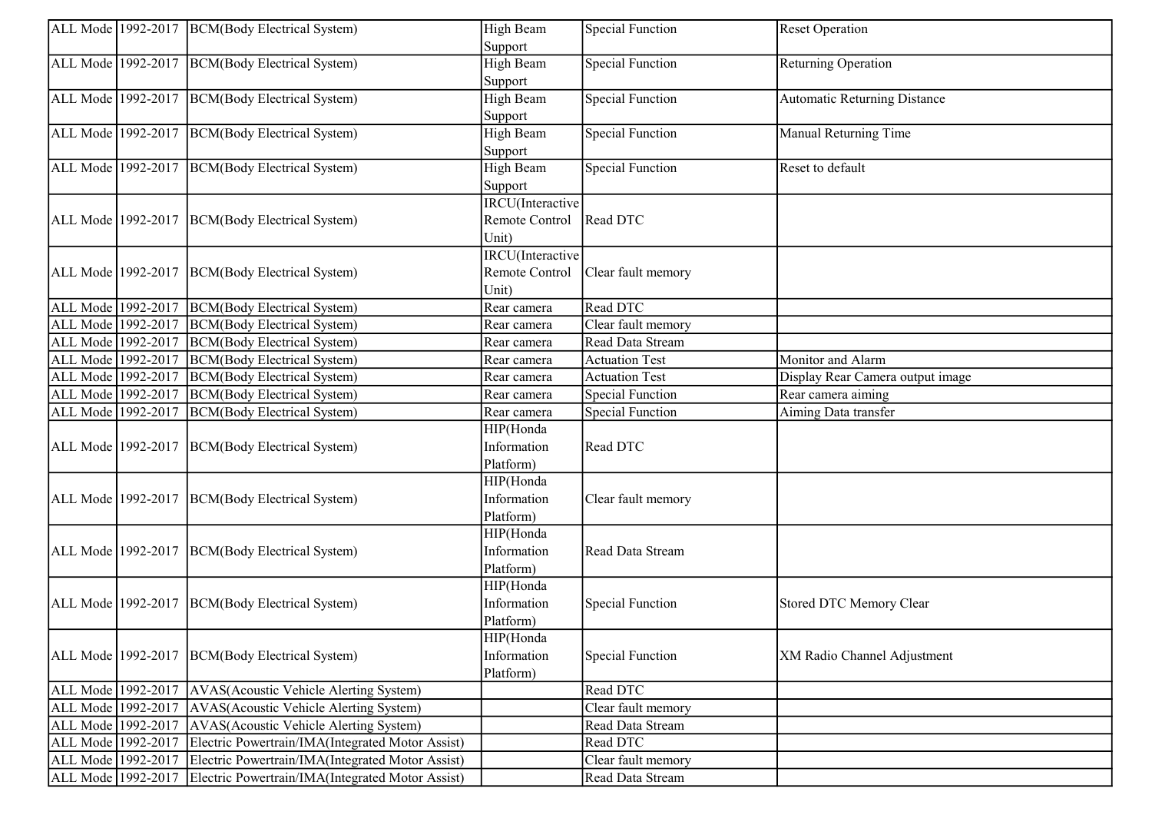|                    | ALL Mode 1992-2017  BCM(Body Electrical System)  | High Beam            | <b>Special Function</b> | <b>Reset Operation</b>              |
|--------------------|--------------------------------------------------|----------------------|-------------------------|-------------------------------------|
|                    |                                                  | Support              |                         |                                     |
| ALL Mode 1992-2017 | BCM(Body Electrical System)                      | High Beam<br>Support | <b>Special Function</b> | Returning Operation                 |
| ALL Mode 1992-2017 | <b>BCM</b> (Body Electrical System)              | High Beam            | <b>Special Function</b> | <b>Automatic Returning Distance</b> |
|                    |                                                  | Support              |                         |                                     |
| ALL Mode 1992-2017 | BCM(Body Electrical System)                      | High Beam            | <b>Special Function</b> | Manual Returning Time               |
|                    |                                                  | Support              |                         |                                     |
| ALL Mode 1992-2017 | BCM(Body Electrical System)                      | High Beam            | <b>Special Function</b> | Reset to default                    |
|                    |                                                  | Support              |                         |                                     |
|                    |                                                  | IRCU(Interactive     |                         |                                     |
|                    | ALL Mode 1992-2017 BCM(Body Electrical System)   | Remote Control       | Read DTC                |                                     |
|                    |                                                  | Unit)                |                         |                                     |
|                    |                                                  | IRCU(Interactive     |                         |                                     |
| ALL Mode 1992-2017 | BCM(Body Electrical System)                      | Remote Control       | Clear fault memory      |                                     |
|                    |                                                  | Unit)                |                         |                                     |
| ALL Mode 1992-2017 | BCM(Body Electrical System)                      | Rear camera          | Read DTC                |                                     |
| ALL Mode 1992-2017 | BCM(Body Electrical System)                      | Rear camera          | Clear fault memory      |                                     |
| ALL Mode 1992-2017 | <b>BCM</b> (Body Electrical System)              | Rear camera          | Read Data Stream        |                                     |
| ALL Mode 1992-2017 | <b>BCM(Body Electrical System)</b>               | Rear camera          | <b>Actuation Test</b>   | Monitor and Alarm                   |
| ALL Mode 1992-2017 | BCM(Body Electrical System)                      | Rear camera          | <b>Actuation Test</b>   | Display Rear Camera output image    |
| ALL Mode 1992-2017 | <b>BCM</b> (Body Electrical System)              | Rear camera          | <b>Special Function</b> | Rear camera aiming                  |
| ALL Mode 1992-2017 | <b>BCM</b> (Body Electrical System)              | Rear camera          | <b>Special Function</b> | Aiming Data transfer                |
|                    |                                                  | HIP(Honda            |                         |                                     |
| ALL Mode 1992-2017 | BCM(Body Electrical System)                      | Information          | Read DTC                |                                     |
|                    |                                                  | Platform)            |                         |                                     |
|                    |                                                  | HIP(Honda            |                         |                                     |
| ALL Mode 1992-2017 | BCM(Body Electrical System)                      | Information          | Clear fault memory      |                                     |
|                    |                                                  | Platform)            |                         |                                     |
|                    |                                                  | HIP(Honda            |                         |                                     |
| ALL Mode 1992-2017 | BCM(Body Electrical System)                      | Information          | Read Data Stream        |                                     |
|                    |                                                  | Platform)            |                         |                                     |
|                    |                                                  | HIP(Honda            |                         |                                     |
|                    | ALL Mode 1992-2017 BCM(Body Electrical System)   | Information          | <b>Special Function</b> | Stored DTC Memory Clear             |
|                    |                                                  | Platform)            |                         |                                     |
|                    |                                                  | HIP(Honda            |                         |                                     |
|                    | ALL Mode 1992-2017 BCM(Body Electrical System)   | Information          | <b>Special Function</b> | XM Radio Channel Adjustment         |
|                    |                                                  | Platform)            |                         |                                     |
| ALL Mode 1992-2017 | AVAS(Acoustic Vehicle Alerting System)           |                      | Read DTC                |                                     |
| ALL Mode 1992-2017 | AVAS(Acoustic Vehicle Alerting System)           |                      | Clear fault memory      |                                     |
| ALL Mode 1992-2017 | AVAS(Acoustic Vehicle Alerting System)           |                      | Read Data Stream        |                                     |
| ALL Mode 1992-2017 | Electric Powertrain/IMA(Integrated Motor Assist) |                      | Read DTC                |                                     |
| ALL Mode 1992-2017 | Electric Powertrain/IMA(Integrated Motor Assist) |                      | Clear fault memory      |                                     |
| ALL Mode 1992-2017 | Electric Powertrain/IMA(Integrated Motor Assist) |                      | Read Data Stream        |                                     |
|                    |                                                  |                      |                         |                                     |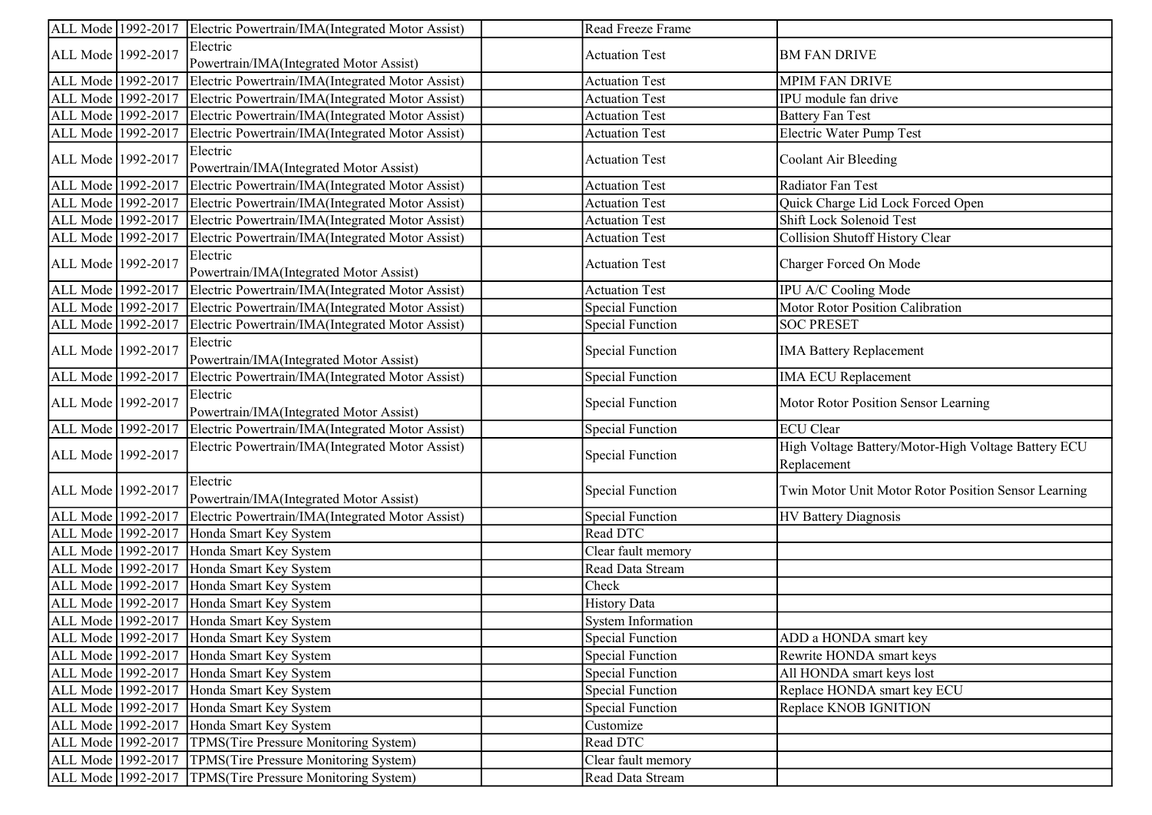|                    | ALL Mode 1992-2017 Electric Powertrain/IMA(Integrated Motor Assist) | Read Freeze Frame         |                                                                    |
|--------------------|---------------------------------------------------------------------|---------------------------|--------------------------------------------------------------------|
| ALL Mode 1992-2017 | Electric<br>Powertrain/IMA(Integrated Motor Assist)                 | <b>Actuation Test</b>     | <b>BM FAN DRIVE</b>                                                |
| ALL Mode 1992-2017 | Electric Powertrain/IMA(Integrated Motor Assist)                    | <b>Actuation Test</b>     | <b>MPIM FAN DRIVE</b>                                              |
| ALL Mode 1992-2017 | Electric Powertrain/IMA(Integrated Motor Assist)                    | <b>Actuation Test</b>     | IPU module fan drive                                               |
| ALL Mode 1992-2017 | Electric Powertrain/IMA(Integrated Motor Assist)                    | <b>Actuation Test</b>     | <b>Battery Fan Test</b>                                            |
| ALL Mode 1992-2017 | Electric Powertrain/IMA(Integrated Motor Assist)                    | <b>Actuation Test</b>     | Electric Water Pump Test                                           |
| ALL Mode 1992-2017 | Electric<br>Powertrain/IMA(Integrated Motor Assist)                 | <b>Actuation Test</b>     | Coolant Air Bleeding                                               |
| ALL Mode 1992-2017 | Electric Powertrain/IMA(Integrated Motor Assist)                    | <b>Actuation Test</b>     | Radiator Fan Test                                                  |
| ALL Mode 1992-2017 | Electric Powertrain/IMA(Integrated Motor Assist)                    | <b>Actuation Test</b>     | Quick Charge Lid Lock Forced Open                                  |
| ALL Mode 1992-2017 | Electric Powertrain/IMA(Integrated Motor Assist)                    | <b>Actuation Test</b>     | Shift Lock Solenoid Test                                           |
| ALL Mode 1992-2017 | Electric Powertrain/IMA(Integrated Motor Assist)                    | <b>Actuation Test</b>     | Collision Shutoff History Clear                                    |
| ALL Mode 1992-2017 | Electric<br>Powertrain/IMA(Integrated Motor Assist)                 | <b>Actuation Test</b>     | Charger Forced On Mode                                             |
| ALL Mode 1992-2017 | Electric Powertrain/IMA(Integrated Motor Assist)                    | <b>Actuation Test</b>     | IPU A/C Cooling Mode                                               |
| ALL Mode 1992-2017 | Electric Powertrain/IMA(Integrated Motor Assist)                    | <b>Special Function</b>   | <b>Motor Rotor Position Calibration</b>                            |
| ALL Mode 1992-2017 | Electric Powertrain/IMA(Integrated Motor Assist)                    | <b>Special Function</b>   | <b>SOC PRESET</b>                                                  |
| ALL Mode 1992-2017 | Electric<br>Powertrain/IMA(Integrated Motor Assist)                 | <b>Special Function</b>   | <b>IMA Battery Replacement</b>                                     |
| ALL Mode 1992-2017 | Electric Powertrain/IMA(Integrated Motor Assist)                    | <b>Special Function</b>   | <b>IMA ECU Replacement</b>                                         |
| ALL Mode 1992-2017 | Electric<br>Powertrain/IMA(Integrated Motor Assist)                 | <b>Special Function</b>   | Motor Rotor Position Sensor Learning                               |
| ALL Mode 1992-2017 | Electric Powertrain/IMA(Integrated Motor Assist)                    | <b>Special Function</b>   | <b>ECU</b> Clear                                                   |
| ALL Mode 1992-2017 | Electric Powertrain/IMA(Integrated Motor Assist)                    | <b>Special Function</b>   | High Voltage Battery/Motor-High Voltage Battery ECU<br>Replacement |
| ALL Mode 1992-2017 | Electric<br>Powertrain/IMA(Integrated Motor Assist)                 | <b>Special Function</b>   | Twin Motor Unit Motor Rotor Position Sensor Learning               |
| ALL Mode 1992-2017 | Electric Powertrain/IMA(Integrated Motor Assist)                    | <b>Special Function</b>   | HV Battery Diagnosis                                               |
| ALL Mode 1992-2017 | Honda Smart Key System                                              | Read DTC                  |                                                                    |
| ALL Mode 1992-2017 | Honda Smart Key System                                              | Clear fault memory        |                                                                    |
| ALL Mode 1992-2017 | Honda Smart Key System                                              | Read Data Stream          |                                                                    |
| ALL Mode 1992-2017 | Honda Smart Key System                                              | Check                     |                                                                    |
| ALL Mode 1992-2017 | Honda Smart Key System                                              | <b>History Data</b>       |                                                                    |
| ALL Mode 1992-2017 | Honda Smart Key System                                              | <b>System Information</b> |                                                                    |
|                    | ALL Mode 1992-2017 Honda Smart Key System                           | <b>Special Function</b>   | ADD a HONDA smart key                                              |
|                    | ALL Mode 1992-2017 Honda Smart Key System                           | <b>Special Function</b>   | Rewrite HONDA smart keys                                           |
| ALL Mode 1992-2017 | Honda Smart Key System                                              | <b>Special Function</b>   | All HONDA smart keys lost                                          |
| ALL Mode 1992-2017 | Honda Smart Key System                                              | <b>Special Function</b>   | Replace HONDA smart key ECU                                        |
| ALL Mode 1992-2017 | Honda Smart Key System                                              | <b>Special Function</b>   | Replace KNOB IGNITION                                              |
| ALL Mode 1992-2017 | Honda Smart Key System                                              | Customize                 |                                                                    |
| ALL Mode 1992-2017 | TPMS(Tire Pressure Monitoring System)                               | Read DTC                  |                                                                    |
| ALL Mode 1992-2017 | TPMS(Tire Pressure Monitoring System)                               | Clear fault memory        |                                                                    |
| ALL Mode 1992-2017 | TPMS(Tire Pressure Monitoring System)                               | Read Data Stream          |                                                                    |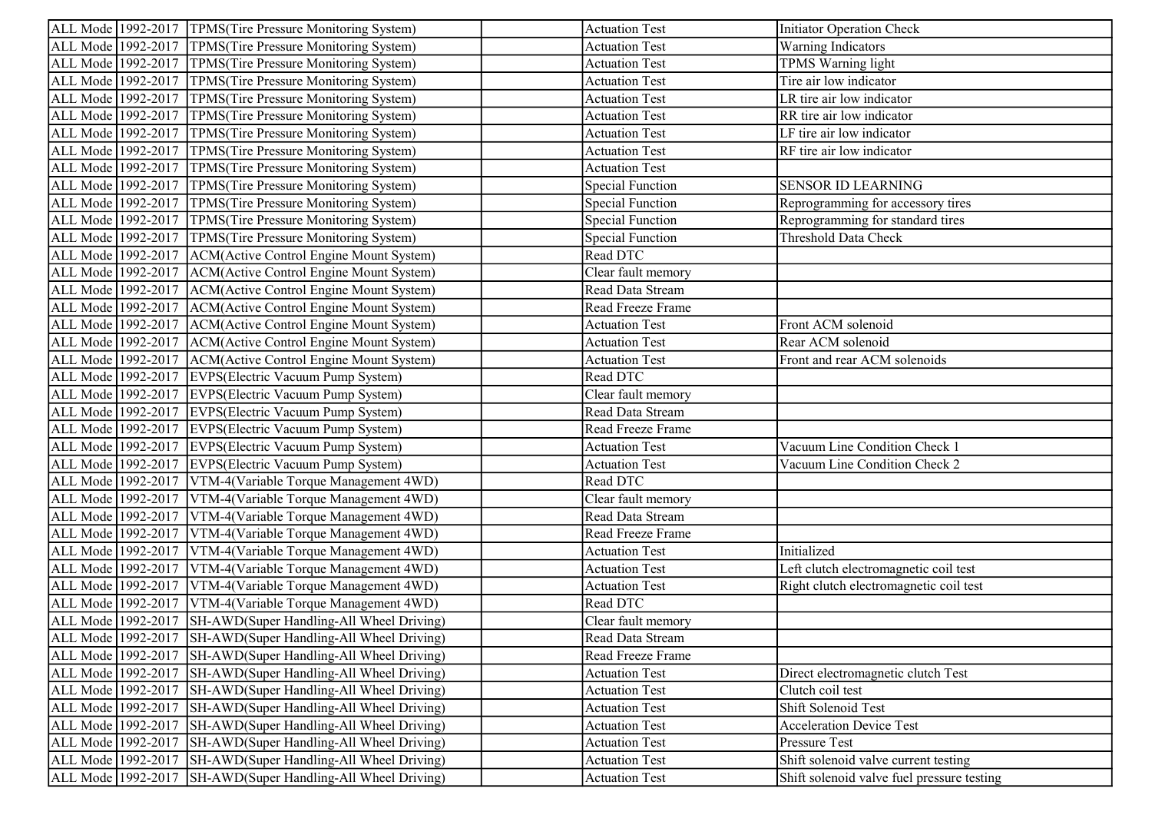| ALL Mode 1992-2017 TPMS(Tire Pressure Monitoring System)       | <b>Actuation Test</b>            | Initiator Operation Check                  |
|----------------------------------------------------------------|----------------------------------|--------------------------------------------|
| ALL Mode 1992-2017 TPMS(Tire Pressure Monitoring System)       | <b>Actuation Test</b>            | <b>Warning Indicators</b>                  |
| ALL Mode 1992-2017  TPMS(Tire Pressure Monitoring System)      | <b>Actuation Test</b>            | TPMS Warning light                         |
| ALL Mode 1992-2017 TPMS(Tire Pressure Monitoring System)       | <b>Actuation Test</b>            | Tire air low indicator                     |
| ALL Mode 1992-2017 TPMS(Tire Pressure Monitoring System)       | <b>Actuation Test</b>            | LR tire air low indicator                  |
| ALL Mode 1992-2017 TPMS(Tire Pressure Monitoring System)       | <b>Actuation Test</b>            | RR tire air low indicator                  |
| ALL Mode 1992-2017  TPMS(Tire Pressure Monitoring System)      | <b>Actuation Test</b>            | LF tire air low indicator                  |
| ALL Mode 1992-2017 TPMS(Tire Pressure Monitoring System)       | <b>Actuation Test</b>            | RF tire air low indicator                  |
| ALL Mode 1992-2017 TPMS(Tire Pressure Monitoring System)       | <b>Actuation Test</b>            |                                            |
| TPMS(Tire Pressure Monitoring System)<br>ALL Mode 1992-2017    | <b>Special Function</b>          | <b>SENSOR ID LEARNING</b>                  |
| ALL Mode 1992-2017 TPMS(Tire Pressure Monitoring System)       | <b>Special Function</b>          | Reprogramming for accessory tires          |
| ALL Mode 1992-2017  TPMS(Tire Pressure Monitoring System)      | <b>Special Function</b>          | Reprogramming for standard tires           |
| ALL Mode 1992-2017   TPMS(Tire Pressure Monitoring System)     | <b>Special Function</b>          | Threshold Data Check                       |
| ALL Mode 1992-2017   ACM(Active Control Engine Mount System)   | Read DTC                         |                                            |
| ALL Mode 1992-2017 ACM(Active Control Engine Mount System)     | Clear fault memory               |                                            |
| ALL Mode 1992-2017   ACM(Active Control Engine Mount System)   | Read Data Stream                 |                                            |
| ALL Mode 1992-2017   ACM(Active Control Engine Mount System)   | Read Freeze Frame                |                                            |
| ALL Mode 1992-2017   ACM(Active Control Engine Mount System)   | <b>Actuation Test</b>            | Front ACM solenoid                         |
| ALL Mode 1992-2017   ACM(Active Control Engine Mount System)   | <b>Actuation Test</b>            | Rear ACM solenoid                          |
| ALL Mode 1992-2017 ACM(Active Control Engine Mount System)     | <b>Actuation Test</b>            | Front and rear ACM solenoids               |
| ALL Mode 1992-2017 EVPS(Electric Vacuum Pump System)           | Read DTC                         |                                            |
| ALL Mode 1992-2017 EVPS (Electric Vacuum Pump System)          | $\overline{C}$ lear fault memory |                                            |
| ALL Mode 1992-2017 EVPS(Electric Vacuum Pump System)           | Read Data Stream                 |                                            |
| ALL Mode 1992-2017 EVPS(Electric Vacuum Pump System)           | Read Freeze Frame                |                                            |
| ALL Mode 1992-2017 EVPS(Electric Vacuum Pump System)           | <b>Actuation Test</b>            | Vacuum Line Condition Check 1              |
| ALL Mode 1992-2017 EVPS (Electric Vacuum Pump System)          | <b>Actuation Test</b>            | Vacuum Line Condition Check 2              |
| ALL Mode 1992-2017   VTM-4 (Variable Torque Management 4WD)    | Read DTC                         |                                            |
| ALL Mode 1992-2017   VTM-4(Variable Torque Management 4WD)     | Clear fault memory               |                                            |
| ALL Mode 1992-2017   VTM-4 (Variable Torque Management 4WD)    | Read Data Stream                 |                                            |
| ALL Mode 1992-2017<br>VTM-4(Variable Torque Management 4WD)    | Read Freeze Frame                |                                            |
| ALL Mode 1992-2017<br>VTM-4(Variable Torque Management 4WD)    | <b>Actuation Test</b>            | Initialized                                |
| ALL Mode 1992-2017<br>VTM-4(Variable Torque Management 4WD)    | <b>Actuation Test</b>            | Left clutch electromagnetic coil test      |
| ALL Mode 1992-2017<br>VTM-4(Variable Torque Management 4WD)    | <b>Actuation Test</b>            | Right clutch electromagnetic coil test     |
| ALL Mode 1992-2017<br>VTM-4(Variable Torque Management 4WD)    | Read DTC                         |                                            |
| ALL Mode 1992-2017<br>SH-AWD(Super Handling-All Wheel Driving) | Clear fault memory               |                                            |
| ALL Mode 1992-2017 SH-AWD(Super Handling-All Wheel Driving)    | Read Data Stream                 |                                            |
| ALL Mode 1992-2017<br>SH-AWD(Super Handling-All Wheel Driving) | Read Freeze Frame                |                                            |
| ALL Mode 1992-2017<br>SH-AWD(Super Handling-All Wheel Driving) | <b>Actuation Test</b>            | Direct electromagnetic clutch Test         |
| ALL Mode 1992-2017<br>SH-AWD(Super Handling-All Wheel Driving) | <b>Actuation Test</b>            | Clutch coil test                           |
| SH-AWD(Super Handling-All Wheel Driving)<br>ALL Mode 1992-2017 | <b>Actuation Test</b>            | Shift Solenoid Test                        |
| SH-AWD(Super Handling-All Wheel Driving)<br>ALL Mode 1992-2017 | <b>Actuation Test</b>            | <b>Acceleration Device Test</b>            |
| SH-AWD(Super Handling-All Wheel Driving)<br>ALL Mode 1992-2017 | <b>Actuation Test</b>            | Pressure Test                              |
| SH-AWD(Super Handling-All Wheel Driving)<br>ALL Mode 1992-2017 | <b>Actuation Test</b>            | Shift solenoid valve current testing       |
| SH-AWD(Super Handling-All Wheel Driving)<br>ALL Mode 1992-2017 | <b>Actuation Test</b>            | Shift solenoid valve fuel pressure testing |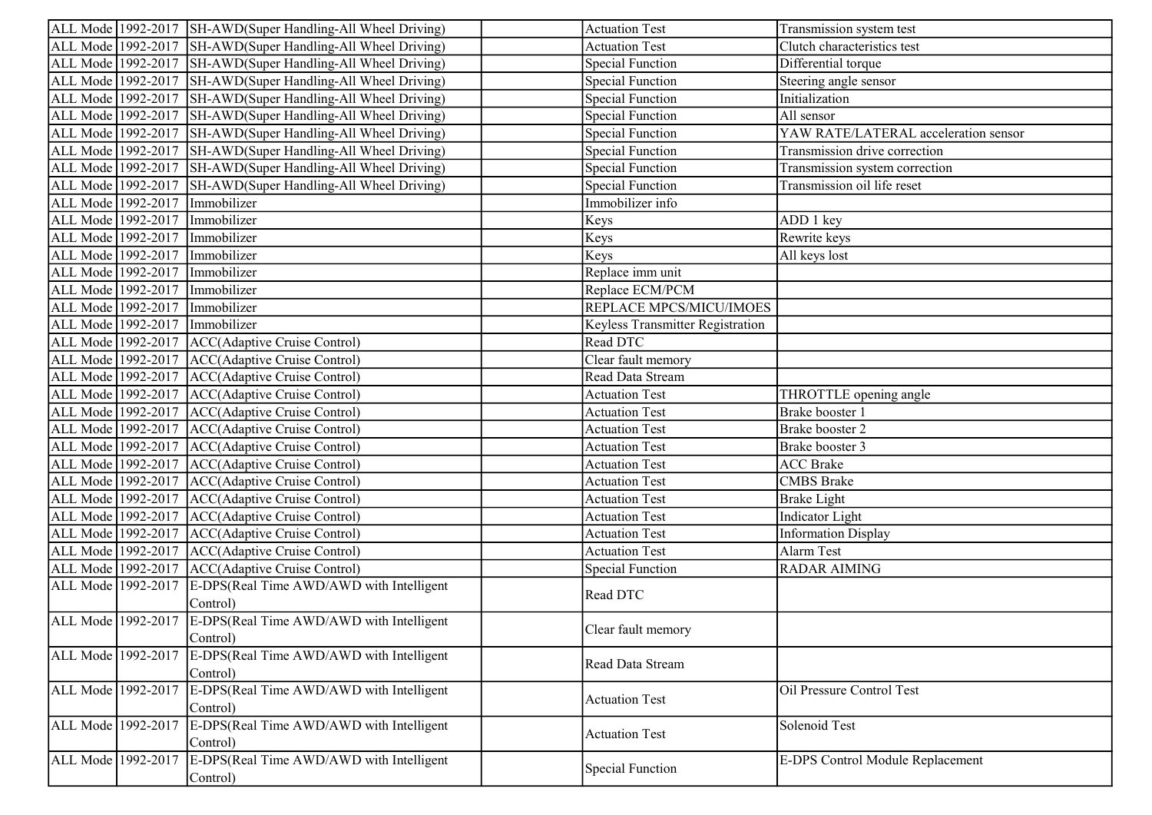|                    | ALL Mode 1992-2017 SH-AWD(Super Handling-All Wheel Driving) | <b>Actuation Test</b>            | Transmission system test                |
|--------------------|-------------------------------------------------------------|----------------------------------|-----------------------------------------|
|                    | ALL Mode 1992-2017 SH-AWD(Super Handling-All Wheel Driving) | <b>Actuation Test</b>            | Clutch characteristics test             |
|                    | ALL Mode 1992-2017 SH-AWD(Super Handling-All Wheel Driving) | <b>Special Function</b>          | Differential torque                     |
|                    | ALL Mode 1992-2017 SH-AWD(Super Handling-All Wheel Driving) | <b>Special Function</b>          | Steering angle sensor                   |
|                    | ALL Mode 1992-2017 SH-AWD(Super Handling-All Wheel Driving) | <b>Special Function</b>          | Initialization                          |
|                    | ALL Mode 1992-2017 SH-AWD(Super Handling-All Wheel Driving) | <b>Special Function</b>          | All sensor                              |
|                    | ALL Mode 1992-2017 SH-AWD(Super Handling-All Wheel Driving) | <b>Special Function</b>          | YAW RATE/LATERAL acceleration sensor    |
|                    | ALL Mode 1992-2017 SH-AWD(Super Handling-All Wheel Driving) | <b>Special Function</b>          | Transmission drive correction           |
|                    | ALL Mode 1992-2017 SH-AWD(Super Handling-All Wheel Driving) | <b>Special Function</b>          | Transmission system correction          |
| ALL Mode 1992-2017 | SH-AWD(Super Handling-All Wheel Driving)                    | <b>Special Function</b>          | Transmission oil life reset             |
| ALL Mode 1992-2017 | Immobilizer                                                 | Immobilizer info                 |                                         |
| ALL Mode 1992-2017 | Immobilizer                                                 | Keys                             | ADD 1 key                               |
| ALL Mode 1992-2017 | Immobilizer                                                 | Keys                             | Rewrite keys                            |
| ALL Mode 1992-2017 | Immobilizer                                                 | Keys                             | All keys lost                           |
| ALL Mode 1992-2017 | Immobilizer                                                 | Replace imm unit                 |                                         |
| ALL Mode 1992-2017 | Immobilizer                                                 | Replace ECM/PCM                  |                                         |
| ALL Mode 1992-2017 | Immobilizer                                                 | REPLACE MPCS/MICU/IMOES          |                                         |
| ALL Mode 1992-2017 | Immobilizer                                                 | Keyless Transmitter Registration |                                         |
| ALL Mode 1992-2017 | ACC(Adaptive Cruise Control)                                | Read DTC                         |                                         |
| ALL Mode 1992-2017 | ACC(Adaptive Cruise Control)                                | Clear fault memory               |                                         |
|                    | ALL Mode 1992-2017   ACC(Adaptive Cruise Control)           | Read Data Stream                 |                                         |
|                    | ALL Mode 1992-2017   ACC(Adaptive Cruise Control)           | <b>Actuation Test</b>            | THROTTLE opening angle                  |
|                    | ALL Mode 1992-2017 ACC(Adaptive Cruise Control)             | <b>Actuation Test</b>            | Brake booster 1                         |
|                    | ALL Mode 1992-2017   ACC(Adaptive Cruise Control)           | <b>Actuation Test</b>            | Brake booster 2                         |
|                    | ALL Mode 1992-2017   ACC(Adaptive Cruise Control)           | <b>Actuation Test</b>            | Brake booster 3                         |
|                    | ALL Mode 1992-2017   ACC(Adaptive Cruise Control)           | <b>Actuation Test</b>            | <b>ACC</b> Brake                        |
|                    | ALL Mode 1992-2017   ACC(Adaptive Cruise Control)           | <b>Actuation Test</b>            | <b>CMBS</b> Brake                       |
| ALL Mode 1992-2017 | ACC(Adaptive Cruise Control)                                | <b>Actuation Test</b>            | <b>Brake Light</b>                      |
|                    | ALL Mode 1992-2017   ACC(Adaptive Cruise Control)           | <b>Actuation Test</b>            | Indicator Light                         |
|                    | ALL Mode 1992-2017   ACC(Adaptive Cruise Control)           | <b>Actuation Test</b>            | Information Display                     |
| ALL Mode 1992-2017 | ACC(Adaptive Cruise Control)                                | <b>Actuation Test</b>            | Alarm Test                              |
| ALL Mode 1992-2017 | ACC(Adaptive Cruise Control)                                | <b>Special Function</b>          | <b>RADAR AIMING</b>                     |
|                    | ALL Mode 1992-2017 E-DPS(Real Time AWD/AWD with Intelligent |                                  |                                         |
|                    | Control)                                                    | Read DTC                         |                                         |
|                    | ALL Mode 1992-2017 E-DPS(Real Time AWD/AWD with Intelligent |                                  |                                         |
|                    | Control)                                                    | Clear fault memory               |                                         |
| ALL Mode 1992-2017 | E-DPS(Real Time AWD/AWD with Intelligent                    |                                  |                                         |
|                    | Control)                                                    | Read Data Stream                 |                                         |
| ALL Mode 1992-2017 | E-DPS(Real Time AWD/AWD with Intelligent                    |                                  | Oil Pressure Control Test               |
|                    | Control)                                                    | <b>Actuation Test</b>            |                                         |
| ALL Mode 1992-2017 | E-DPS(Real Time AWD/AWD with Intelligent                    |                                  | Solenoid Test                           |
|                    | Control)                                                    | <b>Actuation Test</b>            |                                         |
| ALL Mode 1992-2017 | E-DPS(Real Time AWD/AWD with Intelligent                    |                                  | <b>E-DPS Control Module Replacement</b> |
|                    | Control)                                                    | <b>Special Function</b>          |                                         |
|                    |                                                             |                                  |                                         |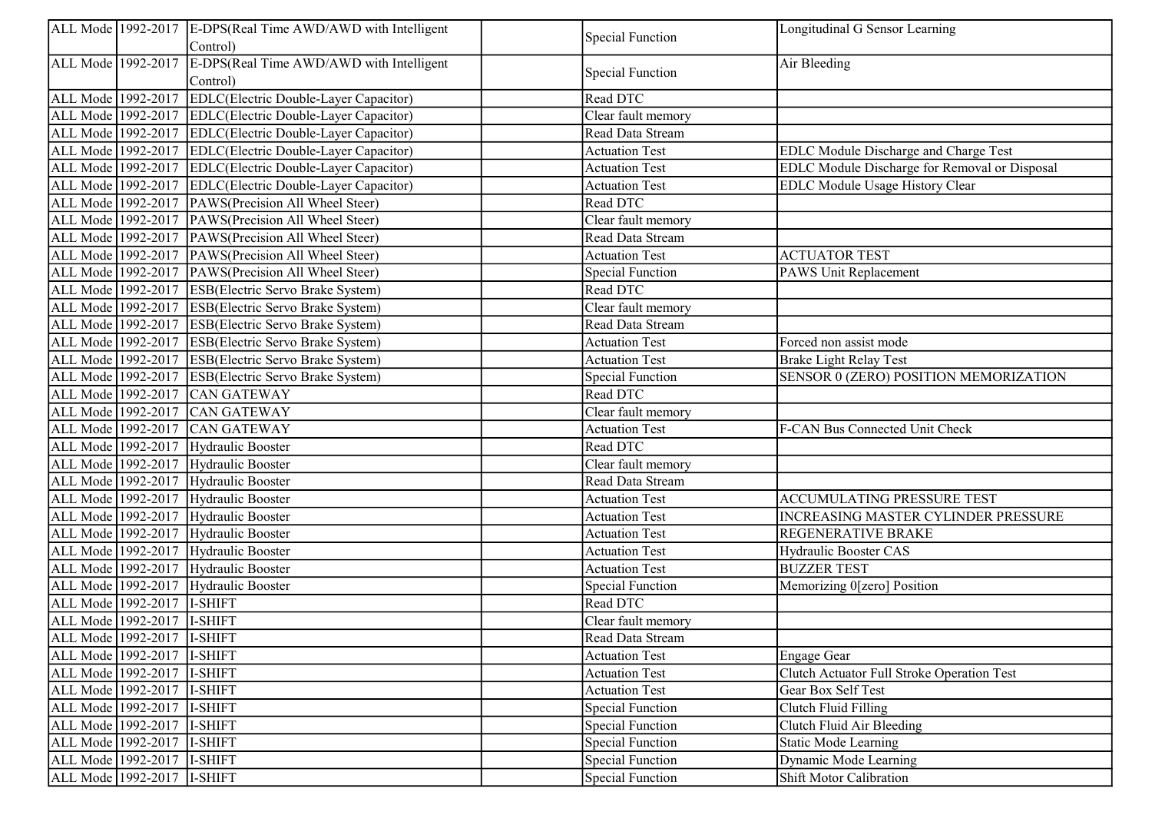|                             | ALL Mode 1992-2017 E-DPS(Real Time AWD/AWD with Intelligent<br>Control) | <b>Special Function</b> | Longitudinal G Sensor Learning                |
|-----------------------------|-------------------------------------------------------------------------|-------------------------|-----------------------------------------------|
|                             | ALL Mode 1992-2017 E-DPS(Real Time AWD/AWD with Intelligent             |                         |                                               |
|                             | Control)                                                                | <b>Special Function</b> | Air Bleeding                                  |
| ALL Mode 1992-2017          | EDLC(Electric Double-Layer Capacitor)                                   | Read DTC                |                                               |
|                             | ALL Mode 1992-2017 EDLC(Electric Double-Layer Capacitor)                | Clear fault memory      |                                               |
|                             | ALL Mode 1992-2017 EDLC(Electric Double-Layer Capacitor)                | Read Data Stream        |                                               |
|                             | ALL Mode 1992-2017 EDLC(Electric Double-Layer Capacitor)                | <b>Actuation Test</b>   | EDLC Module Discharge and Charge Test         |
|                             | ALL Mode 1992-2017 EDLC(Electric Double-Layer Capacitor)                | <b>Actuation Test</b>   | EDLC Module Discharge for Removal or Disposal |
|                             | ALL Mode 1992-2017 EDLC(Electric Double-Layer Capacitor)                | <b>Actuation Test</b>   | EDLC Module Usage History Clear               |
|                             | ALL Mode 1992-2017 PAWS(Precision All Wheel Steer)                      | Read DTC                |                                               |
|                             | ALL Mode 1992-2017 PAWS (Precision All Wheel Steer)                     | Clear fault memory      |                                               |
|                             | ALL Mode 1992-2017 PAWS(Precision All Wheel Steer)                      | Read Data Stream        |                                               |
|                             | ALL Mode 1992-2017 PAWS (Precision All Wheel Steer)                     | <b>Actuation Test</b>   | <b>ACTUATOR TEST</b>                          |
|                             | ALL Mode 1992-2017 PAWS(Precision All Wheel Steer)                      | <b>Special Function</b> | PAWS Unit Replacement                         |
|                             | ALL Mode 1992-2017 ESB(Electric Servo Brake System)                     | Read DTC                |                                               |
|                             | ALL Mode 1992-2017 ESB(Electric Servo Brake System)                     | Clear fault memory      |                                               |
|                             | ALL Mode 1992-2017 ESB(Electric Servo Brake System)                     | Read Data Stream        |                                               |
|                             | ALL Mode 1992-2017 ESB(Electric Servo Brake System)                     | <b>Actuation Test</b>   | Forced non assist mode                        |
|                             | ALL Mode 1992-2017 ESB(Electric Servo Brake System)                     | <b>Actuation Test</b>   | <b>Brake Light Relay Test</b>                 |
|                             | ALL Mode 1992-2017 ESB(Electric Servo Brake System)                     | Special Function        | SENSOR 0 (ZERO) POSITION MEMORIZATION         |
|                             | ALL Mode 1992-2017 CAN GATEWAY                                          | Read DTC                |                                               |
|                             | ALL Mode 1992-2017 CAN GATEWAY                                          | Clear fault memory      |                                               |
|                             | ALL Mode 1992-2017 CAN GATEWAY                                          | <b>Actuation Test</b>   | F-CAN Bus Connected Unit Check                |
|                             | ALL Mode 1992-2017 Hydraulic Booster                                    | Read DTC                |                                               |
|                             | ALL Mode 1992-2017 Hydraulic Booster                                    | Clear fault memory      |                                               |
|                             | ALL Mode 1992-2017 Hydraulic Booster                                    | Read Data Stream        |                                               |
|                             | ALL Mode 1992-2017 Hydraulic Booster                                    | <b>Actuation Test</b>   | ACCUMULATING PRESSURE TEST                    |
|                             | ALL Mode 1992-2017 Hydraulic Booster                                    | <b>Actuation Test</b>   | INCREASING MASTER CYLINDER PRESSURE           |
|                             | ALL Mode 1992-2017 Hydraulic Booster                                    | <b>Actuation Test</b>   | REGENERATIVE BRAKE                            |
|                             | ALL Mode 1992-2017 Hydraulic Booster                                    | <b>Actuation Test</b>   | Hydraulic Booster CAS                         |
|                             | ALL Mode 1992-2017 Hydraulic Booster                                    | <b>Actuation Test</b>   | <b>BUZZER TEST</b>                            |
|                             | ALL Mode 1992-2017 Hydraulic Booster                                    | <b>Special Function</b> | Memorizing 0[zero] Position                   |
| ALL Mode 1992-2017          | I-SHIFT                                                                 | Read DTC                |                                               |
| ALL Mode 1992-2017  I-SHIFT |                                                                         | Clear fault memory      |                                               |
| ALL Mode 1992-2017 I-SHIFT  |                                                                         | Read Data Stream        |                                               |
| ALL Mode 1992-2017          | I-SHIFT                                                                 | <b>Actuation Test</b>   | Engage Gear                                   |
| ALL Mode 1992-2017  I-SHIFT |                                                                         | <b>Actuation Test</b>   | Clutch Actuator Full Stroke Operation Test    |
| ALL Mode 1992-2017  I-SHIFT |                                                                         | <b>Actuation Test</b>   | Gear Box Self Test                            |
| ALL Mode 1992-2017          | I-SHIFT                                                                 | <b>Special Function</b> | Clutch Fluid Filling                          |
| ALL Mode 1992-2017          | I-SHIFT                                                                 | <b>Special Function</b> | Clutch Fluid Air Bleeding                     |
| ALL Mode 1992-2017          | I-SHIFT                                                                 | <b>Special Function</b> | <b>Static Mode Learning</b>                   |
| ALL Mode 1992-2017  I-SHIFT |                                                                         | <b>Special Function</b> | Dynamic Mode Learning                         |
| ALL Mode 1992-2017  I-SHIFT |                                                                         | Special Function        | Shift Motor Calibration                       |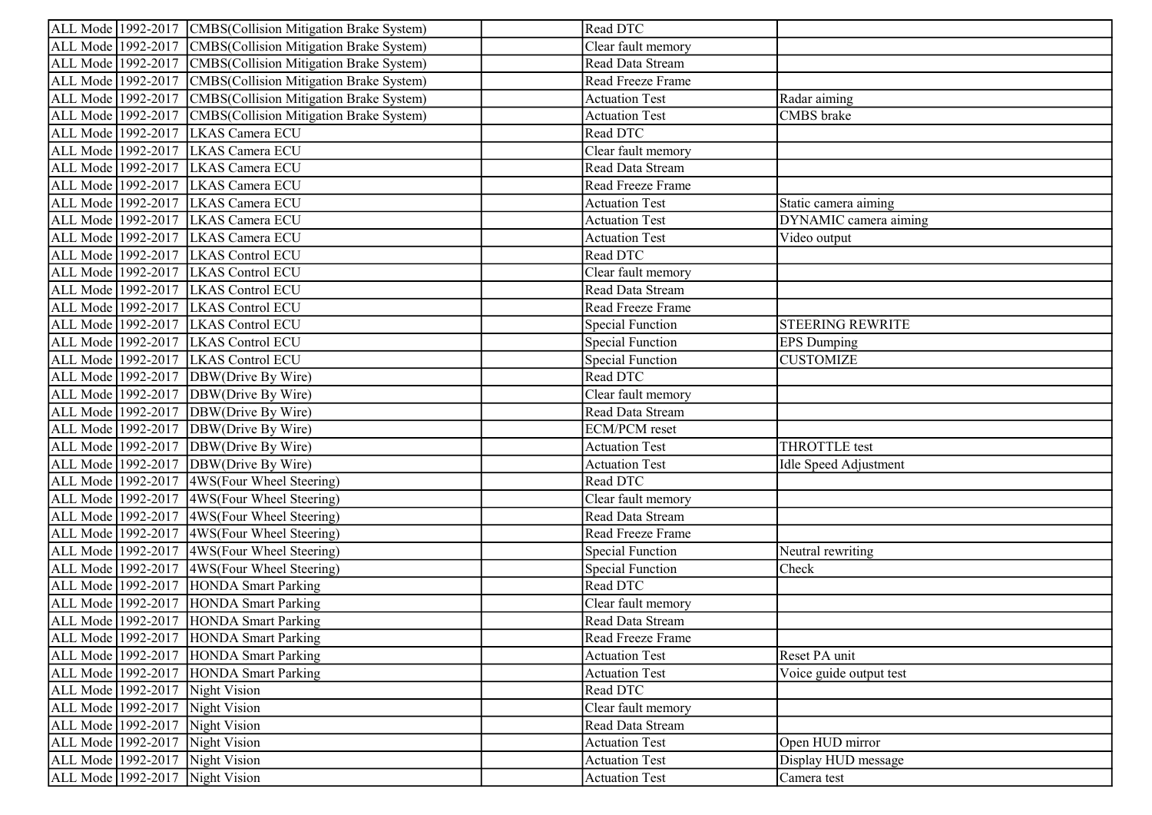| ALL Mode 1992-2017 CMBS (Collision Mitigation Brake System) | Read DTC                |                         |
|-------------------------------------------------------------|-------------------------|-------------------------|
| ALL Mode 1992-2017 CMBS(Collision Mitigation Brake System)  | Clear fault memory      |                         |
| ALL Mode 1992-2017 CMBS(Collision Mitigation Brake System)  | Read Data Stream        |                         |
| ALL Mode 1992-2017 CMBS (Collision Mitigation Brake System) | Read Freeze Frame       |                         |
| ALL Mode 1992-2017 CMBS (Collision Mitigation Brake System) | <b>Actuation Test</b>   | Radar aiming            |
| ALL Mode 1992-2017 CMBS (Collision Mitigation Brake System) | <b>Actuation Test</b>   | CMBS brake              |
| ALL Mode 1992-2017 LKAS Camera ECU                          | Read DTC                |                         |
| ALL Mode 1992-2017 LKAS Camera ECU                          | Clear fault memory      |                         |
| ALL Mode 1992-2017 LKAS Camera ECU                          | Read Data Stream        |                         |
| ALL Mode 1992-2017 LKAS Camera ECU                          | Read Freeze Frame       |                         |
| ALL Mode 1992-2017 LKAS Camera ECU                          | <b>Actuation Test</b>   | Static camera aiming    |
| ALL Mode 1992-2017 LKAS Camera ECU                          | <b>Actuation Test</b>   | DYNAMIC camera aiming   |
| ALL Mode 1992-2017 LKAS Camera ECU                          | Actuation Test          | Video output            |
| ALL Mode 1992-2017 LKAS Control ECU                         | Read DTC                |                         |
| ALL Mode 1992-2017 LKAS Control ECU                         | Clear fault memory      |                         |
| ALL Mode 1992-2017 LKAS Control ECU                         | Read Data Stream        |                         |
| ALL Mode 1992-2017 LKAS Control ECU                         | Read Freeze Frame       |                         |
| ALL Mode 1992-2017 LKAS Control ECU                         | <b>Special Function</b> | <b>STEERING REWRITE</b> |
| ALL Mode 1992-2017 LKAS Control ECU                         | <b>Special Function</b> | <b>EPS</b> Dumping      |
| ALL Mode 1992-2017 LKAS Control ECU                         | <b>Special Function</b> | <b>CUSTOMIZE</b>        |
| ALL Mode 1992-2017 DBW(Drive By Wire)                       | Read DTC                |                         |
| ALL Mode 1992-2017 DBW(Drive By Wire)                       | Clear fault memory      |                         |
| ALL Mode 1992-2017 DBW(Drive By Wire)                       | Read Data Stream        |                         |
| ALL Mode 1992-2017 DBW(Drive By Wire)                       | ECM/PCM reset           |                         |
| ALL Mode 1992-2017 DBW(Drive By Wire)                       | <b>Actuation Test</b>   | THROTTLE test           |
| ALL Mode 1992-2017 DBW(Drive By Wire)                       | <b>Actuation Test</b>   | Idle Speed Adjustment   |
| ALL Mode 1992-2017 4WS(Four Wheel Steering)                 | Read DTC                |                         |
| ALL Mode 1992-2017 4WS(Four Wheel Steering)                 | Clear fault memory      |                         |
| ALL Mode 1992-2017 4WS (Four Wheel Steering)                | Read Data Stream        |                         |
| ALL Mode 1992-2017 4WS (Four Wheel Steering)                | Read Freeze Frame       |                         |
| ALL Mode 1992-2017 4WS (Four Wheel Steering)                | <b>Special Function</b> | Neutral rewriting       |
| ALL Mode 1992-2017 4WS(Four Wheel Steering)                 | Special Function        | Check                   |
| ALL Mode 1992-2017 HONDA Smart Parking                      | Read DTC                |                         |
| ALL Mode 1992-2017 HONDA Smart Parking                      | Clear fault memory      |                         |
| ALL Mode 1992-2017 HONDA Smart Parking                      | Read Data Stream        |                         |
| ALL Mode 1992-2017 HONDA Smart Parking                      | Read Freeze Frame       |                         |
| ALL Mode 1992-2017 HONDA Smart Parking                      | <b>Actuation Test</b>   | Reset PA unit           |
| ALL Mode 1992-2017 HONDA Smart Parking                      | <b>Actuation Test</b>   | Voice guide output test |
| ALL Mode 1992-2017 Night Vision                             | Read DTC                |                         |
| ALL Mode 1992-2017 Night Vision                             | Clear fault memory      |                         |
| ALL Mode 1992-2017 Night Vision                             | Read Data Stream        |                         |
| ALL Mode 1992-2017 Night Vision                             | <b>Actuation Test</b>   | Open HUD mirror         |
| ALL Mode 1992-2017 Night Vision                             | <b>Actuation Test</b>   | Display HUD message     |
| ALL Mode 1992-2017 Night Vision                             | <b>Actuation Test</b>   | Camera test             |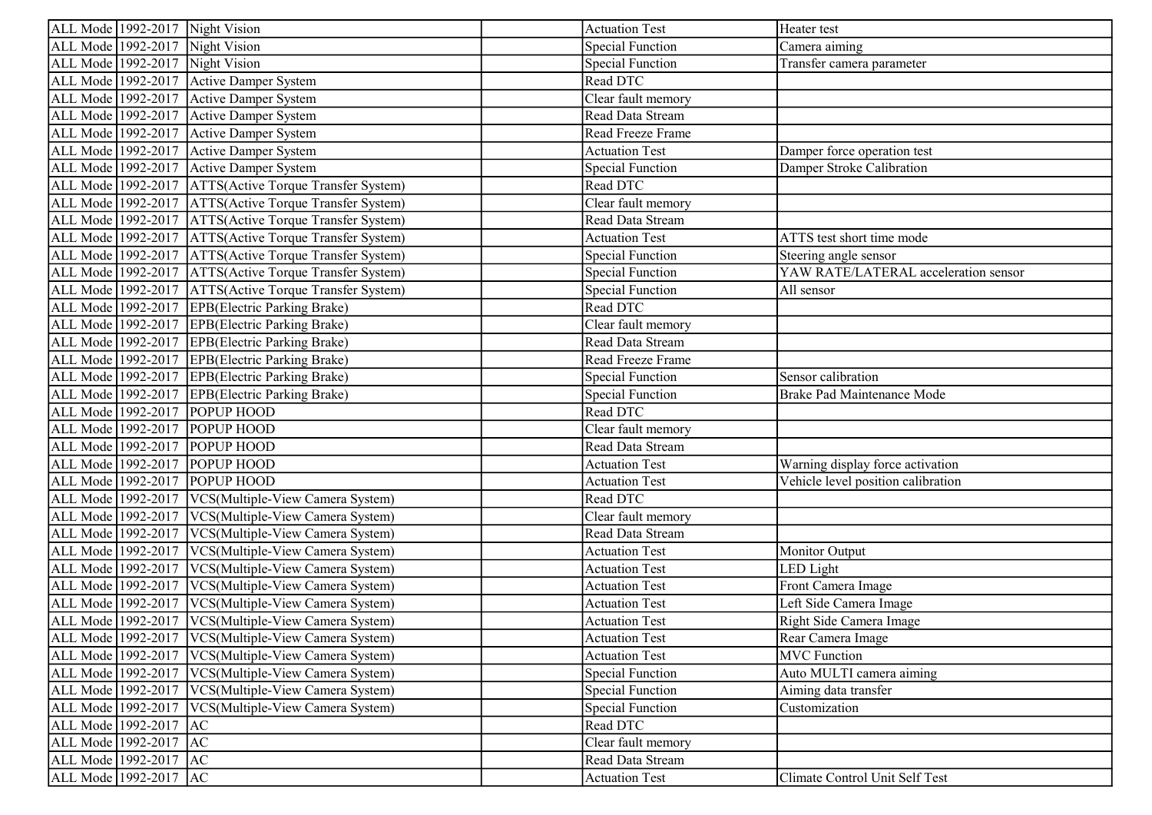| ALL Mode 1992-2017 Night Vision                           | <b>Actuation Test</b>   | Heater test                          |
|-----------------------------------------------------------|-------------------------|--------------------------------------|
| ALL Mode 1992-2017 Night Vision                           | <b>Special Function</b> | Camera aiming                        |
| ALL Mode 1992-2017 Night Vision                           | <b>Special Function</b> | Transfer camera parameter            |
| ALL Mode 1992-2017 Active Damper System                   | Read DTC                |                                      |
| ALL Mode 1992-2017 Active Damper System                   | Clear fault memory      |                                      |
| ALL Mode 1992-2017 Active Damper System                   | Read Data Stream        |                                      |
| ALL Mode 1992-2017 Active Damper System                   | Read Freeze Frame       |                                      |
| ALL Mode 1992-2017 Active Damper System                   | <b>Actuation Test</b>   | Damper force operation test          |
| ALL Mode 1992-2017 Active Damper System                   | <b>Special Function</b> | Damper Stroke Calibration            |
| ALL Mode 1992-2017   ATTS (Active Torque Transfer System) | Read DTC                |                                      |
| ALL Mode 1992-2017   ATTS (Active Torque Transfer System) | Clear fault memory      |                                      |
| ALL Mode 1992-2017 ATTS (Active Torque Transfer System)   | Read Data Stream        |                                      |
| ALL Mode 1992-2017 ATTS(Active Torque Transfer System)    | <b>Actuation Test</b>   | ATTS test short time mode            |
| ALL Mode 1992-2017 ATTS (Active Torque Transfer System)   | <b>Special Function</b> | Steering angle sensor                |
| ALL Mode 1992-2017   ATTS (Active Torque Transfer System) | <b>Special Function</b> | YAW RATE/LATERAL acceleration sensor |
| ALL Mode 1992-2017 ATTS (Active Torque Transfer System)   | <b>Special Function</b> | All sensor                           |
| ALL Mode 1992-2017 EPB(Electric Parking Brake)            | Read DTC                |                                      |
| ALL Mode 1992-2017 EPB(Electric Parking Brake)            | Clear fault memory      |                                      |
| ALL Mode 1992-2017 EPB(Electric Parking Brake)            | Read Data Stream        |                                      |
| ALL Mode 1992-2017 EPB(Electric Parking Brake)            | Read Freeze Frame       |                                      |
| ALL Mode 1992-2017 EPB(Electric Parking Brake)            | <b>Special Function</b> | Sensor calibration                   |
| ALL Mode 1992-2017 EPB(Electric Parking Brake)            | <b>Special Function</b> | Brake Pad Maintenance Mode           |
| ALL Mode 1992-2017 POPUP HOOD                             | Read DTC                |                                      |
| ALL Mode 1992-2017 POPUP HOOD                             | Clear fault memory      |                                      |
| ALL Mode 1992-2017 POPUP HOOD                             | Read Data Stream        |                                      |
| ALL Mode 1992-2017 POPUP HOOD                             | <b>Actuation Test</b>   | Warning display force activation     |
| ALL Mode 1992-2017 POPUP HOOD                             | <b>Actuation Test</b>   | Vehicle level position calibration   |
| ALL Mode 1992-2017   VCS(Multiple-View Camera System)     | Read DTC                |                                      |
| ALL Mode 1992-2017   VCS(Multiple-View Camera System)     | Clear fault memory      |                                      |
| ALL Mode 1992-2017 VCS(Multiple-View Camera System)       | Read Data Stream        |                                      |
| ALL Mode 1992-2017   VCS(Multiple-View Camera System)     | <b>Actuation Test</b>   | Monitor Output                       |
| ALL Mode 1992-2017 VCS(Multiple-View Camera System)       | <b>Actuation Test</b>   | LED Light                            |
| ALL Mode 1992-2017   VCS(Multiple-View Camera System)     | <b>Actuation Test</b>   | Front Camera Image                   |
| ALL Mode 1992-2017 VCS(Multiple-View Camera System)       | <b>Actuation Test</b>   | Left Side Camera Image               |
| ALL Mode 1992-2017   VCS(Multiple-View Camera System)     | <b>Actuation Test</b>   | Right Side Camera Image              |
| ALL Mode 1992-2017 VCS(Multiple-View Camera System)       | <b>Actuation Test</b>   | Rear Camera Image                    |
| ALL Mode 1992-2017   VCS(Multiple-View Camera System)     | <b>Actuation Test</b>   | <b>MVC</b> Function                  |
| ALL Mode 1992-2017   VCS(Multiple-View Camera System)     | <b>Special Function</b> | Auto MULTI camera aiming             |
| ALL Mode 1992-2017   VCS(Multiple-View Camera System)     | <b>Special Function</b> | Aiming data transfer                 |
| ALL Mode 1992-2017   VCS(Multiple-View Camera System)     | <b>Special Function</b> | Customization                        |
| ALL Mode 1992-2017 AC                                     | Read DTC                |                                      |
| ALL Mode 1992-2017 AC                                     | Clear fault memory      |                                      |
| ALL Mode 1992-2017 AC                                     | Read Data Stream        |                                      |
| ALL Mode 1992-2017 AC                                     | <b>Actuation Test</b>   | Climate Control Unit Self Test       |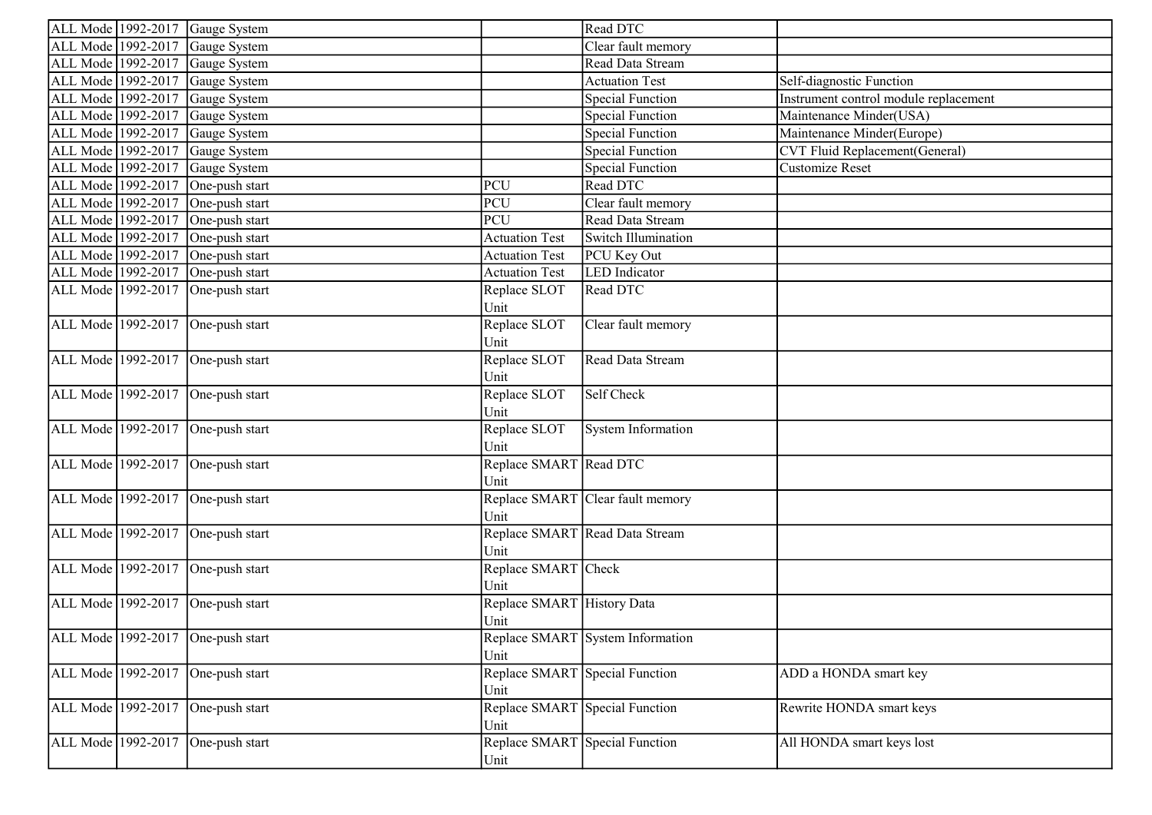|                    | ALL Mode 1992-2017 Gauge System   |                                | Read DTC                         |                                       |
|--------------------|-----------------------------------|--------------------------------|----------------------------------|---------------------------------------|
| ALL Mode 1992-2017 | Gauge System                      |                                | Clear fault memory               |                                       |
| ALL Mode 1992-2017 | Gauge System                      |                                | Read Data Stream                 |                                       |
| ALL Mode 1992-2017 | Gauge System                      |                                | <b>Actuation Test</b>            | Self-diagnostic Function              |
| ALL Mode 1992-2017 | Gauge System                      |                                | <b>Special Function</b>          | Instrument control module replacement |
| ALL Mode 1992-2017 | Gauge System                      |                                | <b>Special Function</b>          | Maintenance Minder(USA)               |
| ALL Mode 1992-2017 | Gauge System                      |                                | <b>Special Function</b>          | Maintenance Minder(Europe)            |
| ALL Mode 1992-2017 | Gauge System                      |                                | <b>Special Function</b>          | CVT Fluid Replacement(General)        |
| ALL Mode 1992-2017 | Gauge System                      |                                | <b>Special Function</b>          | <b>Customize Reset</b>                |
| ALL Mode 1992-2017 | One-push start                    | PCU                            | Read DTC                         |                                       |
| ALL Mode 1992-2017 | One-push start                    | PCU                            | Clear fault memory               |                                       |
| ALL Mode 1992-2017 | One-push start                    | <b>PCU</b>                     | Read Data Stream                 |                                       |
| ALL Mode 1992-2017 | One-push start                    | <b>Actuation Test</b>          | Switch Illumination              |                                       |
| ALL Mode 1992-2017 | One-push start                    | <b>Actuation Test</b>          | PCU Key Out                      |                                       |
| ALL Mode 1992-2017 | One-push start                    | <b>Actuation Test</b>          | <b>LED</b> Indicator             |                                       |
| ALL Mode 1992-2017 | One-push start                    | Replace SLOT                   | Read DTC                         |                                       |
|                    |                                   | Unit                           |                                  |                                       |
|                    | ALL Mode 1992-2017 One-push start | Replace SLOT                   | Clear fault memory               |                                       |
|                    |                                   | Unit                           |                                  |                                       |
|                    | ALL Mode 1992-2017 One-push start | Replace SLOT                   | Read Data Stream                 |                                       |
|                    |                                   | Unit                           |                                  |                                       |
|                    | ALL Mode 1992-2017 One-push start | Replace SLOT                   | Self Check                       |                                       |
|                    |                                   | Unit                           |                                  |                                       |
|                    | ALL Mode 1992-2017 One-push start | Replace SLOT                   | System Information               |                                       |
|                    |                                   | Unit                           |                                  |                                       |
|                    | ALL Mode 1992-2017 One-push start | Replace SMART Read DTC         |                                  |                                       |
|                    |                                   | Unit                           |                                  |                                       |
|                    | ALL Mode 1992-2017 One-push start |                                | Replace SMART Clear fault memory |                                       |
|                    |                                   | Unit                           |                                  |                                       |
|                    | ALL Mode 1992-2017 One-push start |                                | Replace SMART Read Data Stream   |                                       |
|                    |                                   | Unit                           |                                  |                                       |
|                    | ALL Mode 1992-2017 One-push start | Replace SMART Check            |                                  |                                       |
|                    |                                   | Unit                           |                                  |                                       |
|                    | ALL Mode 1992-2017 One-push start | Replace SMART History Data     |                                  |                                       |
|                    |                                   | Unit                           |                                  |                                       |
|                    | ALL Mode 1992-2017 One-push start |                                | Replace SMART System Information |                                       |
|                    |                                   | Unit                           |                                  |                                       |
| ALL Mode 1992-2017 | One-push start                    | Replace SMART Special Function |                                  | ADD a HONDA smart key                 |
|                    |                                   | Unit                           |                                  |                                       |
| ALL Mode 1992-2017 | One-push start                    | Replace SMART Special Function |                                  | Rewrite HONDA smart keys              |
|                    |                                   | Unit                           |                                  |                                       |
| ALL Mode 1992-2017 | One-push start                    | Replace SMART Special Function |                                  | All HONDA smart keys lost             |
|                    |                                   | Unit                           |                                  |                                       |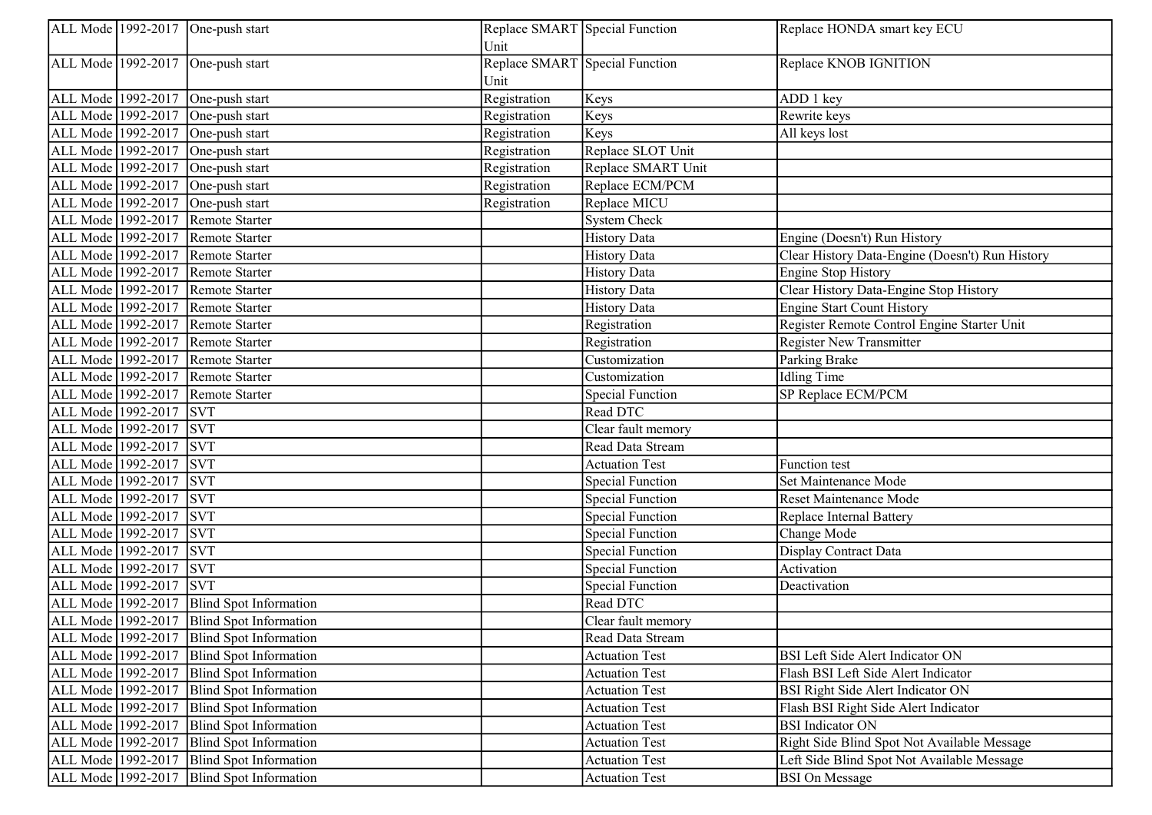|                    | ALL Mode 1992-2017 One-push start         | Replace SMART Special Function<br>Unit |                         | Replace HONDA smart key ECU                     |
|--------------------|-------------------------------------------|----------------------------------------|-------------------------|-------------------------------------------------|
|                    | ALL Mode 1992-2017 One-push start         | Replace SMART Special Function<br>Unit |                         | Replace KNOB IGNITION                           |
| ALL Mode 1992-2017 | One-push start                            | Registration                           | Keys                    | ADD 1 key                                       |
| ALL Mode 1992-2017 | One-push start                            | Registration                           | Keys                    | Rewrite keys                                    |
| ALL Mode 1992-2017 | One-push start                            | Registration                           | Keys                    | All keys lost                                   |
| ALL Mode 1992-2017 | One-push start                            | Registration                           | Replace SLOT Unit       |                                                 |
| ALL Mode 1992-2017 | One-push start                            | Registration                           | Replace SMART Unit      |                                                 |
| ALL Mode 1992-2017 | One-push start                            | Registration                           | Replace ECM/PCM         |                                                 |
| ALL Mode 1992-2017 | One-push start                            | Registration                           | Replace MICU            |                                                 |
| ALL Mode 1992-2017 | Remote Starter                            |                                        | System Check            |                                                 |
| ALL Mode 1992-2017 | Remote Starter                            |                                        | <b>History Data</b>     | Engine (Doesn't) Run History                    |
| ALL Mode 1992-2017 | Remote Starter                            |                                        | <b>History Data</b>     | Clear History Data-Engine (Doesn't) Run History |
| ALL Mode 1992-2017 | Remote Starter                            |                                        | <b>History Data</b>     | <b>Engine Stop History</b>                      |
| ALL Mode 1992-2017 | Remote Starter                            |                                        | <b>History Data</b>     | Clear History Data-Engine Stop History          |
| ALL Mode 1992-2017 | Remote Starter                            |                                        | <b>History Data</b>     | <b>Engine Start Count History</b>               |
| ALL Mode 1992-2017 | Remote Starter                            |                                        | Registration            | Register Remote Control Engine Starter Unit     |
| ALL Mode 1992-2017 | Remote Starter                            |                                        | Registration            | <b>Register New Transmitter</b>                 |
| ALL Mode 1992-2017 | Remote Starter                            |                                        | Customization           | Parking Brake                                   |
| ALL Mode 1992-2017 | Remote Starter                            |                                        | Customization           | <b>Idling Time</b>                              |
| ALL Mode 1992-2017 | Remote Starter                            |                                        | <b>Special Function</b> | SP Replace ECM/PCM                              |
| ALL Mode 1992-2017 | <b>SVT</b>                                |                                        | Read DTC                |                                                 |
| ALL Mode 1992-2017 | <b>SVT</b>                                |                                        | Clear fault memory      |                                                 |
| ALL Mode 1992-2017 | <b>SVT</b>                                |                                        | Read Data Stream        |                                                 |
| ALL Mode 1992-2017 | <b>SVT</b>                                |                                        | <b>Actuation Test</b>   | Function test                                   |
| ALL Mode 1992-2017 | <b>SVT</b>                                |                                        | <b>Special Function</b> | Set Maintenance Mode                            |
| ALL Mode 1992-2017 | <b>SVT</b>                                |                                        | <b>Special Function</b> | <b>Reset Maintenance Mode</b>                   |
| ALL Mode 1992-2017 | <b>SVT</b>                                |                                        | <b>Special Function</b> | Replace Internal Battery                        |
| ALL Mode 1992-2017 | <b>SVT</b>                                |                                        | <b>Special Function</b> | Change Mode                                     |
| ALL Mode 1992-2017 | <b>SVT</b>                                |                                        | Special Function        | Display Contract Data                           |
| ALL Mode 1992-2017 | <b>SVT</b>                                |                                        | <b>Special Function</b> | Activation                                      |
| ALL Mode 1992-2017 | <b>SVT</b>                                |                                        | <b>Special Function</b> | Deactivation                                    |
| ALL Mode 1992-2017 | <b>Blind Spot Information</b>             |                                        | Read DTC                |                                                 |
| ALL Mode 1992-2017 | <b>Blind Spot Information</b>             |                                        | Clear fault memory      |                                                 |
|                    | ALL Mode 1992-2017 Blind Spot Information |                                        | Read Data Stream        |                                                 |
| ALL Mode 1992-2017 | Blind Spot Information                    |                                        | <b>Actuation Test</b>   | BSI Left Side Alert Indicator ON                |
| ALL Mode 1992-2017 | Blind Spot Information                    |                                        | <b>Actuation Test</b>   | Flash BSI Left Side Alert Indicator             |
| ALL Mode 1992-2017 | Blind Spot Information                    |                                        | <b>Actuation Test</b>   | BSI Right Side Alert Indicator ON               |
| ALL Mode 1992-2017 | Blind Spot Information                    |                                        | <b>Actuation Test</b>   | Flash BSI Right Side Alert Indicator            |
| ALL Mode 1992-2017 | Blind Spot Information                    |                                        | <b>Actuation Test</b>   | <b>BSI</b> Indicator ON                         |
| ALL Mode 1992-2017 | Blind Spot Information                    |                                        | <b>Actuation Test</b>   | Right Side Blind Spot Not Available Message     |
| ALL Mode 1992-2017 | Blind Spot Information                    |                                        | <b>Actuation Test</b>   | Left Side Blind Spot Not Available Message      |
| ALL Mode 1992-2017 | Blind Spot Information                    |                                        | <b>Actuation Test</b>   | <b>BSI</b> On Message                           |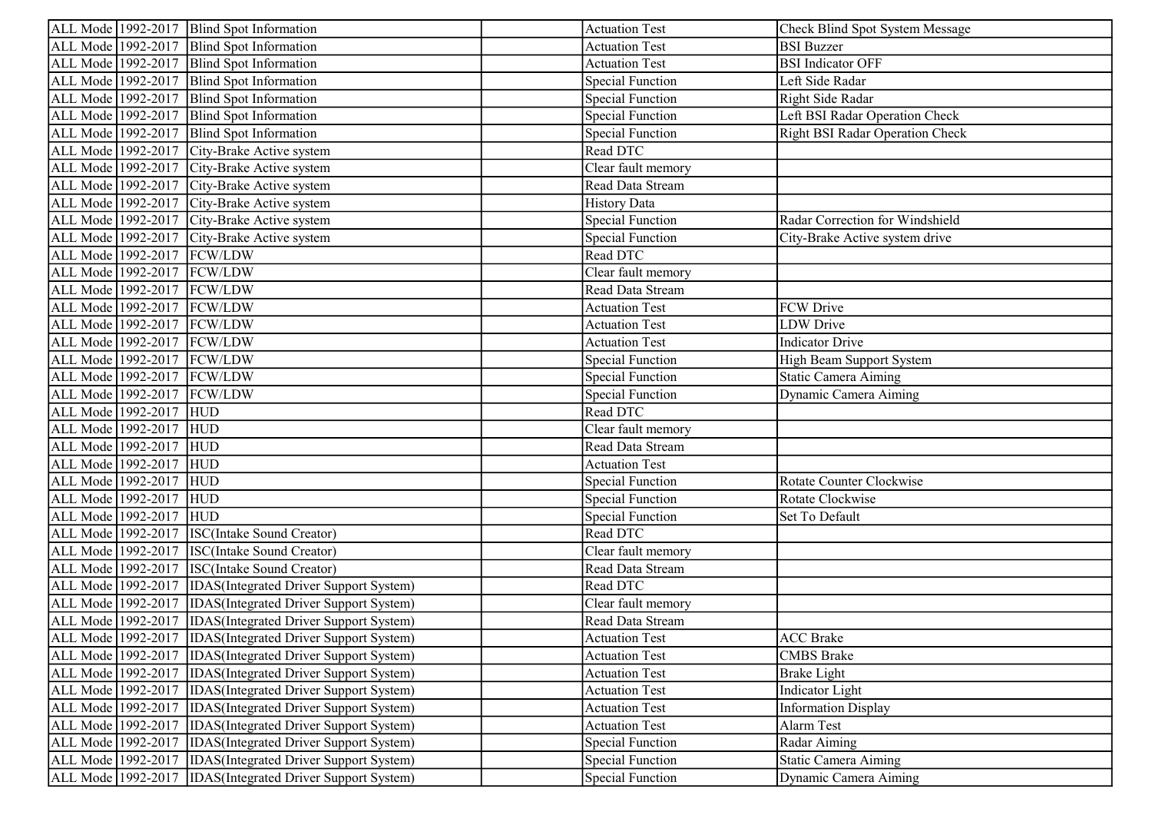| ALL Mode 1992-2017   Blind Spot Information                          | <b>Actuation Test</b>   | Check Blind Spot System Message        |
|----------------------------------------------------------------------|-------------------------|----------------------------------------|
| ALL Mode 1992-2017<br>Blind Spot Information                         | <b>Actuation Test</b>   | <b>BSI</b> Buzzer                      |
| ALL Mode 1992-2017<br>Blind Spot Information                         | <b>Actuation Test</b>   | <b>BSI</b> Indicator OFF               |
| ALL Mode 1992-2017<br><b>Blind Spot Information</b>                  | <b>Special Function</b> | Left Side Radar                        |
| ALL Mode 1992-2017<br>Blind Spot Information                         | <b>Special Function</b> | Right Side Radar                       |
| ALL Mode 1992-2017<br>Blind Spot Information                         | <b>Special Function</b> | Left BSI Radar Operation Check         |
| ALL Mode 1992-2017<br>Blind Spot Information                         | <b>Special Function</b> | <b>Right BSI Radar Operation Check</b> |
| ALL Mode 1992-2017 City-Brake Active system                          | Read DTC                |                                        |
| ALL Mode 1992-2017 City-Brake Active system                          | Clear fault memory      |                                        |
| ALL Mode 1992-2017 City-Brake Active system                          | Read Data Stream        |                                        |
| ALL Mode 1992-2017<br>City-Brake Active system                       | <b>History Data</b>     |                                        |
| ALL Mode 1992-2017 City-Brake Active system                          | <b>Special Function</b> | Radar Correction for Windshield        |
| ALL Mode 1992-2017 City-Brake Active system                          | <b>Special Function</b> | City-Brake Active system drive         |
| ALL Mode 1992-2017   FCW/LDW                                         | Read DTC                |                                        |
| ALL Mode 1992-2017 FCW/LDW                                           | Clear fault memory      |                                        |
| ALL Mode 1992-2017 FCW/LDW                                           | Read Data Stream        |                                        |
| ALL Mode 1992-2017 FCW/LDW                                           | <b>Actuation Test</b>   | FCW Drive                              |
| ALL Mode 1992-2017 FCW/LDW                                           | <b>Actuation Test</b>   | LDW Drive                              |
| ALL Mode 1992-2017   FCW/LDW                                         | <b>Actuation Test</b>   | Indicator Drive                        |
| ALL Mode 1992-2017   FCW/LDW                                         | <b>Special Function</b> | High Beam Support System               |
| ALL Mode 1992-2017 FCW/LDW                                           | <b>Special Function</b> | Static Camera Aiming                   |
| ALL Mode 1992-2017 FCW/LDW                                           | <b>Special Function</b> | Dynamic Camera Aiming                  |
| ALL Mode 1992-2017 HUD                                               | Read DTC                |                                        |
| ALL Mode 1992-2017 HUD                                               | Clear fault memory      |                                        |
| ALL Mode 1992-2017<br><b>HUD</b>                                     | Read Data Stream        |                                        |
| ALL Mode 1992-2017<br><b>HUD</b>                                     | <b>Actuation Test</b>   |                                        |
| <b>HUD</b><br>ALL Mode 1992-2017                                     | <b>Special Function</b> | Rotate Counter Clockwise               |
| ALL Mode 1992-2017<br><b>HUD</b>                                     | <b>Special Function</b> | Rotate Clockwise                       |
| ALL Mode 1992-2017<br><b>HUD</b>                                     | <b>Special Function</b> | Set To Default                         |
| ALL Mode 1992-2017<br><b>ISC(Intake Sound Creator)</b>               | Read DTC                |                                        |
| ALL Mode 1992-2017<br><b>ISC(Intake Sound Creator)</b>               | Clear fault memory      |                                        |
| ALL Mode 1992-2017<br>ISC(Intake Sound Creator)                      | Read Data Stream        |                                        |
| ALL Mode 1992-2017 IDAS(Integrated Driver Support System)            | Read DTC                |                                        |
| ALL Mode 1992-2017  IDAS(Integrated Driver Support System)           | Clear fault memory      |                                        |
| ALL Mode 1992-2017 IDAS(Integrated Driver Support System)            | Read Data Stream        |                                        |
| ALL Mode 1992-2017  IDAS(Integrated Driver Support System)           | <b>Actuation Test</b>   | <b>ACC</b> Brake                       |
| ALL Mode 1992-2017 IDAS(Integrated Driver Support System)            | <b>Actuation Test</b>   | <b>CMBS</b> Brake                      |
| ALL Mode 1992-2017<br>IDAS(Integrated Driver Support System)         | <b>Actuation Test</b>   | <b>Brake Light</b>                     |
| ALL Mode 1992-2017<br>IDAS(Integrated Driver Support System)         | <b>Actuation Test</b>   | Indicator Light                        |
| ALL Mode 1992-2017<br><b>IDAS</b> (Integrated Driver Support System) | <b>Actuation Test</b>   | <b>Information Display</b>             |
| ALL Mode 1992-2017<br><b>IDAS</b> (Integrated Driver Support System) | <b>Actuation Test</b>   | Alarm Test                             |
| ALL Mode 1992-2017<br><b>IDAS</b> (Integrated Driver Support System) | <b>Special Function</b> | Radar Aiming                           |
| ALL Mode 1992-2017<br>IDAS(Integrated Driver Support System)         | <b>Special Function</b> | Static Camera Aiming                   |
| ALL Mode 1992-2017<br><b>IDAS</b> (Integrated Driver Support System) | <b>Special Function</b> | Dynamic Camera Aiming                  |